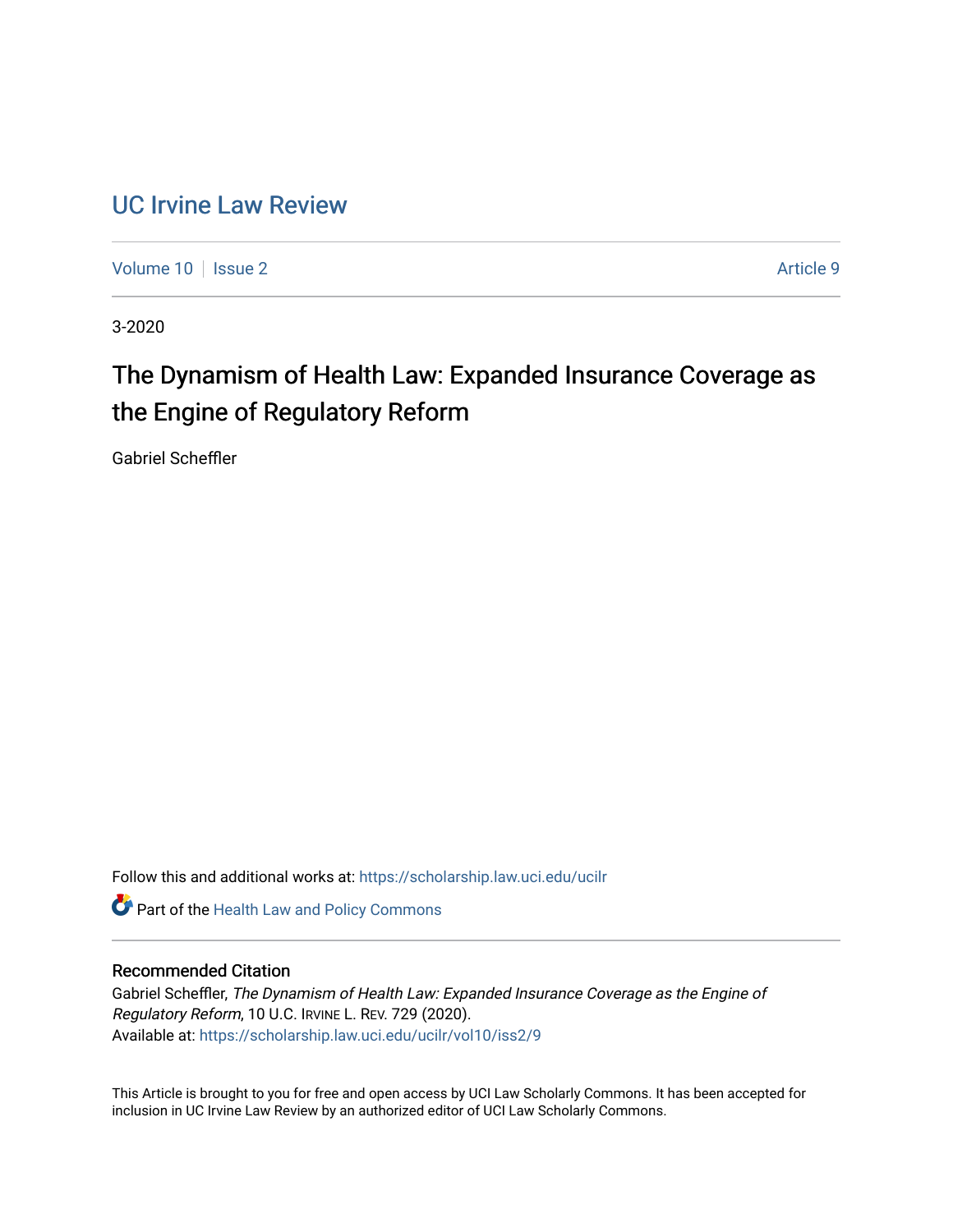## [UC Irvine Law Review](https://scholarship.law.uci.edu/ucilr)

[Volume 10](https://scholarship.law.uci.edu/ucilr/vol10) | [Issue 2](https://scholarship.law.uci.edu/ucilr/vol10/iss2) Article 9

3-2020

## The Dynamism of Health Law: Expanded Insurance Coverage as the Engine of Regulatory Reform

Gabriel Scheffler

Follow this and additional works at: [https://scholarship.law.uci.edu/ucilr](https://scholarship.law.uci.edu/ucilr?utm_source=scholarship.law.uci.edu%2Fucilr%2Fvol10%2Fiss2%2F9&utm_medium=PDF&utm_campaign=PDFCoverPages)

Part of the [Health Law and Policy Commons](http://network.bepress.com/hgg/discipline/901?utm_source=scholarship.law.uci.edu%2Fucilr%2Fvol10%2Fiss2%2F9&utm_medium=PDF&utm_campaign=PDFCoverPages) 

## Recommended Citation

Gabriel Scheffler, The Dynamism of Health Law: Expanded Insurance Coverage as the Engine of Regulatory Reform, 10 U.C. IRVINE L. REV. 729 (2020). Available at: [https://scholarship.law.uci.edu/ucilr/vol10/iss2/9](https://scholarship.law.uci.edu/ucilr/vol10/iss2/9?utm_source=scholarship.law.uci.edu%2Fucilr%2Fvol10%2Fiss2%2F9&utm_medium=PDF&utm_campaign=PDFCoverPages) 

This Article is brought to you for free and open access by UCI Law Scholarly Commons. It has been accepted for inclusion in UC Irvine Law Review by an authorized editor of UCI Law Scholarly Commons.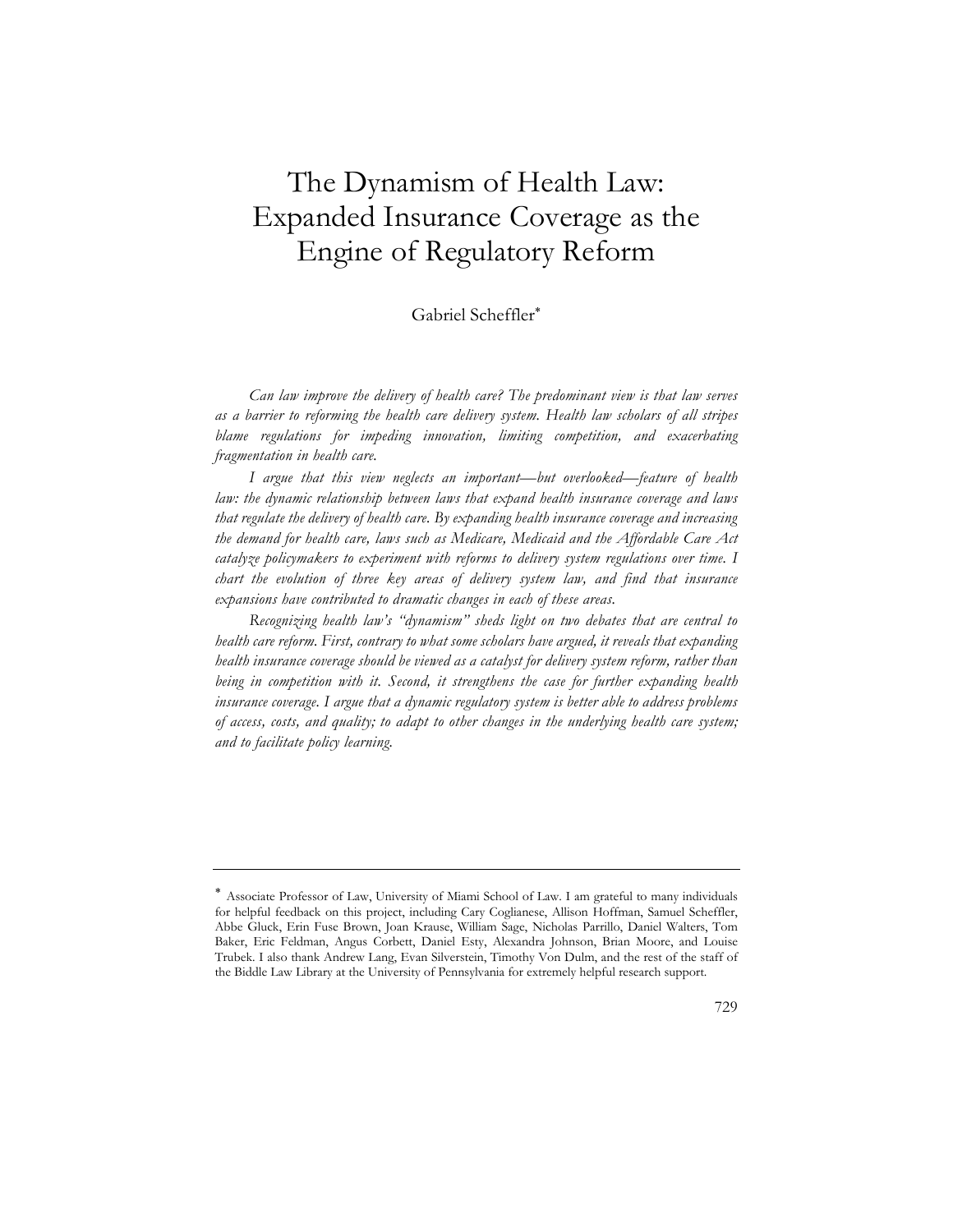# The Dynamism of Health Law: Expanded Insurance Coverage as the Engine of Regulatory Reform

## Gabriel Scheffler

*Can law improve the delivery of health care? The predominant view is that law serves as a barrier to reforming the health care delivery system. Health law scholars of all stripes*  blame regulations for impeding innovation, limiting competition, and exacerbating *fragmentation in health care.*

*I argue that this view neglects an important—but overlooked—feature of health law: the dynamic relationship between laws that expand health insurance coverage and laws that regulate the delivery of health care. By expanding health insurance coverage and increasing the demand for health care, laws such as Medicare, Medicaid and the Affordable Care Act catalyze policymakers to experiment with reforms to delivery system regulations over time. I chart the evolution of three key areas of delivery system law, and find that insurance expansions have contributed to dramatic changes in each of these areas.*

*Recognizing health law's "dynamism" sheds light on two debates that are central to health care reform. First, contrary to what some scholars have argued, it reveals that expanding health insurance coverage should be viewed as a catalyst for delivery system reform, rather than being in competition with it. Second, it strengthens the case for further expanding health insurance coverage. I argue that a dynamic regulatory system is better able to address problems of access, costs, and quality; to adapt to other changes in the underlying health care system; and to facilitate policy learning.*

 Associate Professor of Law, University of Miami School of Law. I am grateful to many individuals for helpful feedback on this project, including Cary Coglianese, Allison Hoffman, Samuel Scheffler, Abbe Gluck, Erin Fuse Brown, Joan Krause, William Sage, Nicholas Parrillo, Daniel Walters, Tom Baker, Eric Feldman, Angus Corbett, Daniel Esty, Alexandra Johnson, Brian Moore, and Louise Trubek. I also thank Andrew Lang, Evan Silverstein, Timothy Von Dulm, and the rest of the staff of the Biddle Law Library at the University of Pennsylvania for extremely helpful research support.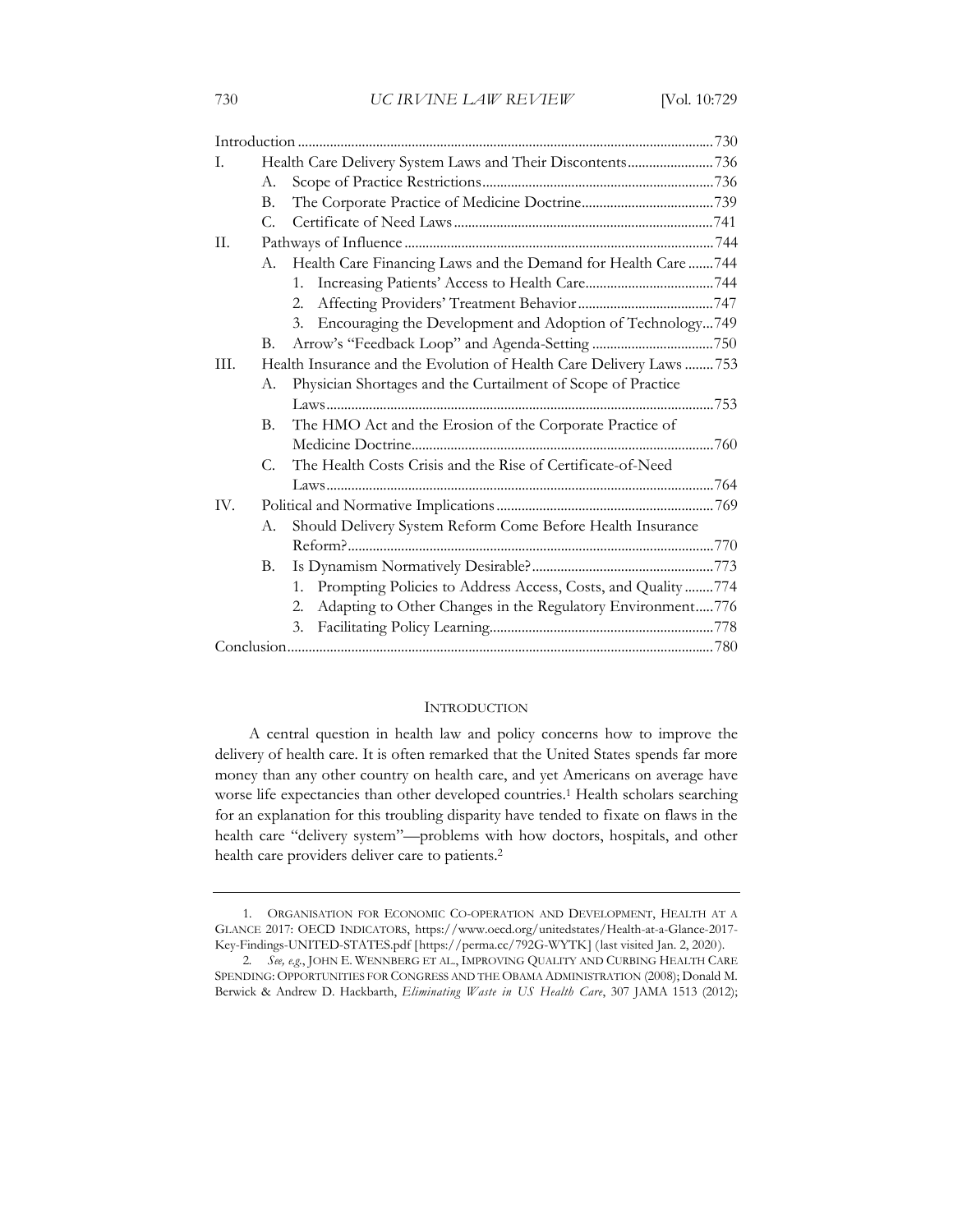| L.   |                                                                     |                                                                   |  |
|------|---------------------------------------------------------------------|-------------------------------------------------------------------|--|
|      | А.                                                                  |                                                                   |  |
|      | В.                                                                  |                                                                   |  |
|      | C.                                                                  |                                                                   |  |
| Π.   |                                                                     |                                                                   |  |
|      | А.                                                                  | Health Care Financing Laws and the Demand for Health Care 744     |  |
|      |                                                                     | $1_{-}$                                                           |  |
|      |                                                                     | 2.                                                                |  |
|      |                                                                     | Encouraging the Development and Adoption of Technology749<br>3.   |  |
|      | В.                                                                  |                                                                   |  |
| III. | Health Insurance and the Evolution of Health Care Delivery Laws 753 |                                                                   |  |
|      | А.                                                                  | Physician Shortages and the Curtailment of Scope of Practice      |  |
|      |                                                                     |                                                                   |  |
|      | В.                                                                  | The HMO Act and the Erosion of the Corporate Practice of          |  |
|      |                                                                     |                                                                   |  |
|      | С.                                                                  | The Health Costs Crisis and the Rise of Certificate-of-Need       |  |
|      |                                                                     |                                                                   |  |
| IV.  |                                                                     |                                                                   |  |
|      | А.                                                                  | Should Delivery System Reform Come Before Health Insurance        |  |
|      |                                                                     |                                                                   |  |
|      | В.                                                                  |                                                                   |  |
|      |                                                                     | Prompting Policies to Address Access, Costs, and Quality774<br>1. |  |
|      |                                                                     | Adapting to Other Changes in the Regulatory Environment776<br>2.  |  |
|      |                                                                     | 3.                                                                |  |
|      |                                                                     |                                                                   |  |

#### **INTRODUCTION**

A central question in health law and policy concerns how to improve the delivery of health care. It is often remarked that the United States spends far more money than any other country on health care, and yet Americans on average have worse life expectancies than other developed countries.<sup>1</sup> Health scholars searching for an explanation for this troubling disparity have tended to fixate on flaws in the health care "delivery system"—problems with how doctors, hospitals, and other health care providers deliver care to patients.2

<sup>1.</sup> ORGANISATION FOR ECONOMIC CO-OPERATION AND DEVELOPMENT, HEALTH AT A GLANCE 2017: OECD INDICATORS, https://www.oecd.org/unitedstates/Health-at-a-Glance-2017- Key-Findings-UNITED-STATES.pdf [https://perma.cc/792G-WYTK] (last visited Jan. 2, 2020).

<sup>2</sup>*. See, e.g.*, JOHN E. WENNBERG ET AL., IMPROVING QUALITY AND CURBING HEALTH CARE SPENDING: OPPORTUNITIES FOR CONGRESS AND THE OBAMA ADMINISTRATION (2008); Donald M. Berwick & Andrew D. Hackbarth, *Eliminating Waste in US Health Care*, 307 JAMA 1513 (2012);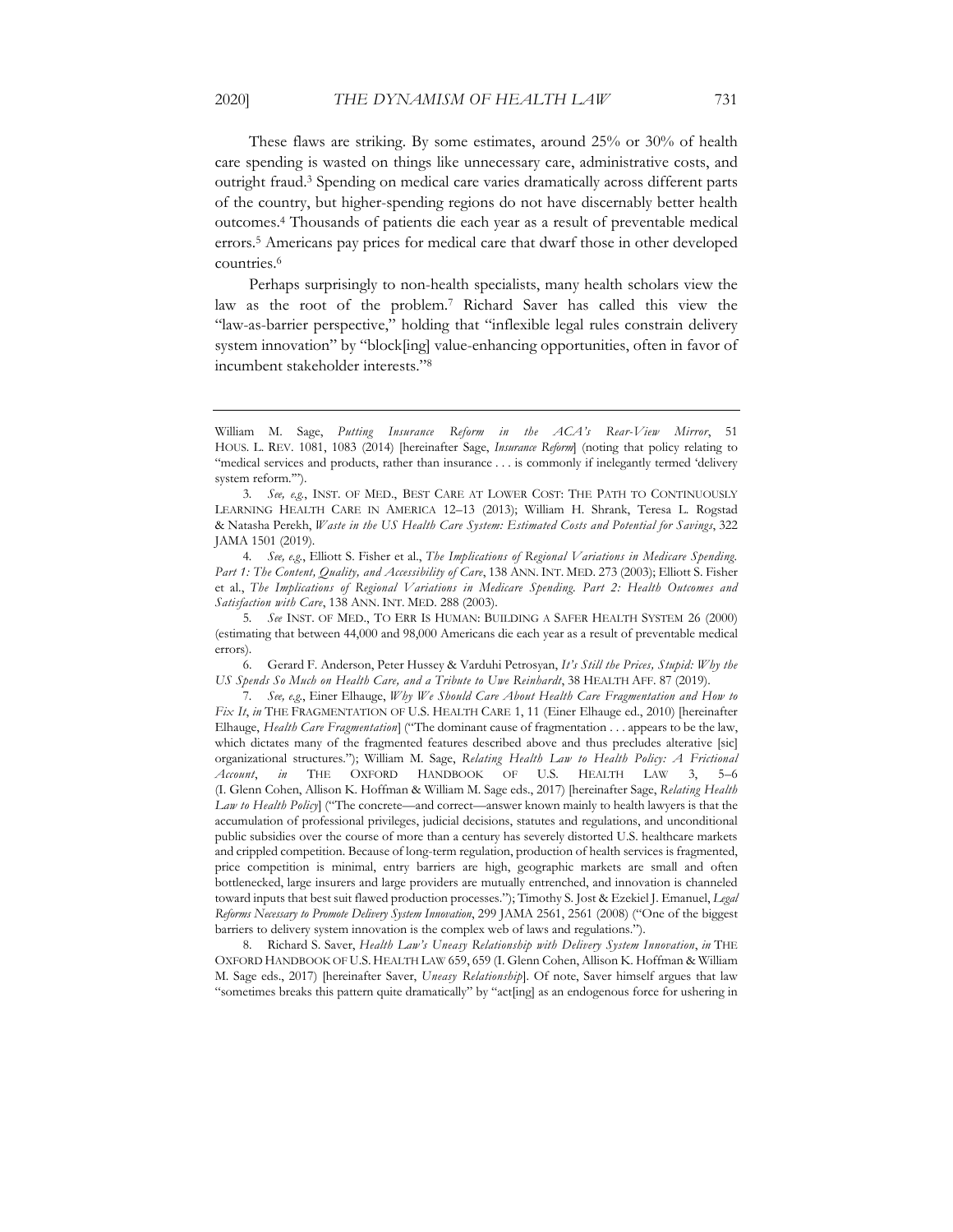care spending is wasted on things like unnecessary care, administrative costs, and outright fraud.3 Spending on medical care varies dramatically across different parts of the country, but higher-spending regions do not have discernably better health outcomes.4 Thousands of patients die each year as a result of preventable medical errors.5 Americans pay prices for medical care that dwarf those in other developed countries.6

Perhaps surprisingly to non-health specialists, many health scholars view the law as the root of the problem.7 Richard Saver has called this view the "law-as-barrier perspective," holding that "inflexible legal rules constrain delivery system innovation" by "block[ing] value-enhancing opportunities, often in favor of incumbent stakeholder interests."8

William M. Sage, *Putting Insurance Reform in the ACA's Rear-View Mirror*, 51 HOUS. L. REV. 1081, 1083 (2014) [hereinafter Sage, *Insurance Reform*] (noting that policy relating to "medical services and products, rather than insurance . . . is commonly if inelegantly termed 'delivery system reform.'").

<sup>3</sup>*. See, e.g.*, INST. OF MED., BEST CARE AT LOWER COST: THE PATH TO CONTINUOUSLY LEARNING HEALTH CARE IN AMERICA 12–13 (2013); William H. Shrank, Teresa L. Rogstad & Natasha Perekh, *Waste in the US Health Care System: Estimated Costs and Potential for Savings*, 322 JAMA 1501 (2019).

<sup>4</sup>*. See, e.g.*, Elliott S. Fisher et al., *The Implications of Regional Variations in Medicare Spending. Part 1: The Content, Quality, and Accessibility of Care*, 138 ANN.INT. MED. 273 (2003); Elliott S. Fisher et al., *The Implications of Regional Variations in Medicare Spending. Part 2: Health Outcomes and Satisfaction with Care*, 138 ANN. INT. MED. 288 (2003).

<sup>5</sup>*. See* INST. OF MED., TO ERR IS HUMAN: BUILDING A SAFER HEALTH SYSTEM 26 (2000) (estimating that between 44,000 and 98,000 Americans die each year as a result of preventable medical errors).

<sup>6.</sup> Gerard F. Anderson, Peter Hussey & Varduhi Petrosyan, *It's Still the Prices, Stupid: Why the US Spends So Much on Health Care, and a Tribute to Uwe Reinhardt*, 38 HEALTH AFF. 87 (2019).

<sup>7</sup>*. See, e.g.*, Einer Elhauge, *Why We Should Care About Health Care Fragmentation and How to Fix It*, *in* THE FRAGMENTATION OF U.S. HEALTH CARE 1, 11 (Einer Elhauge ed., 2010) [hereinafter Elhauge, *Health Care Fragmentation*] ("The dominant cause of fragmentation . . . appears to be the law, which dictates many of the fragmented features described above and thus precludes alterative [sic] organizational structures."); William M. Sage, *Relating Health Law to Health Policy: A Frictional Account*, *in* THE OXFORD HANDBOOK OF U.S. HEALTH LAW 3, 5–6 (I. Glenn Cohen, Allison K. Hoffman & William M. Sage eds., 2017) [hereinafter Sage, *Relating Health Law to Health Policy*] ("The concrete—and correct—answer known mainly to health lawyers is that the accumulation of professional privileges, judicial decisions, statutes and regulations, and unconditional public subsidies over the course of more than a century has severely distorted U.S. healthcare markets and crippled competition. Because of long-term regulation, production of health services is fragmented, price competition is minimal, entry barriers are high, geographic markets are small and often bottlenecked, large insurers and large providers are mutually entrenched, and innovation is channeled toward inputs that best suit flawed production processes."); Timothy S. Jost & Ezekiel J. Emanuel, *Legal Reforms Necessary to Promote Delivery System Innovation*, 299 JAMA 2561, 2561 (2008) ("One of the biggest barriers to delivery system innovation is the complex web of laws and regulations.").

<sup>8.</sup> Richard S. Saver, *Health Law's Uneasy Relationship with Delivery System Innovation*, *in* THE OXFORD HANDBOOK OF U.S. HEALTH LAW 659, 659 (I. Glenn Cohen, Allison K. Hoffman & William M. Sage eds., 2017) [hereinafter Saver, *Uneasy Relationship*]. Of note, Saver himself argues that law "sometimes breaks this pattern quite dramatically" by "act[ing] as an endogenous force for ushering in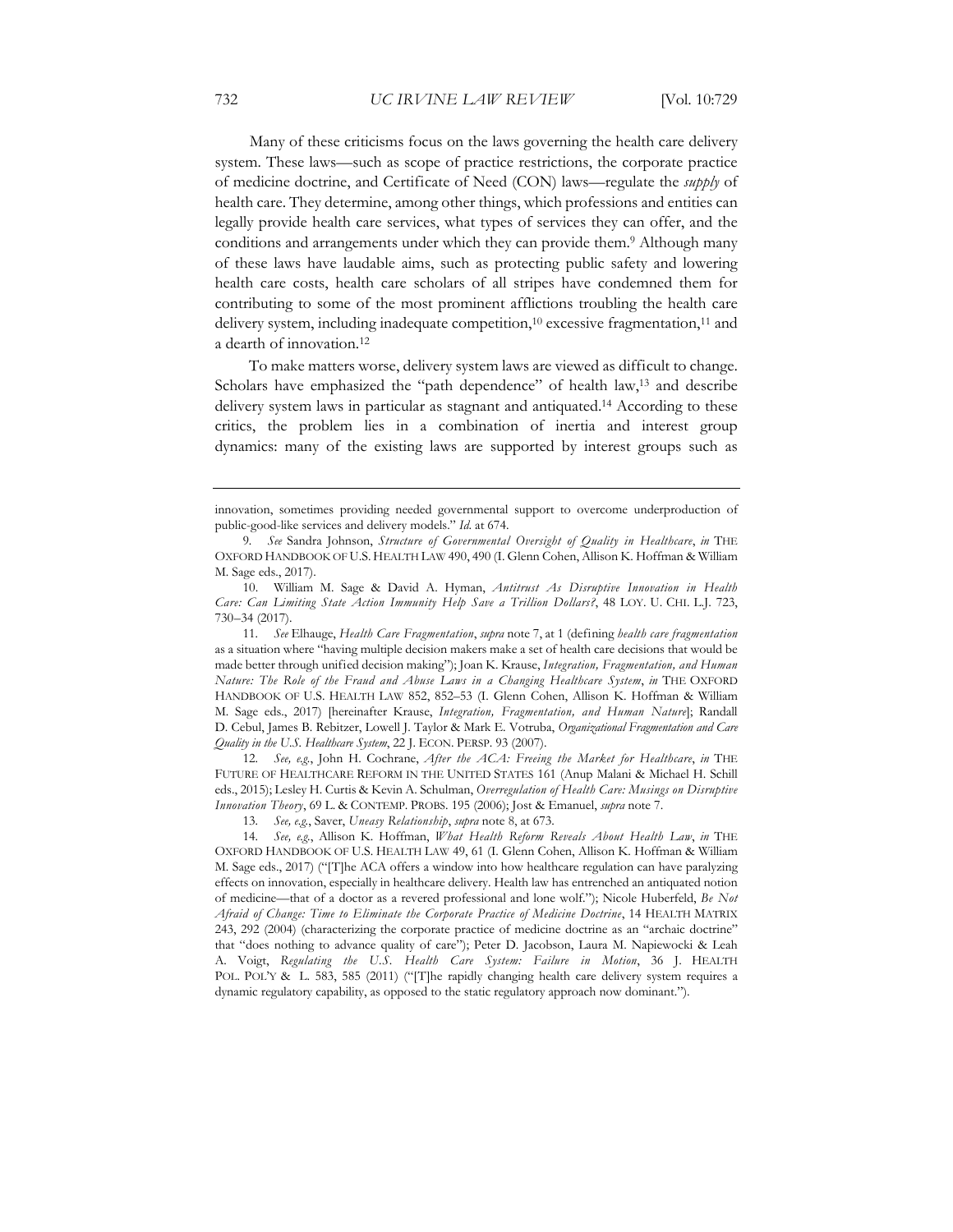Many of these criticisms focus on the laws governing the health care delivery system. These laws—such as scope of practice restrictions, the corporate practice of medicine doctrine, and Certificate of Need (CON) laws—regulate the *supply* of health care. They determine, among other things, which professions and entities can legally provide health care services, what types of services they can offer, and the conditions and arrangements under which they can provide them.<sup>9</sup> Although many of these laws have laudable aims, such as protecting public safety and lowering health care costs, health care scholars of all stripes have condemned them for contributing to some of the most prominent afflictions troubling the health care delivery system, including inadequate competition,<sup>10</sup> excessive fragmentation,<sup>11</sup> and a dearth of innovation.12

To make matters worse, delivery system laws are viewed as difficult to change. Scholars have emphasized the "path dependence" of health law,<sup>13</sup> and describe delivery system laws in particular as stagnant and antiquated.14 According to these critics, the problem lies in a combination of inertia and interest group dynamics: many of the existing laws are supported by interest groups such as

12*. See, e.g.*, John H. Cochrane, *After the ACA: Freeing the Market for Healthcare*, *in* THE FUTURE OF HEALTHCARE REFORM IN THE UNITED STATES 161 (Anup Malani & Michael H. Schill eds., 2015); Lesley H. Curtis & Kevin A. Schulman, *Overregulation of Health Care: Musings on Disruptive Innovation Theory*, 69 L. & CONTEMP. PROBS. 195 (2006); Jost & Emanuel, *supra* note 7.

13*. See, e.g.*, Saver, *Uneasy Relationship*, *supra* note 8, at 673.

innovation, sometimes providing needed governmental support to overcome underproduction of public-good-like services and delivery models." *Id*. at 674.

<sup>9</sup>*. See* Sandra Johnson, *Structure of Governmental Oversight of Quality in Healthcare*, *in* THE OXFORD HANDBOOK OF U.S. HEALTH LAW 490, 490 (I. Glenn Cohen, Allison K. Hoffman & William M. Sage eds., 2017).

<sup>10.</sup> William M. Sage & David A. Hyman, *Antitrust As Disruptive Innovation in Health Care: Can Limiting State Action Immunity Help Save a Trillion Dollars?*, 48 LOY. U. CHI. L.J. 723, 730–34 (2017).

<sup>11</sup>*. See* Elhauge, *Health Care Fragmentation*, *supra* note 7, at 1 (defining *health care fragmentation* as a situation where "having multiple decision makers make a set of health care decisions that would be made better through unified decision making"); Joan K. Krause, *Integration, Fragmentation, and Human Nature: The Role of the Fraud and Abuse Laws in a Changing Healthcare System*, *in* THE OXFORD HANDBOOK OF U.S. HEALTH LAW 852, 852–53 (I. Glenn Cohen, Allison K. Hoffman & William M. Sage eds., 2017) [hereinafter Krause, *Integration, Fragmentation, and Human Nature*]; Randall D. Cebul, James B. Rebitzer, Lowell J. Taylor & Mark E. Votruba, *Organizational Fragmentation and Care Quality in the U.S. Healthcare System*, 22 J. ECON. PERSP. 93 (2007).

<sup>14</sup>*. See, e.g.*, Allison K. Hoffman, *What Health Reform Reveals About Health Law*, *in* THE OXFORD HANDBOOK OF U.S. HEALTH LAW 49, 61 (I. Glenn Cohen, Allison K. Hoffman & William M. Sage eds., 2017) ("[T]he ACA offers a window into how healthcare regulation can have paralyzing effects on innovation, especially in healthcare delivery. Health law has entrenched an antiquated notion of medicine—that of a doctor as a revered professional and lone wolf."); Nicole Huberfeld, *Be Not Afraid of Change: Time to Eliminate the Corporate Practice of Medicine Doctrine*, 14 HEALTH MATRIX 243, 292 (2004) (characterizing the corporate practice of medicine doctrine as an "archaic doctrine" that "does nothing to advance quality of care"); Peter D. Jacobson, Laura M. Napiewocki & Leah A. Voigt, *Regulating the U.S. Health Care System: Failure in Motion*, 36 J. HEALTH POL. POL'Y & L. 583, 585 (2011) ("[T]he rapidly changing health care delivery system requires a dynamic regulatory capability, as opposed to the static regulatory approach now dominant.").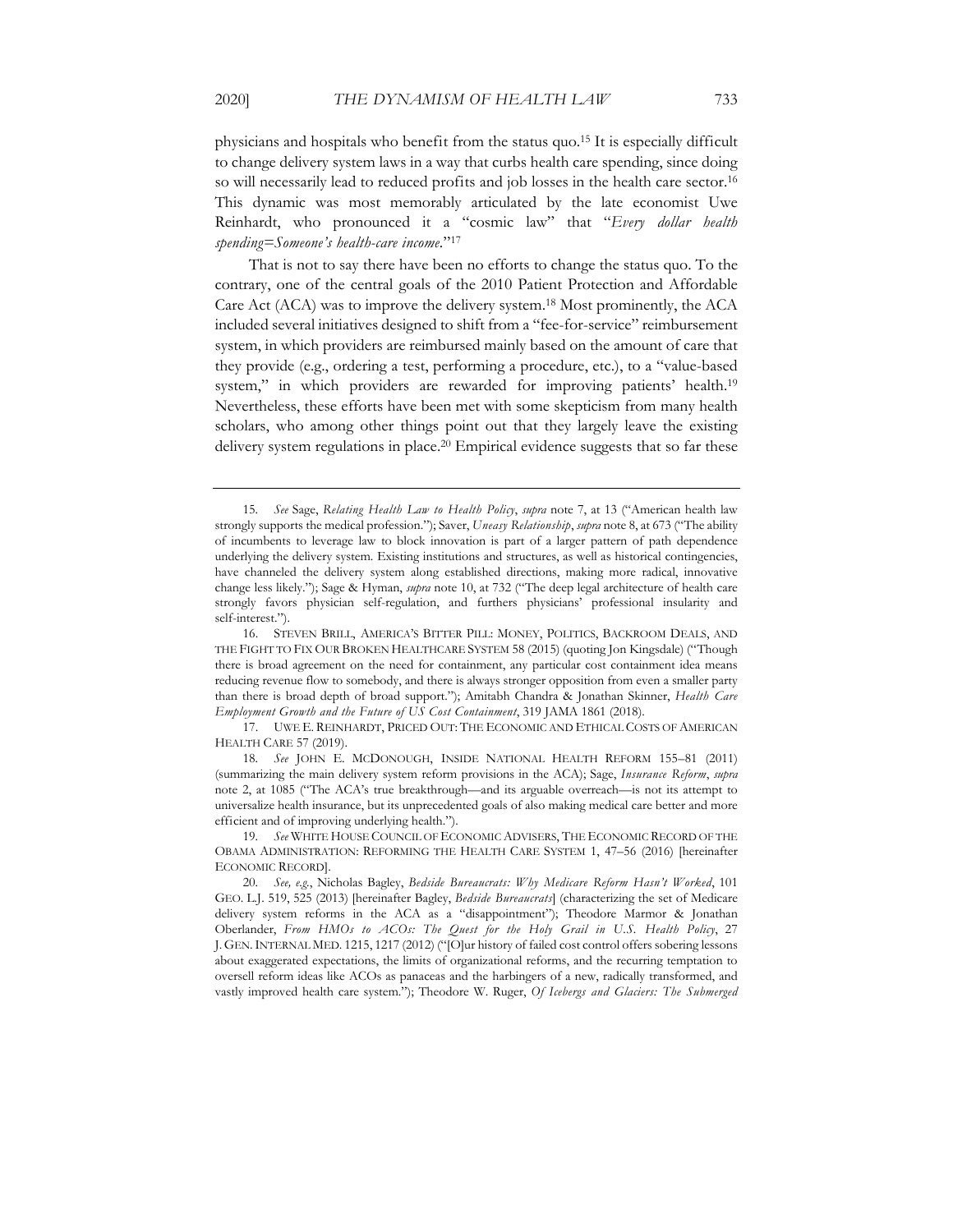physicians and hospitals who benefit from the status quo.15 It is especially difficult to change delivery system laws in a way that curbs health care spending, since doing so will necessarily lead to reduced profits and job losses in the health care sector.<sup>16</sup> This dynamic was most memorably articulated by the late economist Uwe Reinhardt, who pronounced it a "cosmic law" that "*Every dollar health spending=Someone's health-care income*."17

That is not to say there have been no efforts to change the status quo. To the contrary, one of the central goals of the 2010 Patient Protection and Affordable Care Act (ACA) was to improve the delivery system.18 Most prominently, the ACA included several initiatives designed to shift from a "fee-for-service" reimbursement system, in which providers are reimbursed mainly based on the amount of care that they provide (e.g., ordering a test, performing a procedure, etc.), to a "value-based system," in which providers are rewarded for improving patients' health.<sup>19</sup> Nevertheless, these efforts have been met with some skepticism from many health scholars, who among other things point out that they largely leave the existing delivery system regulations in place.20 Empirical evidence suggests that so far these

<sup>15</sup>*. See* Sage, *Relating Health Law to Health Policy*, *supra* note 7, at 13 ("American health law strongly supports the medical profession."); Saver, *Uneasy Relationship*, *supra* note 8, at 673 ("The ability of incumbents to leverage law to block innovation is part of a larger pattern of path dependence underlying the delivery system. Existing institutions and structures, as well as historical contingencies, have channeled the delivery system along established directions, making more radical, innovative change less likely."); Sage & Hyman, *supra* note 10, at 732 ("The deep legal architecture of health care strongly favors physician self-regulation, and furthers physicians' professional insularity and self-interest.").

<sup>16.</sup> STEVEN BRILL, AMERICA'S BITTER PILL: MONEY, POLITICS, BACKROOM DEALS, AND THE FIGHT TO FIX OUR BROKEN HEALTHCARE SYSTEM 58 (2015) (quoting Jon Kingsdale) ("Though there is broad agreement on the need for containment, any particular cost containment idea means reducing revenue flow to somebody, and there is always stronger opposition from even a smaller party than there is broad depth of broad support."); Amitabh Chandra & Jonathan Skinner, *Health Care Employment Growth and the Future of US Cost Containment*, 319 JAMA 1861 (2018).

<sup>17.</sup> UWE E. REINHARDT, PRICED OUT: THE ECONOMIC AND ETHICAL COSTS OF AMERICAN HEALTH CARE 57 (2019).

<sup>18</sup>*. See* JOHN E. MCDONOUGH, INSIDE NATIONAL HEALTH REFORM 155–81 (2011) (summarizing the main delivery system reform provisions in the ACA); Sage, *Insurance Reform*, *supra* note 2, at 1085 ("The ACA's true breakthrough—and its arguable overreach—is not its attempt to universalize health insurance, but its unprecedented goals of also making medical care better and more efficient and of improving underlying health.").

<sup>19</sup>*. See* WHITE HOUSE COUNCIL OF ECONOMIC ADVISERS, THE ECONOMIC RECORD OF THE OBAMA ADMINISTRATION: REFORMING THE HEALTH CARE SYSTEM 1, 47–56 (2016) [hereinafter ECONOMIC RECORD].

<sup>20</sup>*. See, e.g.*, Nicholas Bagley, *Bedside Bureaucrats: Why Medicare Reform Hasn't Worked*, 101 GEO. L.J. 519, 525 (2013) [hereinafter Bagley, *Bedside Bureaucrats*] (characterizing the set of Medicare delivery system reforms in the ACA as a "disappointment"); Theodore Marmor & Jonathan Oberlander, *From HMOs to ACOs: The Quest for the Holy Grail in U.S. Health Policy*, 27 J. GEN.INTERNAL MED. 1215, 1217 (2012) ("[O]ur history of failed cost control offers sobering lessons about exaggerated expectations, the limits of organizational reforms, and the recurring temptation to oversell reform ideas like ACOs as panaceas and the harbingers of a new, radically transformed, and vastly improved health care system."); Theodore W. Ruger, *Of Icebergs and Glaciers: The Submerged*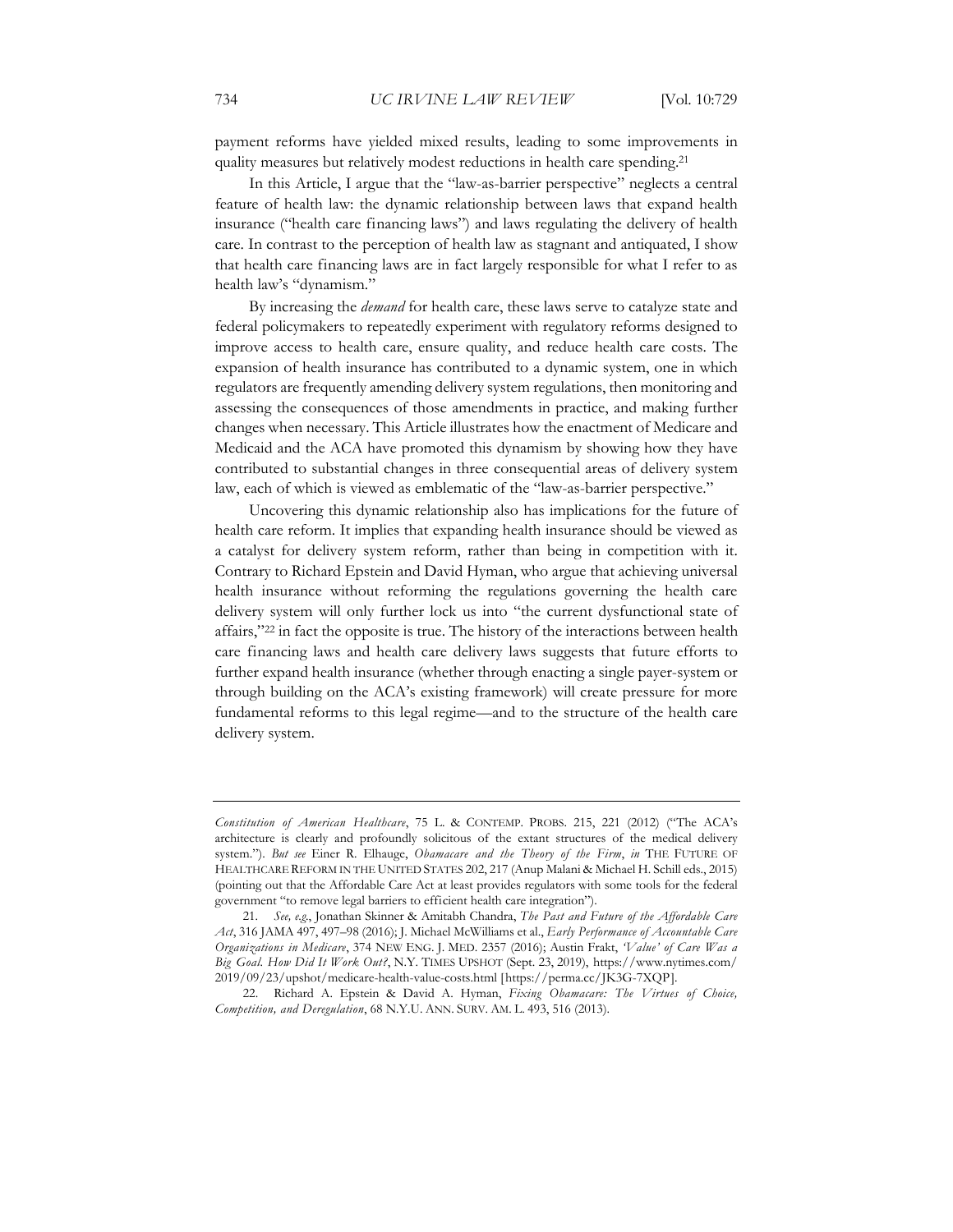payment reforms have yielded mixed results, leading to some improvements in quality measures but relatively modest reductions in health care spending.<sup>21</sup>

In this Article, I argue that the "law-as-barrier perspective" neglects a central feature of health law: the dynamic relationship between laws that expand health insurance ("health care financing laws") and laws regulating the delivery of health care. In contrast to the perception of health law as stagnant and antiquated, I show that health care financing laws are in fact largely responsible for what I refer to as health law's "dynamism."

By increasing the *demand* for health care, these laws serve to catalyze state and federal policymakers to repeatedly experiment with regulatory reforms designed to improve access to health care, ensure quality, and reduce health care costs. The expansion of health insurance has contributed to a dynamic system, one in which regulators are frequently amending delivery system regulations, then monitoring and assessing the consequences of those amendments in practice, and making further changes when necessary. This Article illustrates how the enactment of Medicare and Medicaid and the ACA have promoted this dynamism by showing how they have contributed to substantial changes in three consequential areas of delivery system law, each of which is viewed as emblematic of the "law-as-barrier perspective."

Uncovering this dynamic relationship also has implications for the future of health care reform. It implies that expanding health insurance should be viewed as a catalyst for delivery system reform, rather than being in competition with it. Contrary to Richard Epstein and David Hyman, who argue that achieving universal health insurance without reforming the regulations governing the health care delivery system will only further lock us into "the current dysfunctional state of affairs,"22 in fact the opposite is true. The history of the interactions between health care financing laws and health care delivery laws suggests that future efforts to further expand health insurance (whether through enacting a single payer-system or through building on the ACA's existing framework) will create pressure for more fundamental reforms to this legal regime—and to the structure of the health care delivery system.

*Constitution of American Healthcare*, 75 L. & CONTEMP. PROBS. 215, 221 (2012) ("The ACA's architecture is clearly and profoundly solicitous of the extant structures of the medical delivery system."). *But see* Einer R. Elhauge, *Obamacare and the Theory of the Firm*, *in* THE FUTURE OF HEALTHCARE REFORM IN THE UNITED STATES 202, 217 (Anup Malani & Michael H. Schill eds., 2015) (pointing out that the Affordable Care Act at least provides regulators with some tools for the federal government "to remove legal barriers to efficient health care integration").

<sup>21</sup>*. See, e.g.*, Jonathan Skinner & Amitabh Chandra, *The Past and Future of the Affordable Care Act*, 316 JAMA 497, 497–98 (2016); J. Michael McWilliams et al., *Early Performance of Accountable Care Organizations in Medicare*, 374 NEW ENG. J. MED. 2357 (2016); Austin Frakt, *'Value' of Care Was a Big Goal. How Did It Work Out?*, N.Y. TIMES UPSHOT (Sept. 23, 2019), https://www.nytimes.com/ 2019/09/23/upshot/medicare-health-value-costs.html [https://perma.cc/JK3G-7XQP].

<sup>22.</sup> Richard A. Epstein & David A. Hyman, *Fixing Obamacare: The Virtues of Choice, Competition, and Deregulation*, 68 N.Y.U. ANN. SURV. AM. L. 493, 516 (2013).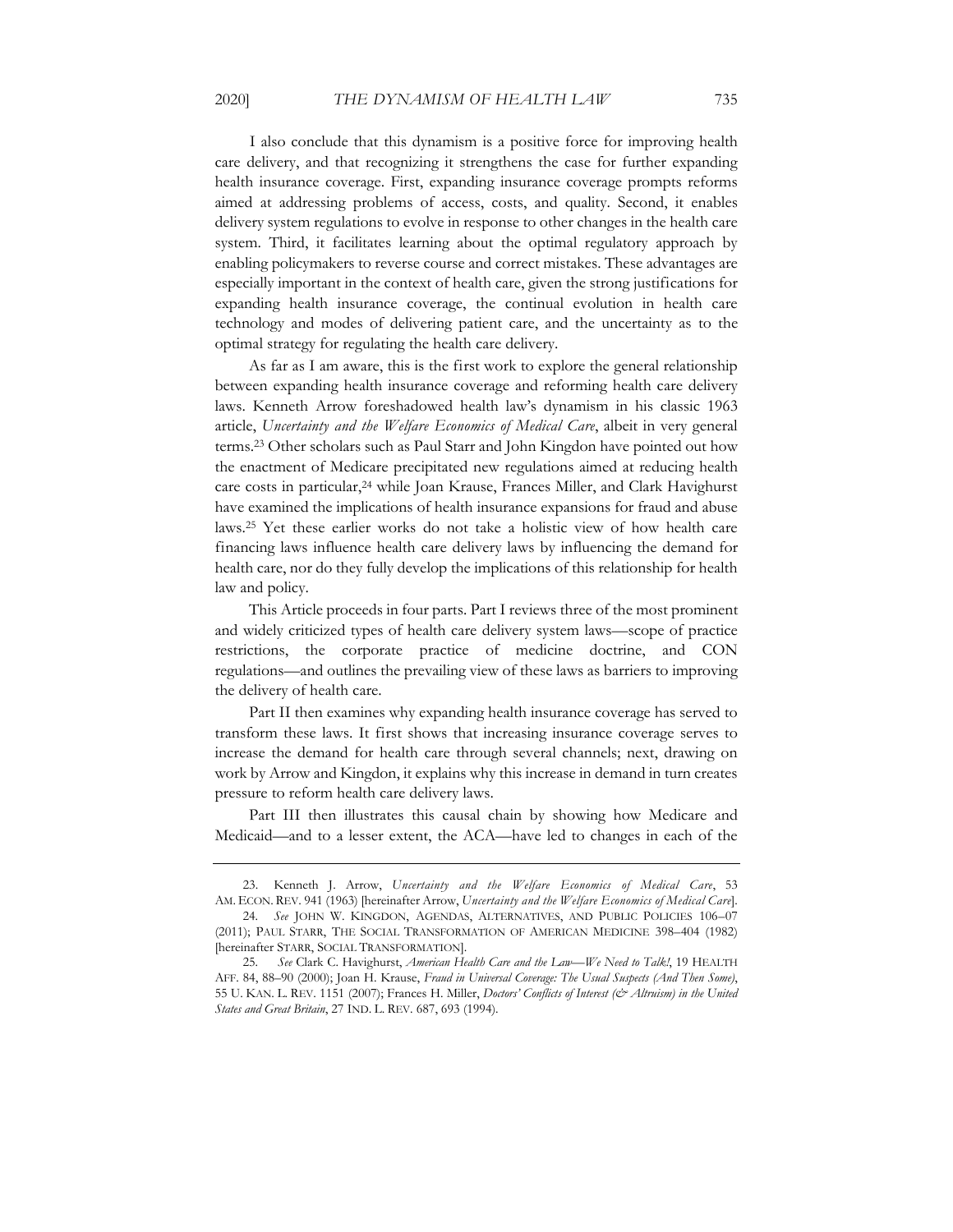I also conclude that this dynamism is a positive force for improving health care delivery, and that recognizing it strengthens the case for further expanding health insurance coverage. First, expanding insurance coverage prompts reforms aimed at addressing problems of access, costs, and quality. Second, it enables delivery system regulations to evolve in response to other changes in the health care system. Third, it facilitates learning about the optimal regulatory approach by enabling policymakers to reverse course and correct mistakes. These advantages are especially important in the context of health care, given the strong justifications for expanding health insurance coverage, the continual evolution in health care technology and modes of delivering patient care, and the uncertainty as to the optimal strategy for regulating the health care delivery.

As far as I am aware, this is the first work to explore the general relationship between expanding health insurance coverage and reforming health care delivery laws. Kenneth Arrow foreshadowed health law's dynamism in his classic 1963 article, *Uncertainty and the Welfare Economics of Medical Care*, albeit in very general terms.23 Other scholars such as Paul Starr and John Kingdon have pointed out how the enactment of Medicare precipitated new regulations aimed at reducing health care costs in particular,<sup>24</sup> while Joan Krause, Frances Miller, and Clark Havighurst have examined the implications of health insurance expansions for fraud and abuse laws.25 Yet these earlier works do not take a holistic view of how health care financing laws influence health care delivery laws by influencing the demand for health care, nor do they fully develop the implications of this relationship for health law and policy.

This Article proceeds in four parts. Part I reviews three of the most prominent and widely criticized types of health care delivery system laws—scope of practice restrictions, the corporate practice of medicine doctrine, and CON regulations—and outlines the prevailing view of these laws as barriers to improving the delivery of health care.

Part II then examines why expanding health insurance coverage has served to transform these laws. It first shows that increasing insurance coverage serves to increase the demand for health care through several channels; next, drawing on work by Arrow and Kingdon, it explains why this increase in demand in turn creates pressure to reform health care delivery laws.

Part III then illustrates this causal chain by showing how Medicare and Medicaid—and to a lesser extent, the ACA—have led to changes in each of the

<sup>23.</sup> Kenneth J. Arrow, *Uncertainty and the Welfare Economics of Medical Care*, 53 AM. ECON. REV. 941 (1963) [hereinafter Arrow, *Uncertainty and the Welfare Economics of Medical Care*].

<sup>24</sup>*. See* JOHN W. KINGDON, AGENDAS, ALTERNATIVES, AND PUBLIC POLICIES 106–07 (2011); PAUL STARR, THE SOCIAL TRANSFORMATION OF AMERICAN MEDICINE 398–404 (1982) [hereinafter STARR, SOCIAL TRANSFORMATION].

<sup>25</sup>*. See* Clark C. Havighurst, *American Health Care and the Law—We Need to Talk!*, 19 HEALTH AFF. 84, 88–90 (2000); Joan H. Krause, *Fraud in Universal Coverage: The Usual Suspects (And Then Some)*, 55 U. KAN. L. REV. 1151 (2007); Frances H. Miller, *Doctors' Conflicts of Interest (& Altruism) in the United States and Great Britain*, 27 IND. L. REV. 687, 693 (1994).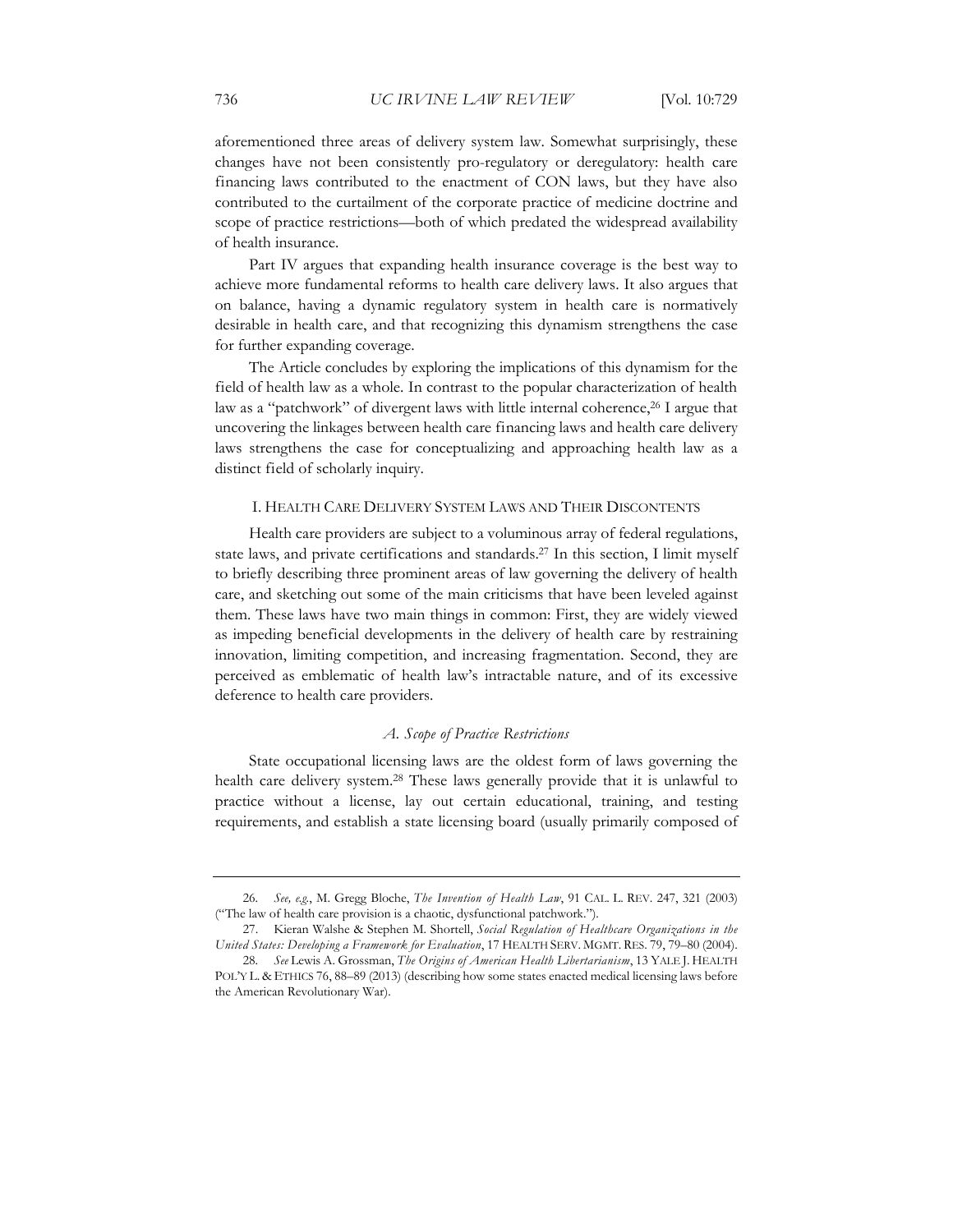aforementioned three areas of delivery system law. Somewhat surprisingly, these changes have not been consistently pro-regulatory or deregulatory: health care financing laws contributed to the enactment of CON laws, but they have also contributed to the curtailment of the corporate practice of medicine doctrine and scope of practice restrictions—both of which predated the widespread availability of health insurance.

Part IV argues that expanding health insurance coverage is the best way to achieve more fundamental reforms to health care delivery laws. It also argues that on balance, having a dynamic regulatory system in health care is normatively desirable in health care, and that recognizing this dynamism strengthens the case for further expanding coverage.

The Article concludes by exploring the implications of this dynamism for the field of health law as a whole. In contrast to the popular characterization of health law as a "patchwork" of divergent laws with little internal coherence,<sup>26</sup> I argue that uncovering the linkages between health care financing laws and health care delivery laws strengthens the case for conceptualizing and approaching health law as a distinct field of scholarly inquiry.

#### I. HEALTH CARE DELIVERY SYSTEM LAWS AND THEIR DISCONTENTS

Health care providers are subject to a voluminous array of federal regulations, state laws, and private certifications and standards.<sup>27</sup> In this section, I limit myself to briefly describing three prominent areas of law governing the delivery of health care, and sketching out some of the main criticisms that have been leveled against them. These laws have two main things in common: First, they are widely viewed as impeding beneficial developments in the delivery of health care by restraining innovation, limiting competition, and increasing fragmentation. Second, they are perceived as emblematic of health law's intractable nature, and of its excessive deference to health care providers.

## *A. Scope of Practice Restrictions*

State occupational licensing laws are the oldest form of laws governing the health care delivery system.28 These laws generally provide that it is unlawful to practice without a license, lay out certain educational, training, and testing requirements, and establish a state licensing board (usually primarily composed of

<sup>26</sup>*. See, e.g.*, M. Gregg Bloche, *The Invention of Health Law*, 91 CAL. L. REV. 247, 321 (2003) ("The law of health care provision is a chaotic, dysfunctional patchwork.").

<sup>27.</sup> Kieran Walshe & Stephen M. Shortell, *Social Regulation of Healthcare Organizations in the United States: Developing a Framework for Evaluation*, 17 HEALTH SERV. MGMT. RES. 79, 79–80 (2004).

<sup>28</sup>*. See* Lewis A. Grossman, *The Origins of American Health Libertarianism*, 13 YALE J. HEALTH POL'Y L. & ETHICS 76, 88–89 (2013) (describing how some states enacted medical licensing laws before the American Revolutionary War).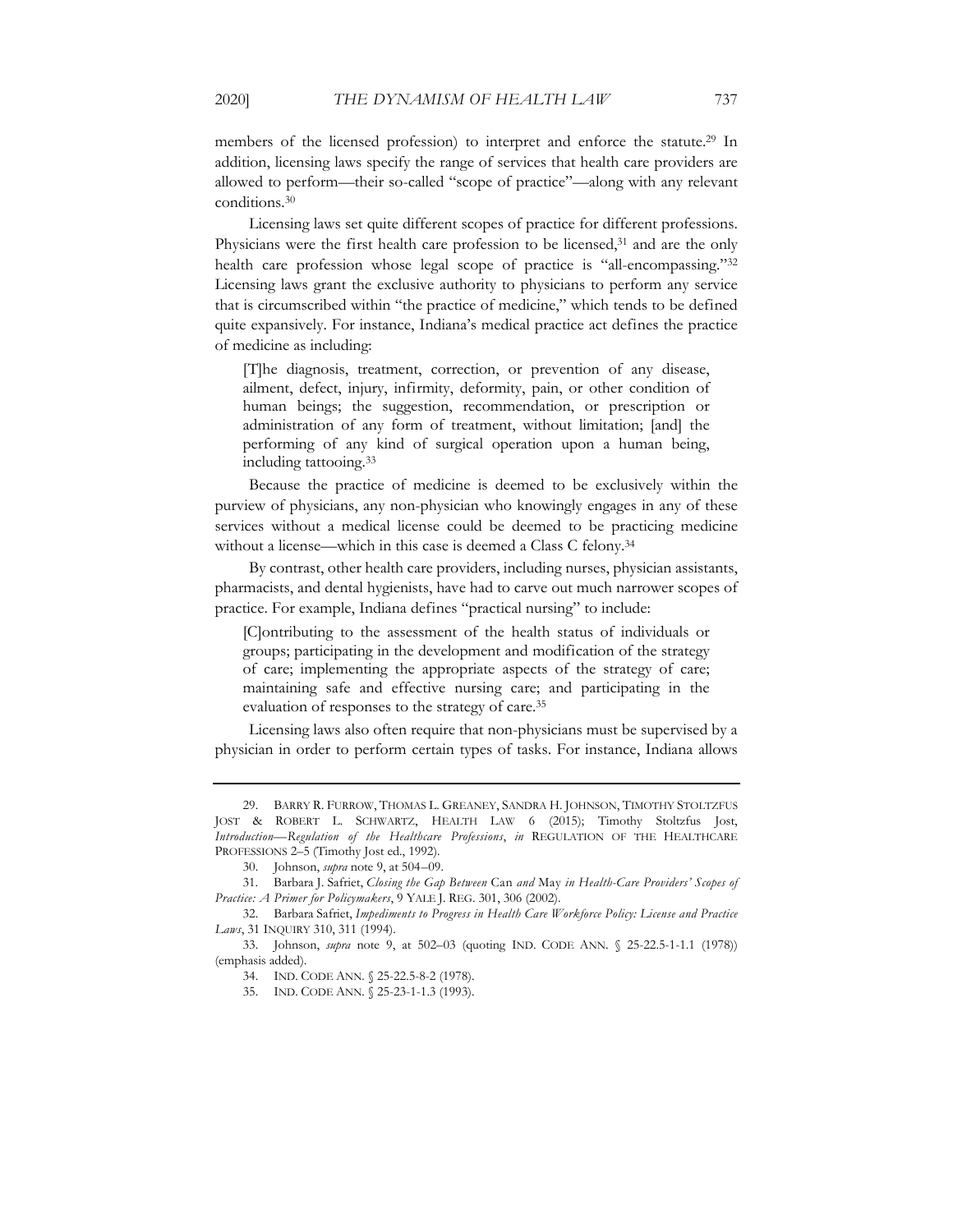members of the licensed profession) to interpret and enforce the statute.29 In addition, licensing laws specify the range of services that health care providers are allowed to perform—their so-called "scope of practice"—along with any relevant conditions.30

Licensing laws set quite different scopes of practice for different professions. Physicians were the first health care profession to be licensed,<sup>31</sup> and are the only health care profession whose legal scope of practice is "all-encompassing."32 Licensing laws grant the exclusive authority to physicians to perform any service that is circumscribed within "the practice of medicine," which tends to be defined quite expansively. For instance, Indiana's medical practice act defines the practice of medicine as including:

[T]he diagnosis, treatment, correction, or prevention of any disease, ailment, defect, injury, infirmity, deformity, pain, or other condition of human beings; the suggestion, recommendation, or prescription or administration of any form of treatment, without limitation; [and] the performing of any kind of surgical operation upon a human being, including tattooing.33

Because the practice of medicine is deemed to be exclusively within the purview of physicians, any non-physician who knowingly engages in any of these services without a medical license could be deemed to be practicing medicine without a license—which in this case is deemed a Class C felony.34

By contrast, other health care providers, including nurses, physician assistants, pharmacists, and dental hygienists, have had to carve out much narrower scopes of practice. For example, Indiana defines "practical nursing" to include:

[C]ontributing to the assessment of the health status of individuals or groups; participating in the development and modification of the strategy of care; implementing the appropriate aspects of the strategy of care; maintaining safe and effective nursing care; and participating in the evaluation of responses to the strategy of care.35

Licensing laws also often require that non-physicians must be supervised by a physician in order to perform certain types of tasks. For instance, Indiana allows

<sup>29.</sup> BARRY R. FURROW, THOMAS L. GREANEY, SANDRA H. JOHNSON, TIMOTHY STOLTZFUS JOST & ROBERT L. SCHWARTZ, HEALTH LAW 6 (2015); Timothy Stoltzfus Jost, *Introduction—Regulation of the Healthcare Professions*, *in* REGULATION OF THE HEALTHCARE PROFESSIONS 2–5 (Timothy Jost ed., 1992).

<sup>30.</sup> Johnson, *supra* note 9, at 504–09.

<sup>31.</sup> Barbara J. Safriet, *Closing the Gap Between* Can *and* May *in Health-Care Providers' Scopes of Practice: A Primer for Policymakers*, 9 YALE J. REG. 301, 306 (2002).

<sup>32.</sup> Barbara Safriet, *Impediments to Progress in Health Care Workforce Policy: License and Practice Laws*, 31 INQUIRY 310, 311 (1994).

<sup>33.</sup> Johnson, *supra* note 9, at 502–03 (quoting IND. CODE ANN. § 25-22.5-1-1.1 (1978)) (emphasis added).

<sup>34.</sup> IND. CODE ANN. § 25-22.5-8-2 (1978).

<sup>35.</sup> IND. CODE ANN. § 25-23-1-1.3 (1993).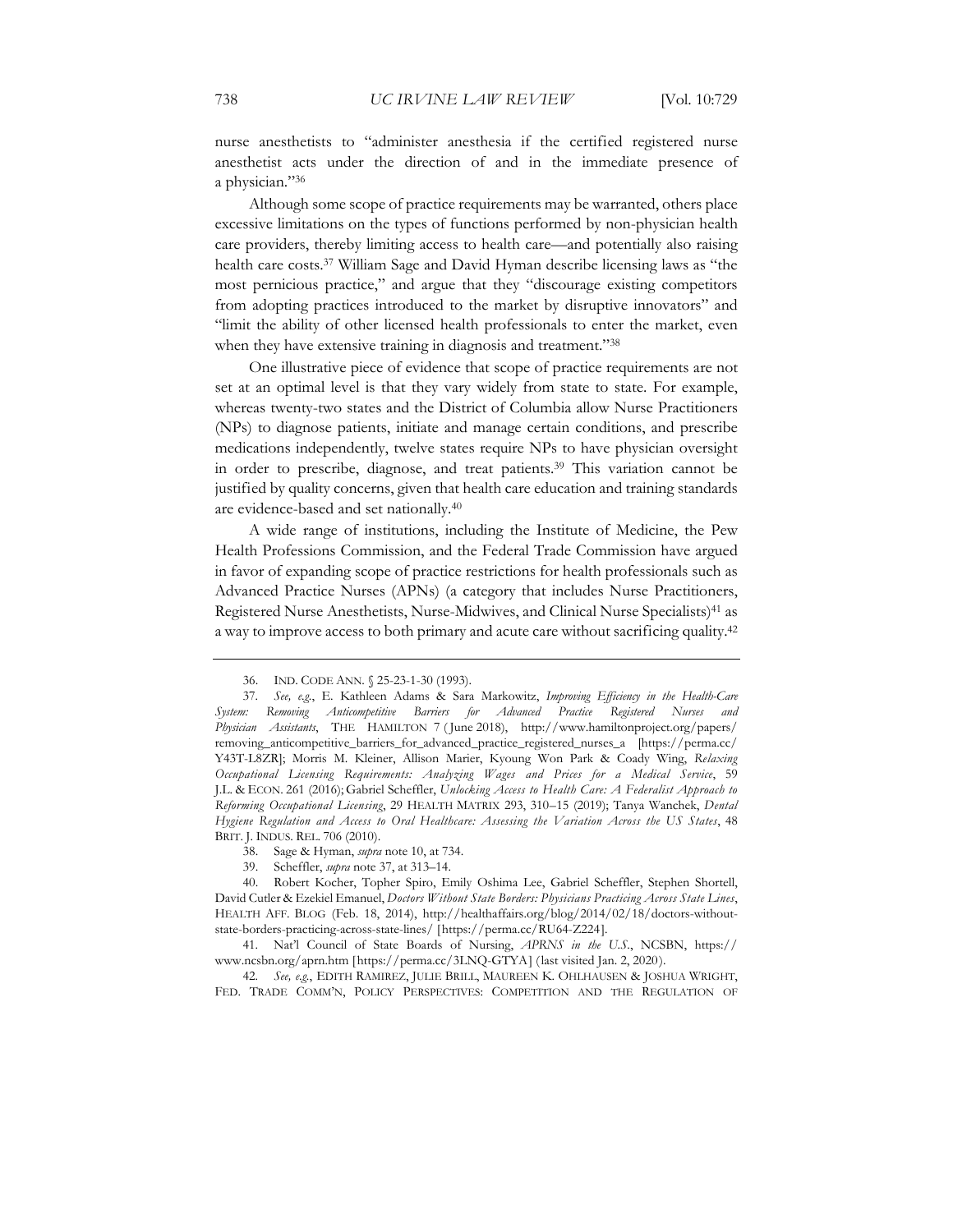nurse anesthetists to "administer anesthesia if the certified registered nurse anesthetist acts under the direction of and in the immediate presence of a physician."36

Although some scope of practice requirements may be warranted, others place excessive limitations on the types of functions performed by non-physician health care providers, thereby limiting access to health care—and potentially also raising health care costs.37 William Sage and David Hyman describe licensing laws as "the most pernicious practice," and argue that they "discourage existing competitors from adopting practices introduced to the market by disruptive innovators" and "limit the ability of other licensed health professionals to enter the market, even when they have extensive training in diagnosis and treatment."38

One illustrative piece of evidence that scope of practice requirements are not set at an optimal level is that they vary widely from state to state. For example, whereas twenty-two states and the District of Columbia allow Nurse Practitioners (NPs) to diagnose patients, initiate and manage certain conditions, and prescribe medications independently, twelve states require NPs to have physician oversight in order to prescribe, diagnose, and treat patients.39 This variation cannot be justified by quality concerns, given that health care education and training standards are evidence-based and set nationally.40

A wide range of institutions, including the Institute of Medicine, the Pew Health Professions Commission, and the Federal Trade Commission have argued in favor of expanding scope of practice restrictions for health professionals such as Advanced Practice Nurses (APNs) (a category that includes Nurse Practitioners, Registered Nurse Anesthetists, Nurse-Midwives, and Clinical Nurse Specialists)<sup>41</sup> as a way to improve access to both primary and acute care without sacrificing quality.42

<sup>36.</sup> IND. CODE ANN. § 25-23-1-30 (1993).

<sup>37</sup>*. See, e.g.*, E. Kathleen Adams & Sara Markowitz, *Improving Efficiency in the Health-Care System: Removing Anticompetitive Barriers for Advanced Practice Registered Nurses and Physician Assistants*, THE HAMILTON 7 ( June 2018), http://www.hamiltonproject.org/papers/ removing\_anticompetitive\_barriers\_for\_advanced\_practice\_registered\_nurses\_a [https://perma.cc/ Y43T-L8ZR]; Morris M. Kleiner, Allison Marier, Kyoung Won Park & Coady Wing, *Relaxing Occupational Licensing Requirements: Analyzing Wages and Prices for a Medical Service*, 59 J.L. & ECON. 261 (2016); Gabriel Scheffler, *Unlocking Access to Health Care: A Federalist Approach to Reforming Occupational Licensing*, 29 HEALTH MATRIX 293, 310–15 (2019); Tanya Wanchek, *Dental Hygiene Regulation and Access to Oral Healthcare: Assessing the Variation Across the US States*, 48 BRIT. J. INDUS. REL. 706 (2010).

<sup>38.</sup> Sage & Hyman, *supra* note 10, at 734.

<sup>39.</sup> Scheffler, *supra* note 37, at 313–14.

<sup>40.</sup> Robert Kocher, Topher Spiro, Emily Oshima Lee, Gabriel Scheffler, Stephen Shortell, David Cutler & Ezekiel Emanuel, *Doctors Without State Borders: Physicians Practicing Across State Lines*, HEALTH AFF. BLOG (Feb. 18, 2014), http://healthaffairs.org/blog/2014/02/18/doctors-withoutstate-borders-practicing-across-state-lines/ [https://perma.cc/RU64-Z224].

<sup>41.</sup> Nat'l Council of State Boards of Nursing, *APRNS in the U.S.*, NCSBN, https:// www.ncsbn.org/aprn.htm [https://perma.cc/3LNQ-GTYA] (last visited Jan. 2, 2020).

<sup>42</sup>*. See, e.g.*, EDITH RAMIREZ, JULIE BRILL, MAUREEN K. OHLHAUSEN & JOSHUA WRIGHT, FED. TRADE COMM'N, POLICY PERSPECTIVES: COMPETITION AND THE REGULATION OF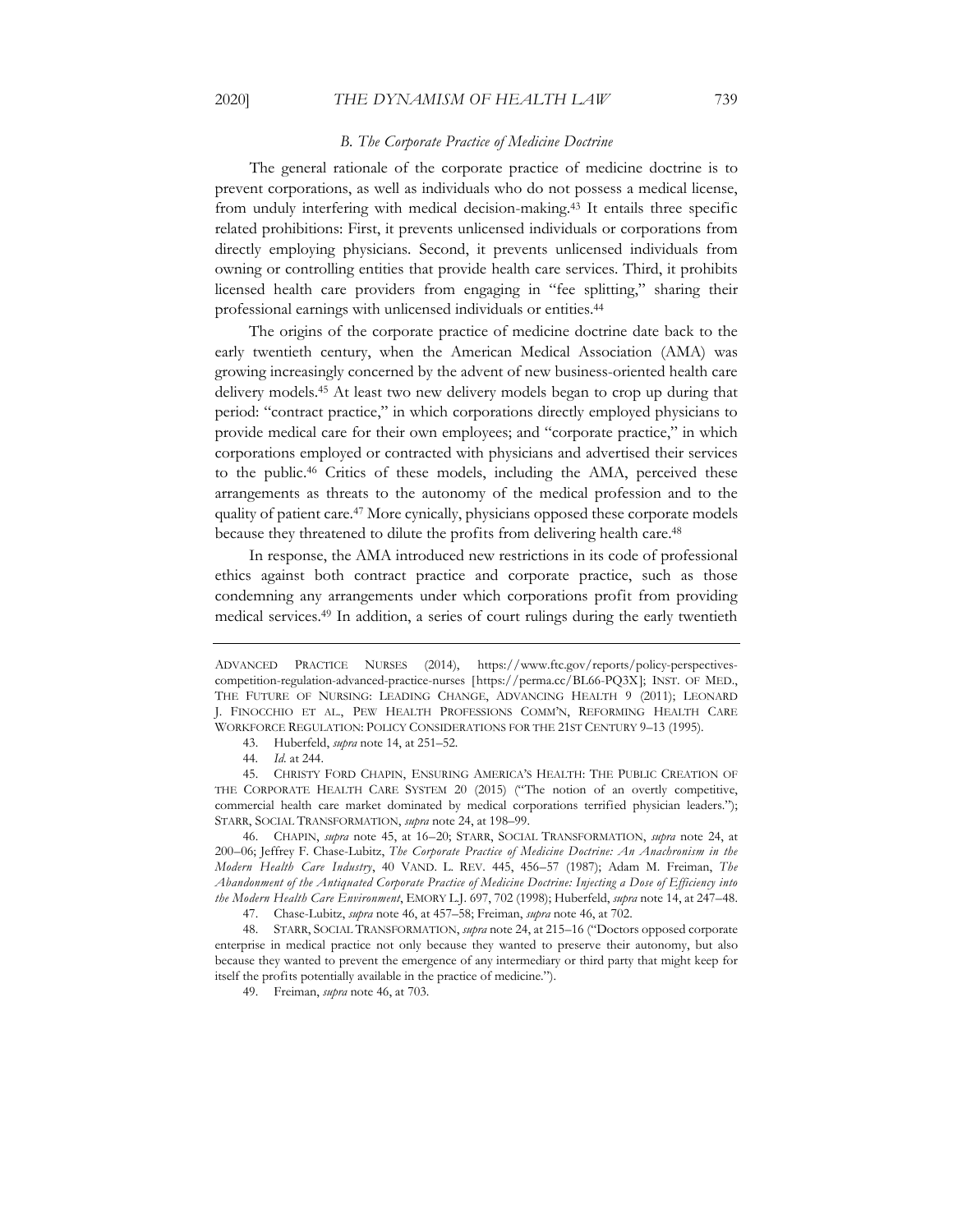#### *B. The Corporate Practice of Medicine Doctrine*

The general rationale of the corporate practice of medicine doctrine is to prevent corporations, as well as individuals who do not possess a medical license, from unduly interfering with medical decision-making.43 It entails three specific related prohibitions: First, it prevents unlicensed individuals or corporations from directly employing physicians. Second, it prevents unlicensed individuals from owning or controlling entities that provide health care services. Third, it prohibits licensed health care providers from engaging in "fee splitting," sharing their professional earnings with unlicensed individuals or entities.44

The origins of the corporate practice of medicine doctrine date back to the early twentieth century, when the American Medical Association (AMA) was growing increasingly concerned by the advent of new business-oriented health care delivery models.45 At least two new delivery models began to crop up during that period: "contract practice," in which corporations directly employed physicians to provide medical care for their own employees; and "corporate practice," in which corporations employed or contracted with physicians and advertised their services to the public.46 Critics of these models, including the AMA, perceived these arrangements as threats to the autonomy of the medical profession and to the quality of patient care.47 More cynically, physicians opposed these corporate models because they threatened to dilute the profits from delivering health care.<sup>48</sup>

In response, the AMA introduced new restrictions in its code of professional ethics against both contract practice and corporate practice, such as those condemning any arrangements under which corporations profit from providing medical services.49 In addition, a series of court rulings during the early twentieth

ADVANCED PRACTICE NURSES (2014), https://www.ftc.gov/reports/policy-perspectivescompetition-regulation-advanced-practice-nurses [https://perma.cc/BL66-PQ3X]; INST. OF MED., THE FUTURE OF NURSING: LEADING CHANGE, ADVANCING HEALTH 9 (2011); LEONARD J. FINOCCHIO ET AL., PEW HEALTH PROFESSIONS COMM'N, REFORMING HEALTH CARE WORKFORCE REGULATION: POLICY CONSIDERATIONS FOR THE 21ST CENTURY 9–13 (1995).

<sup>43.</sup> Huberfeld, *supra* note 14, at 251–52.

<sup>44</sup>*. Id*. at 244.

<sup>45.</sup> CHRISTY FORD CHAPIN, ENSURING AMERICA'S HEALTH: THE PUBLIC CREATION OF THE CORPORATE HEALTH CARE SYSTEM 20 (2015) ("The notion of an overtly competitive, commercial health care market dominated by medical corporations terrified physician leaders."); STARR, SOCIAL TRANSFORMATION, *supra* note 24, at 198–99.

<sup>46.</sup> CHAPIN, *supra* note 45, at 16–20; STARR, SOCIAL TRANSFORMATION, *supra* note 24, at 200–06; Jeffrey F. Chase-Lubitz, *The Corporate Practice of Medicine Doctrine: An Anachronism in the Modern Health Care Industry*, 40 VAND. L. REV. 445, 456–57 (1987); Adam M. Freiman, *The Abandonment of the Antiquated Corporate Practice of Medicine Doctrine: Injecting a Dose of Efficiency into the Modern Health Care Environment*, EMORY L.J. 697, 702 (1998); Huberfeld, *supra* note 14, at 247–48.

<sup>47.</sup> Chase-Lubitz, *supra* note 46, at 457–58; Freiman, *supra* note 46, at 702.

<sup>48.</sup> STARR, SOCIAL TRANSFORMATION, *supra* note 24, at 215–16 ("Doctors opposed corporate enterprise in medical practice not only because they wanted to preserve their autonomy, but also because they wanted to prevent the emergence of any intermediary or third party that might keep for itself the profits potentially available in the practice of medicine.").

<sup>49.</sup> Freiman, *supra* note 46, at 703.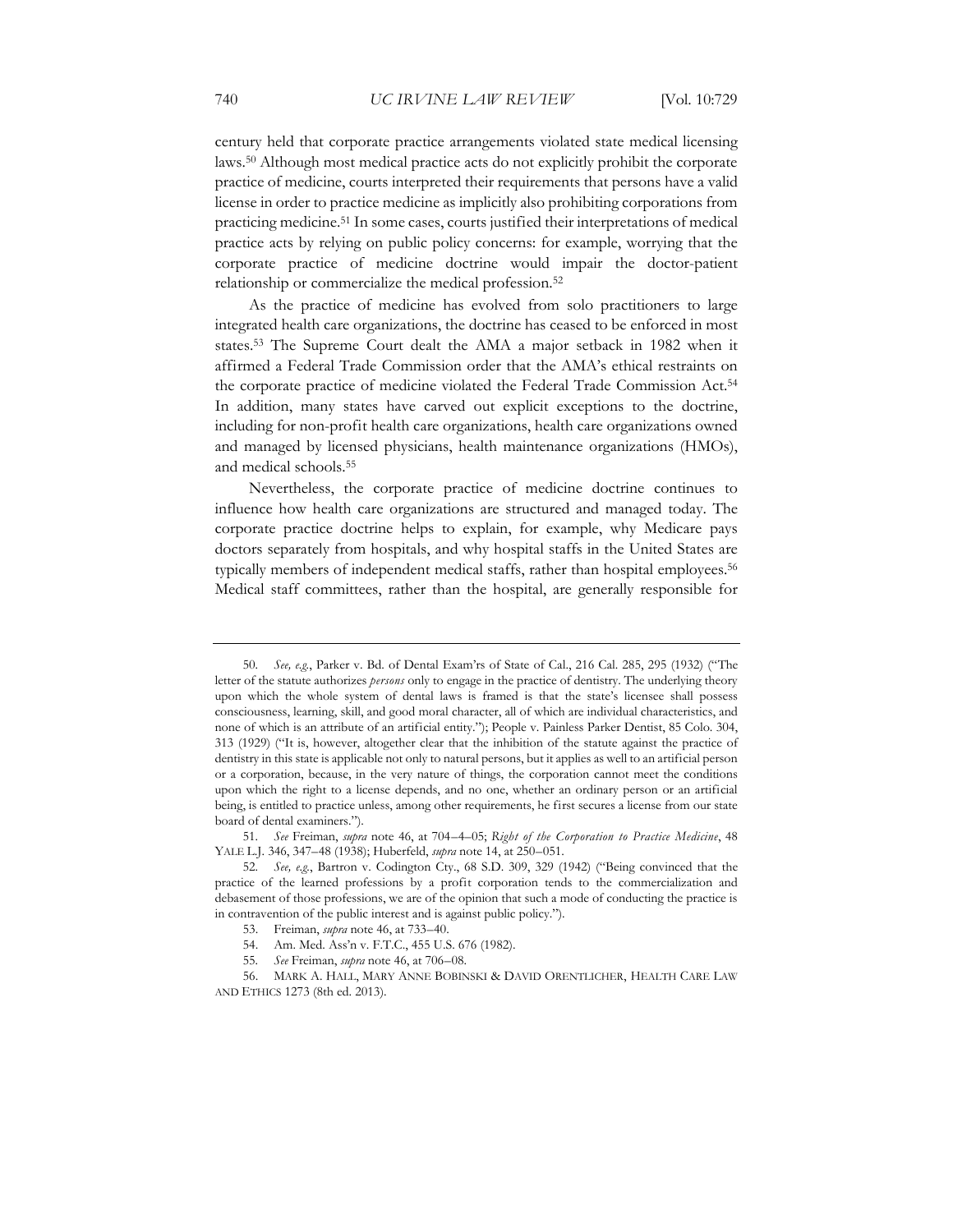century held that corporate practice arrangements violated state medical licensing laws.50 Although most medical practice acts do not explicitly prohibit the corporate practice of medicine, courts interpreted their requirements that persons have a valid license in order to practice medicine as implicitly also prohibiting corporations from practicing medicine.51 In some cases, courts justified their interpretations of medical practice acts by relying on public policy concerns: for example, worrying that the corporate practice of medicine doctrine would impair the doctor-patient relationship or commercialize the medical profession.52

As the practice of medicine has evolved from solo practitioners to large integrated health care organizations, the doctrine has ceased to be enforced in most states.53 The Supreme Court dealt the AMA a major setback in 1982 when it affirmed a Federal Trade Commission order that the AMA's ethical restraints on the corporate practice of medicine violated the Federal Trade Commission Act.54 In addition, many states have carved out explicit exceptions to the doctrine, including for non-profit health care organizations, health care organizations owned and managed by licensed physicians, health maintenance organizations (HMOs), and medical schools.55

Nevertheless, the corporate practice of medicine doctrine continues to influence how health care organizations are structured and managed today. The corporate practice doctrine helps to explain, for example, why Medicare pays doctors separately from hospitals, and why hospital staffs in the United States are typically members of independent medical staffs, rather than hospital employees.56 Medical staff committees, rather than the hospital, are generally responsible for

<sup>50</sup>*. See, e.g.*, Parker v. Bd. of Dental Exam'rs of State of Cal., 216 Cal. 285, 295 (1932) ("The letter of the statute authorizes *persons* only to engage in the practice of dentistry. The underlying theory upon which the whole system of dental laws is framed is that the state's licensee shall possess consciousness, learning, skill, and good moral character, all of which are individual characteristics, and none of which is an attribute of an artificial entity."); People v. Painless Parker Dentist, 85 Colo. 304, 313 (1929) ("It is, however, altogether clear that the inhibition of the statute against the practice of dentistry in this state is applicable not only to natural persons, but it applies as well to an artificial person or a corporation, because, in the very nature of things, the corporation cannot meet the conditions upon which the right to a license depends, and no one, whether an ordinary person or an artificial being, is entitled to practice unless, among other requirements, he first secures a license from our state board of dental examiners.").

<sup>51</sup>*. See* Freiman, *supra* note 46, at 704–4–05; *Right of the Corporation to Practice Medicine*, 48 YALE L.J. 346, 347–48 (1938); Huberfeld, *supra* note 14, at 250–051.

<sup>52</sup>*. See, e.g.*, Bartron v. Codington Cty., 68 S.D. 309, 329 (1942) ("Being convinced that the practice of the learned professions by a profit corporation tends to the commercialization and debasement of those professions, we are of the opinion that such a mode of conducting the practice is in contravention of the public interest and is against public policy.").

<sup>53.</sup> Freiman, *supra* note 46, at 733–40.

<sup>54.</sup> Am. Med. Ass'n v. F.T.C., 455 U.S. 676 (1982).

<sup>55</sup>*. See* Freiman, *supra* note 46, at 706–08.

<sup>56.</sup> MARK A. HALL, MARY ANNE BOBINSKI & DAVID ORENTLICHER, HEALTH CARE LAW AND ETHICS 1273 (8th ed. 2013).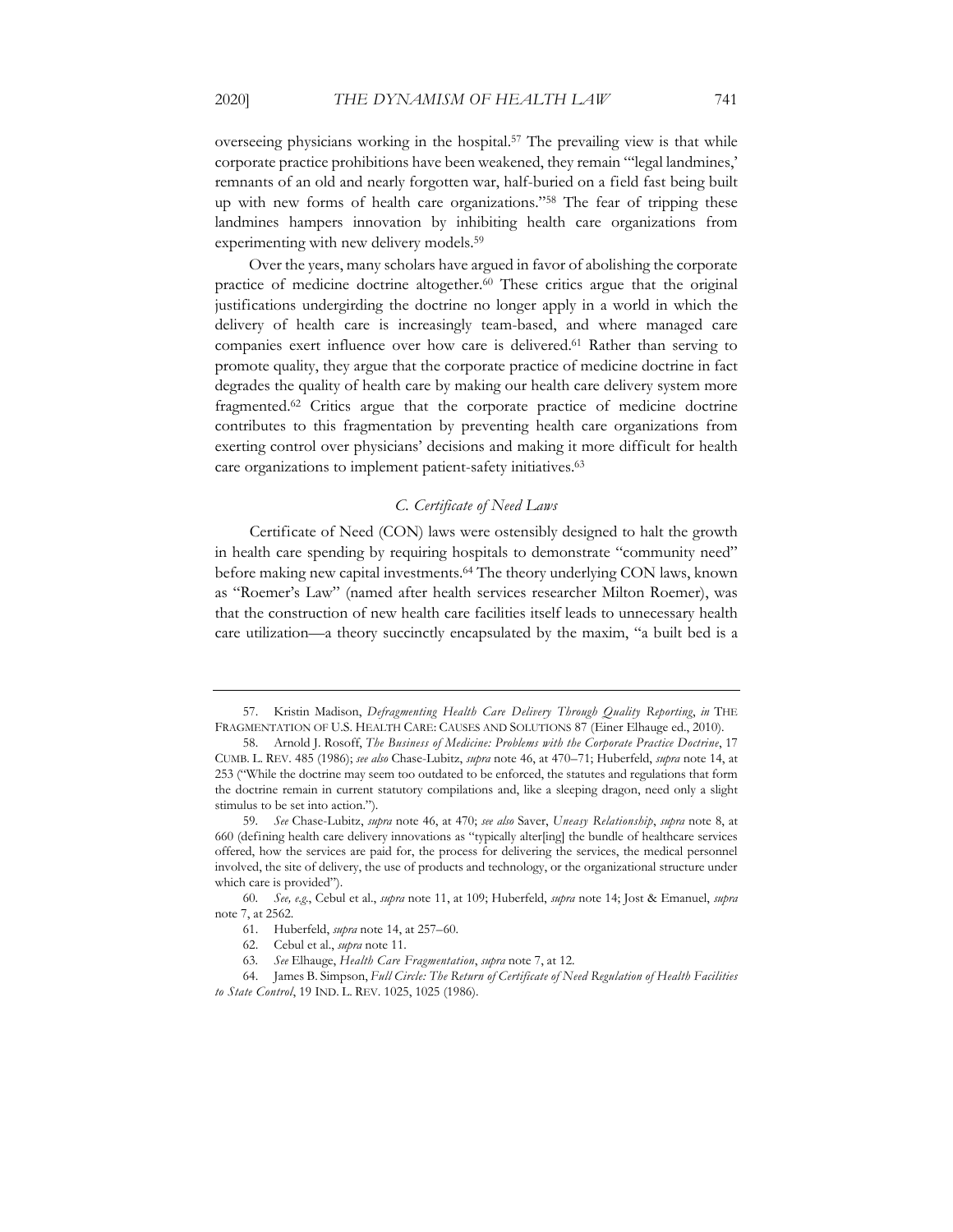overseeing physicians working in the hospital.57 The prevailing view is that while corporate practice prohibitions have been weakened, they remain "'legal landmines,' remnants of an old and nearly forgotten war, half-buried on a field fast being built up with new forms of health care organizations."58 The fear of tripping these landmines hampers innovation by inhibiting health care organizations from experimenting with new delivery models.59

Over the years, many scholars have argued in favor of abolishing the corporate practice of medicine doctrine altogether.60 These critics argue that the original justifications undergirding the doctrine no longer apply in a world in which the delivery of health care is increasingly team-based, and where managed care companies exert influence over how care is delivered.61 Rather than serving to promote quality, they argue that the corporate practice of medicine doctrine in fact degrades the quality of health care by making our health care delivery system more fragmented.62 Critics argue that the corporate practice of medicine doctrine contributes to this fragmentation by preventing health care organizations from exerting control over physicians' decisions and making it more difficult for health care organizations to implement patient-safety initiatives.<sup>63</sup>

## *C. Certificate of Need Laws*

Certificate of Need (CON) laws were ostensibly designed to halt the growth in health care spending by requiring hospitals to demonstrate "community need" before making new capital investments.64 The theory underlying CON laws, known as "Roemer's Law" (named after health services researcher Milton Roemer), was that the construction of new health care facilities itself leads to unnecessary health care utilization—a theory succinctly encapsulated by the maxim, "a built bed is a

<sup>57.</sup> Kristin Madison, *Defragmenting Health Care Delivery Through Quality Reporting*, *in* THE FRAGMENTATION OF U.S. HEALTH CARE: CAUSES AND SOLUTIONS 87 (Einer Elhauge ed., 2010).

<sup>58.</sup> Arnold J. Rosoff, *The Business of Medicine: Problems with the Corporate Practice Doctrine*, 17 CUMB. L. REV. 485 (1986); *see also* Chase-Lubitz, *supra* note 46, at 470–71; Huberfeld, *supra* note 14, at 253 ("While the doctrine may seem too outdated to be enforced, the statutes and regulations that form the doctrine remain in current statutory compilations and, like a sleeping dragon, need only a slight stimulus to be set into action.").

<sup>59</sup>*. See* Chase-Lubitz, *supra* note 46, at 470; *see also* Saver, *Uneasy Relationship*, *supra* note 8, at 660 (defining health care delivery innovations as "typically alter[ing] the bundle of healthcare services offered, how the services are paid for, the process for delivering the services, the medical personnel involved, the site of delivery, the use of products and technology, or the organizational structure under which care is provided").

<sup>60</sup>*. See, e.g.*, Cebul et al., *supra* note 11, at 109; Huberfeld, *supra* note 14; Jost & Emanuel, *supra* note 7, at 2562.

<sup>61.</sup> Huberfeld, *supra* note 14, at 257–60.

<sup>62.</sup> Cebul et al., *supra* note 11.

<sup>63</sup>*. See* Elhauge, *Health Care Fragmentation*, *supra* note 7, at 12.

<sup>64.</sup> James B. Simpson, *Full Circle: The Return of Certificate of Need Regulation of Health Facilities to State Control*, 19 IND. L. REV. 1025, 1025 (1986).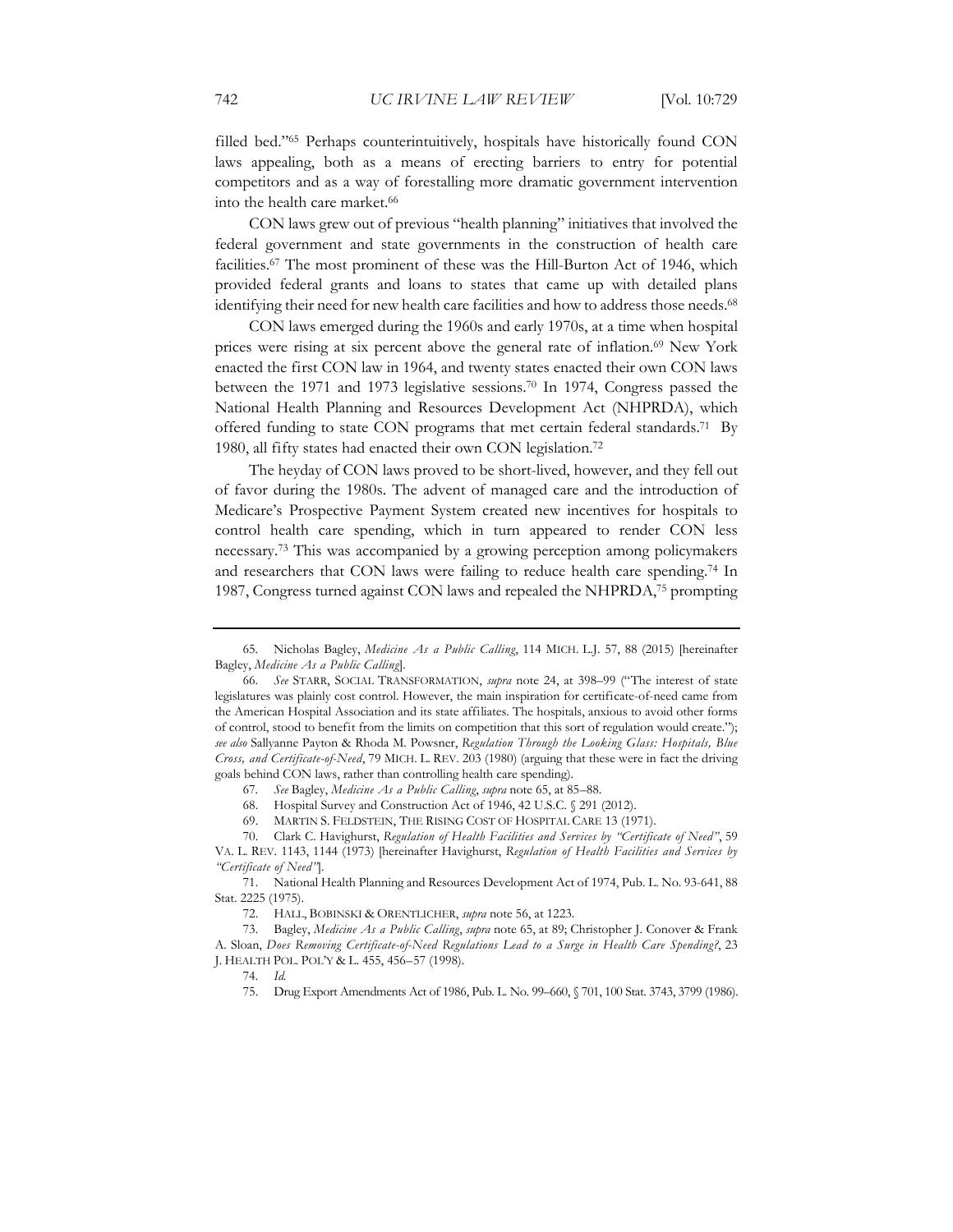filled bed."65 Perhaps counterintuitively, hospitals have historically found CON laws appealing, both as a means of erecting barriers to entry for potential competitors and as a way of forestalling more dramatic government intervention into the health care market.<sup>66</sup>

CON laws grew out of previous "health planning" initiatives that involved the federal government and state governments in the construction of health care facilities.<sup>67</sup> The most prominent of these was the Hill-Burton Act of 1946, which provided federal grants and loans to states that came up with detailed plans identifying their need for new health care facilities and how to address those needs.<sup>68</sup>

CON laws emerged during the 1960s and early 1970s, at a time when hospital prices were rising at six percent above the general rate of inflation.<sup>69</sup> New York enacted the first CON law in 1964, and twenty states enacted their own CON laws between the 1971 and 1973 legislative sessions.70 In 1974, Congress passed the National Health Planning and Resources Development Act (NHPRDA), which offered funding to state CON programs that met certain federal standards.<sup>71</sup> By 1980, all fifty states had enacted their own CON legislation.72

The heyday of CON laws proved to be short-lived, however, and they fell out of favor during the 1980s. The advent of managed care and the introduction of Medicare's Prospective Payment System created new incentives for hospitals to control health care spending, which in turn appeared to render CON less necessary.73 This was accompanied by a growing perception among policymakers and researchers that CON laws were failing to reduce health care spending.<sup>74</sup> In 1987, Congress turned against CON laws and repealed the NHPRDA,75 prompting

<sup>65.</sup> Nicholas Bagley, *Medicine As a Public Calling*, 114 MICH. L.J. 57, 88 (2015) [hereinafter Bagley, *Medicine As a Public Calling*].

<sup>66</sup>*. See* STARR, SOCIAL TRANSFORMATION, *supra* note 24, at 398–99 ("The interest of state legislatures was plainly cost control. However, the main inspiration for certificate-of-need came from the American Hospital Association and its state affiliates. The hospitals, anxious to avoid other forms of control, stood to benefit from the limits on competition that this sort of regulation would create."); *see also* Sallyanne Payton & Rhoda M. Powsner, *Regulation Through the Looking Glass: Hospitals, Blue Cross, and Certificate-of-Need*, 79 MICH. L. REV. 203 (1980) (arguing that these were in fact the driving goals behind CON laws, rather than controlling health care spending).

<sup>67</sup>*. See* Bagley, *Medicine As a Public Calling*, *supra* note 65, at 85–88.

<sup>68.</sup> Hospital Survey and Construction Act of 1946, 42 U.S.C. § 291 (2012).

<sup>69.</sup> MARTIN S. FELDSTEIN, THE RISING COST OF HOSPITAL CARE 13 (1971).

<sup>70.</sup> Clark C. Havighurst, *Regulation of Health Facilities and Services by "Certificate of Need"*, 59 VA. L. REV. 1143, 1144 (1973) [hereinafter Havighurst, *Regulation of Health Facilities and Services by "Certificate of Need"*].

<sup>71.</sup> National Health Planning and Resources Development Act of 1974, Pub. L. No. 93-641, 88 Stat. 2225 (1975).

<sup>72.</sup> HALL, BOBINSKI & ORENTLICHER, *supra* note 56, at 1223.

<sup>73.</sup> Bagley, *Medicine As a Public Calling*, *supra* note 65, at 89; Christopher J. Conover & Frank A. Sloan, *Does Removing Certificate-of-Need Regulations Lead to a Surge in Health Care Spending?*, 23 J. HEALTH POL. POL'Y & L. 455, 456–57 (1998).

<sup>74</sup>*. Id.*

<sup>75.</sup> Drug Export Amendments Act of 1986, Pub. L. No. 99–660, § 701, 100 Stat. 3743, 3799 (1986).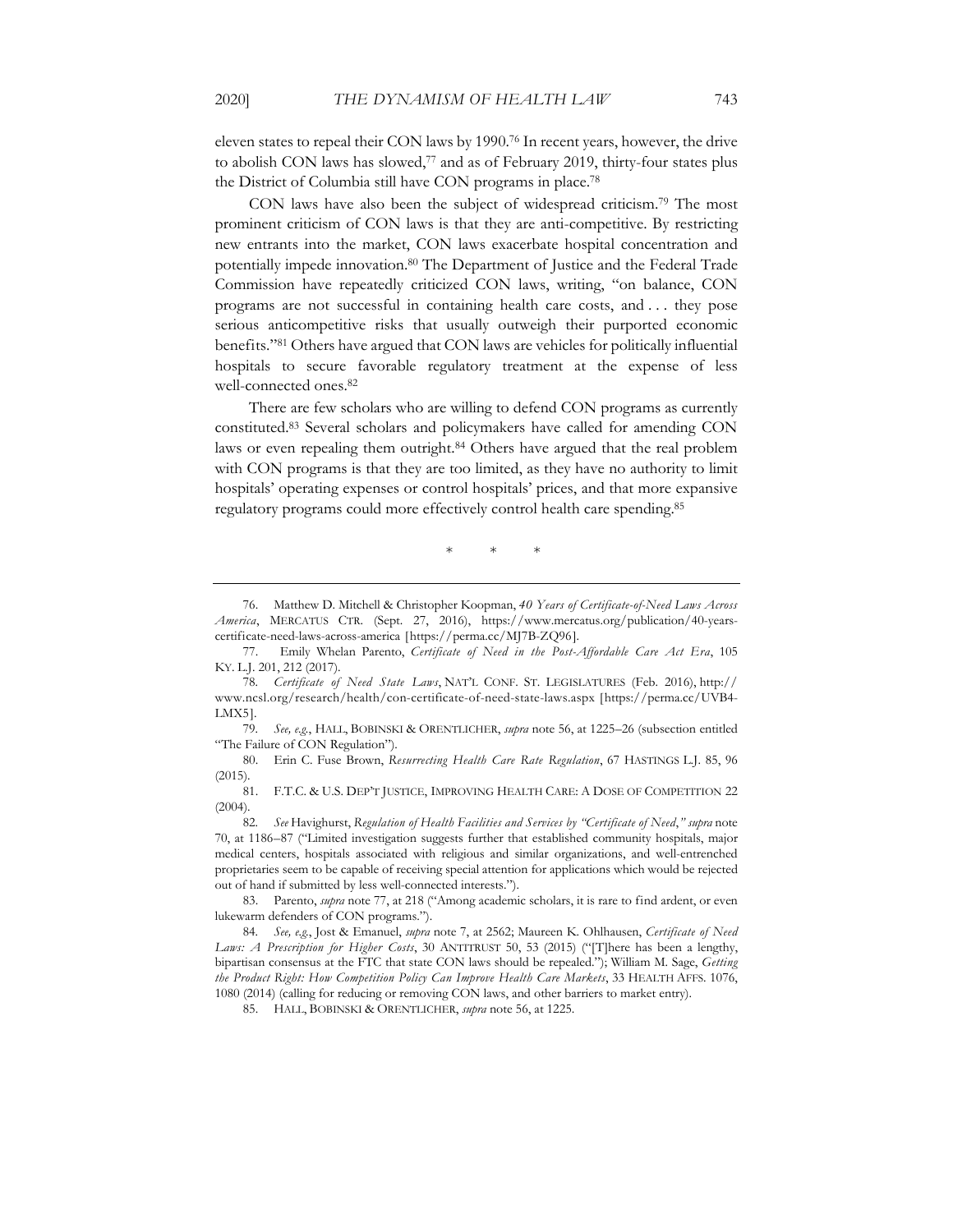eleven states to repeal their CON laws by 1990.76 In recent years, however, the drive to abolish CON laws has slowed,<sup>77</sup> and as of February 2019, thirty-four states plus the District of Columbia still have CON programs in place.78

CON laws have also been the subject of widespread criticism.79 The most prominent criticism of CON laws is that they are anti-competitive. By restricting new entrants into the market, CON laws exacerbate hospital concentration and potentially impede innovation.80 The Department of Justice and the Federal Trade Commission have repeatedly criticized CON laws, writing, "on balance, CON programs are not successful in containing health care costs, and . . . they pose serious anticompetitive risks that usually outweigh their purported economic benefits."81 Others have argued that CON laws are vehicles for politically influential hospitals to secure favorable regulatory treatment at the expense of less well-connected ones.82

There are few scholars who are willing to defend CON programs as currently constituted.83 Several scholars and policymakers have called for amending CON laws or even repealing them outright.84 Others have argued that the real problem with CON programs is that they are too limited, as they have no authority to limit hospitals' operating expenses or control hospitals' prices, and that more expansive regulatory programs could more effectively control health care spending.85

\* \* \*

<sup>76.</sup> Matthew D. Mitchell & Christopher Koopman, *40 Years of Certificate-of-Need Laws Across America*, MERCATUS CTR. (Sept. 27, 2016), https://www.mercatus.org/publication/40-yearscertificate-need-laws-across-america [https://perma.cc/MJ7B-ZQ96].

<sup>77.</sup> Emily Whelan Parento, *Certificate of Need in the Post-Affordable Care Act Era*, 105 KY. L.J. 201, 212 (2017).

<sup>78</sup>*. Certificate of Need State Laws*, NAT'L CONF. ST. LEGISLATURES (Feb. 2016), http:// www.ncsl.org/research/health/con-certificate-of-need-state-laws.aspx [https://perma.cc/UVB4- LMX5].

<sup>79</sup>*. See, e.g.*, HALL, BOBINSKI & ORENTLICHER, *supra* note 56, at 1225–26 (subsection entitled "The Failure of CON Regulation").

<sup>80.</sup> Erin C. Fuse Brown, *Resurrecting Health Care Rate Regulation*, 67 HASTINGS L.J. 85, 96 (2015).

<sup>81.</sup> F.T.C. & U.S. DEP'T JUSTICE, IMPROVING HEALTH CARE: A DOSE OF COMPETITION 22 (2004).

<sup>82</sup>*. See* Havighurst, *Regulation of Health Facilities and Services by "Certificate of Need*,*" supra* note 70, at 1186–87 ("Limited investigation suggests further that established community hospitals, major medical centers, hospitals associated with religious and similar organizations, and well-entrenched proprietaries seem to be capable of receiving special attention for applications which would be rejected out of hand if submitted by less well-connected interests.").

<sup>83.</sup> Parento, *supra* note 77, at 218 ("Among academic scholars, it is rare to find ardent, or even lukewarm defenders of CON programs.").

<sup>84</sup>*. See, e.g.*, Jost & Emanuel, *supra* note 7, at 2562; Maureen K. Ohlhausen, *Certificate of Need Laws: A Prescription for Higher Costs*, 30 ANTITRUST 50, 53 (2015) ("[T]here has been a lengthy, bipartisan consensus at the FTC that state CON laws should be repealed."); William M. Sage, *Getting the Product Right: How Competition Policy Can Improve Health Care Markets*, 33 HEALTH AFFS. 1076, 1080 (2014) (calling for reducing or removing CON laws, and other barriers to market entry).

<sup>85.</sup> HALL, BOBINSKI & ORENTLICHER, *supra* note 56, at 1225.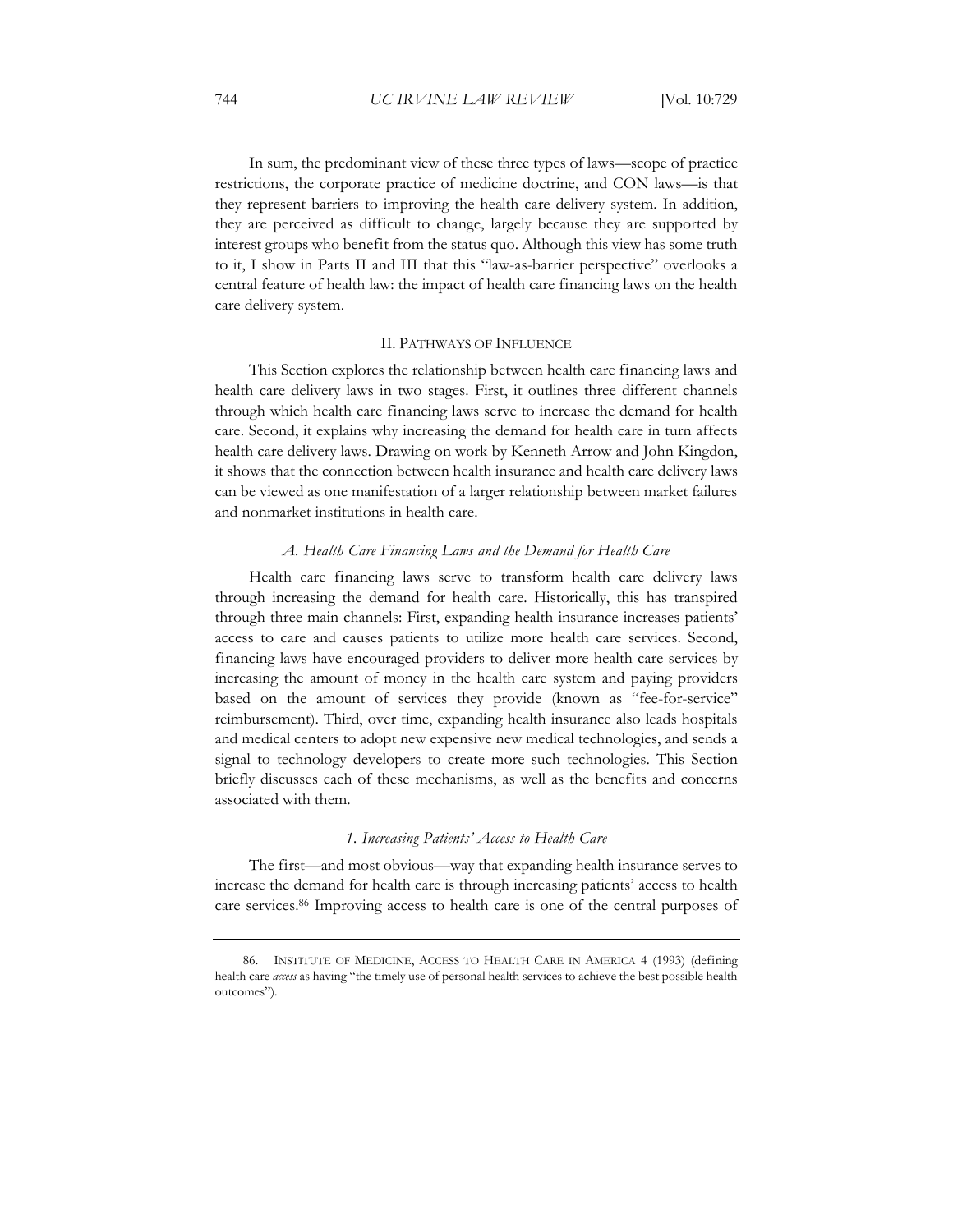In sum, the predominant view of these three types of laws—scope of practice restrictions, the corporate practice of medicine doctrine, and CON laws—is that they represent barriers to improving the health care delivery system. In addition, they are perceived as difficult to change, largely because they are supported by interest groups who benefit from the status quo. Although this view has some truth to it, I show in Parts II and III that this "law-as-barrier perspective" overlooks a central feature of health law: the impact of health care financing laws on the health care delivery system.

#### II. PATHWAYS OF INFLUENCE

This Section explores the relationship between health care financing laws and health care delivery laws in two stages. First, it outlines three different channels through which health care financing laws serve to increase the demand for health care. Second, it explains why increasing the demand for health care in turn affects health care delivery laws. Drawing on work by Kenneth Arrow and John Kingdon, it shows that the connection between health insurance and health care delivery laws can be viewed as one manifestation of a larger relationship between market failures and nonmarket institutions in health care.

#### *A. Health Care Financing Laws and the Demand for Health Care*

Health care financing laws serve to transform health care delivery laws through increasing the demand for health care. Historically, this has transpired through three main channels: First, expanding health insurance increases patients' access to care and causes patients to utilize more health care services. Second, financing laws have encouraged providers to deliver more health care services by increasing the amount of money in the health care system and paying providers based on the amount of services they provide (known as "fee-for-service" reimbursement). Third, over time, expanding health insurance also leads hospitals and medical centers to adopt new expensive new medical technologies, and sends a signal to technology developers to create more such technologies. This Section briefly discusses each of these mechanisms, as well as the benefits and concerns associated with them.

#### *1. Increasing Patients' Access to Health Care*

The first—and most obvious—way that expanding health insurance serves to increase the demand for health care is through increasing patients' access to health care services.86 Improving access to health care is one of the central purposes of

<sup>86.</sup> INSTITUTE OF MEDICINE, ACCESS TO HEALTH CARE IN AMERICA 4 (1993) (defining health care *access* as having "the timely use of personal health services to achieve the best possible health outcomes").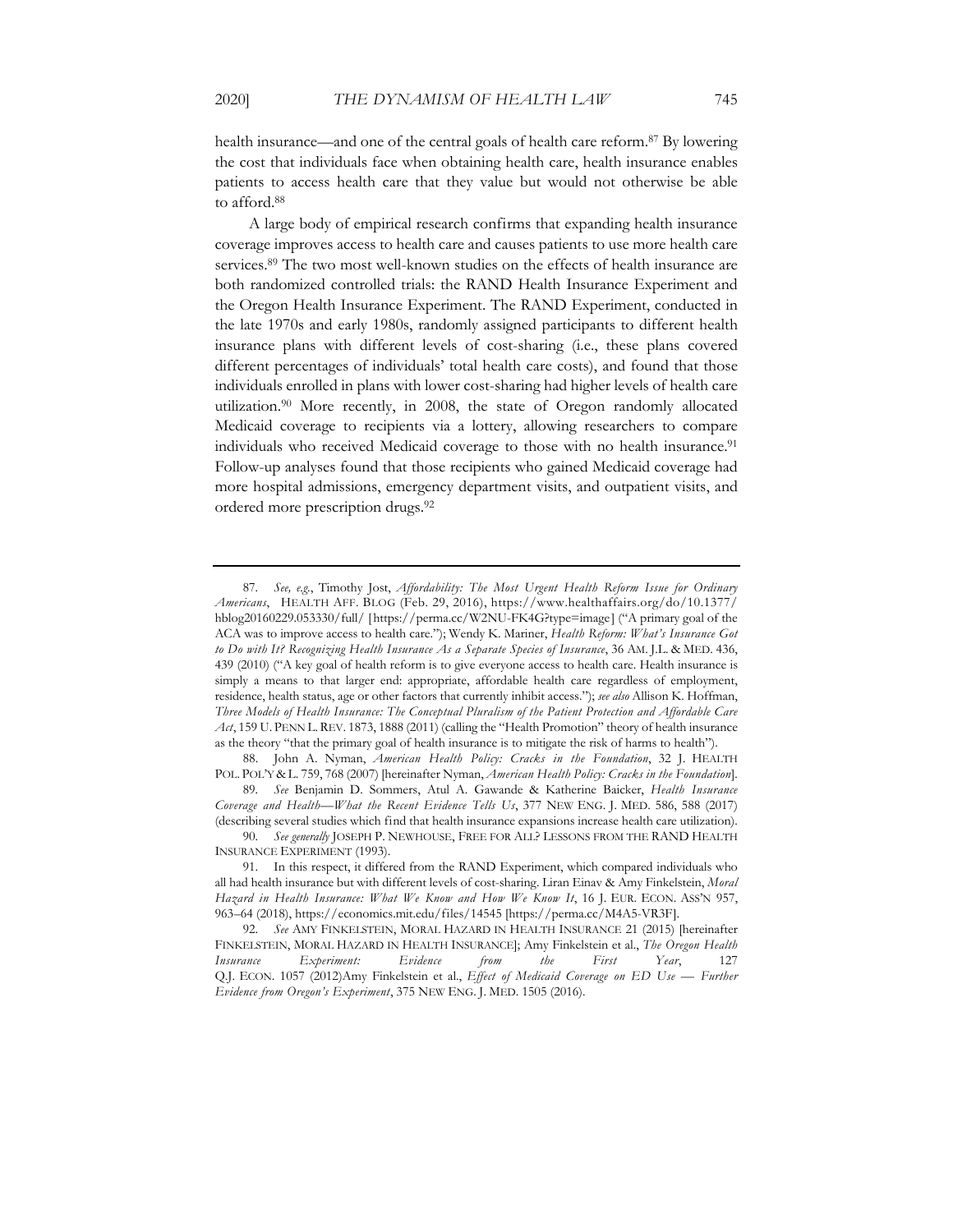health insurance—and one of the central goals of health care reform.<sup>87</sup> By lowering the cost that individuals face when obtaining health care, health insurance enables patients to access health care that they value but would not otherwise be able to afford.88

A large body of empirical research confirms that expanding health insurance coverage improves access to health care and causes patients to use more health care services.89 The two most well-known studies on the effects of health insurance are both randomized controlled trials: the RAND Health Insurance Experiment and the Oregon Health Insurance Experiment. The RAND Experiment, conducted in the late 1970s and early 1980s, randomly assigned participants to different health insurance plans with different levels of cost-sharing (i.e., these plans covered different percentages of individuals' total health care costs), and found that those individuals enrolled in plans with lower cost-sharing had higher levels of health care utilization.90 More recently, in 2008, the state of Oregon randomly allocated Medicaid coverage to recipients via a lottery, allowing researchers to compare individuals who received Medicaid coverage to those with no health insurance.<sup>91</sup> Follow-up analyses found that those recipients who gained Medicaid coverage had more hospital admissions, emergency department visits, and outpatient visits, and ordered more prescription drugs.92

88. John A. Nyman, *American Health Policy: Cracks in the Foundation*, 32 J. HEALTH POL. POL'Y & L. 759, 768 (2007) [hereinafter Nyman, *American Health Policy: Cracks in the Foundation*].

89*. See* Benjamin D. Sommers, Atul A. Gawande & Katherine Baicker, *Health Insurance Coverage and Health—What the Recent Evidence Tells Us*, 377 NEW ENG. J. MED. 586, 588 (2017) (describing several studies which find that health insurance expansions increase health care utilization).

<sup>87</sup>*. See, e.g.*, Timothy Jost, *Affordability: The Most Urgent Health Reform Issue for Ordinary Americans*, HEALTH AFF. BLOG (Feb. 29, 2016), https://www.healthaffairs.org/do/10.1377/ hblog20160229.053330/full/ [https://perma.cc/W2NU-FK4G?type=image] ("A primary goal of the ACA was to improve access to health care."); Wendy K. Mariner, *Health Reform: What's Insurance Got to Do with It? Recognizing Health Insurance As a Separate Species of Insurance*, 36 AM. J.L. & MED. 436, 439 (2010) ("A key goal of health reform is to give everyone access to health care. Health insurance is simply a means to that larger end: appropriate, affordable health care regardless of employment, residence, health status, age or other factors that currently inhibit access."); *see also* Allison K. Hoffman, *Three Models of Health Insurance: The Conceptual Pluralism of the Patient Protection and Affordable Care Act*, 159 U. PENN L.REV. 1873, 1888 (2011) (calling the "Health Promotion" theory of health insurance as the theory "that the primary goal of health insurance is to mitigate the risk of harms to health").

<sup>90</sup>*. See generally* JOSEPH P. NEWHOUSE, FREE FOR ALL? LESSONS FROM THE RAND HEALTH INSURANCE EXPERIMENT (1993).

<sup>91.</sup> In this respect, it differed from the RAND Experiment, which compared individuals who all had health insurance but with different levels of cost-sharing. Liran Einav & Amy Finkelstein, *Moral*  Hazard in Health Insurance: What We Know and How We Know It, 16 J. EUR. ECON. ASS'N 957, 963–64 (2018), https://economics.mit.edu/files/14545 [https://perma.cc/M4A5-VR3F].

<sup>92</sup>*. See* AMY FINKELSTEIN, MORAL HAZARD IN HEALTH INSURANCE 21 (2015) [hereinafter FINKELSTEIN, MORAL HAZARD IN HEALTH INSURANCE]; Amy Finkelstein et al., *The Oregon Health Insurance Experiment: Evidence from the First Year*, 127 Q.J. ECON. 1057 (2012)Amy Finkelstein et al., *Effect of Medicaid Coverage on ED Use — Further Evidence from Oregon's Experiment*, 375 NEW ENG. J. MED. 1505 (2016).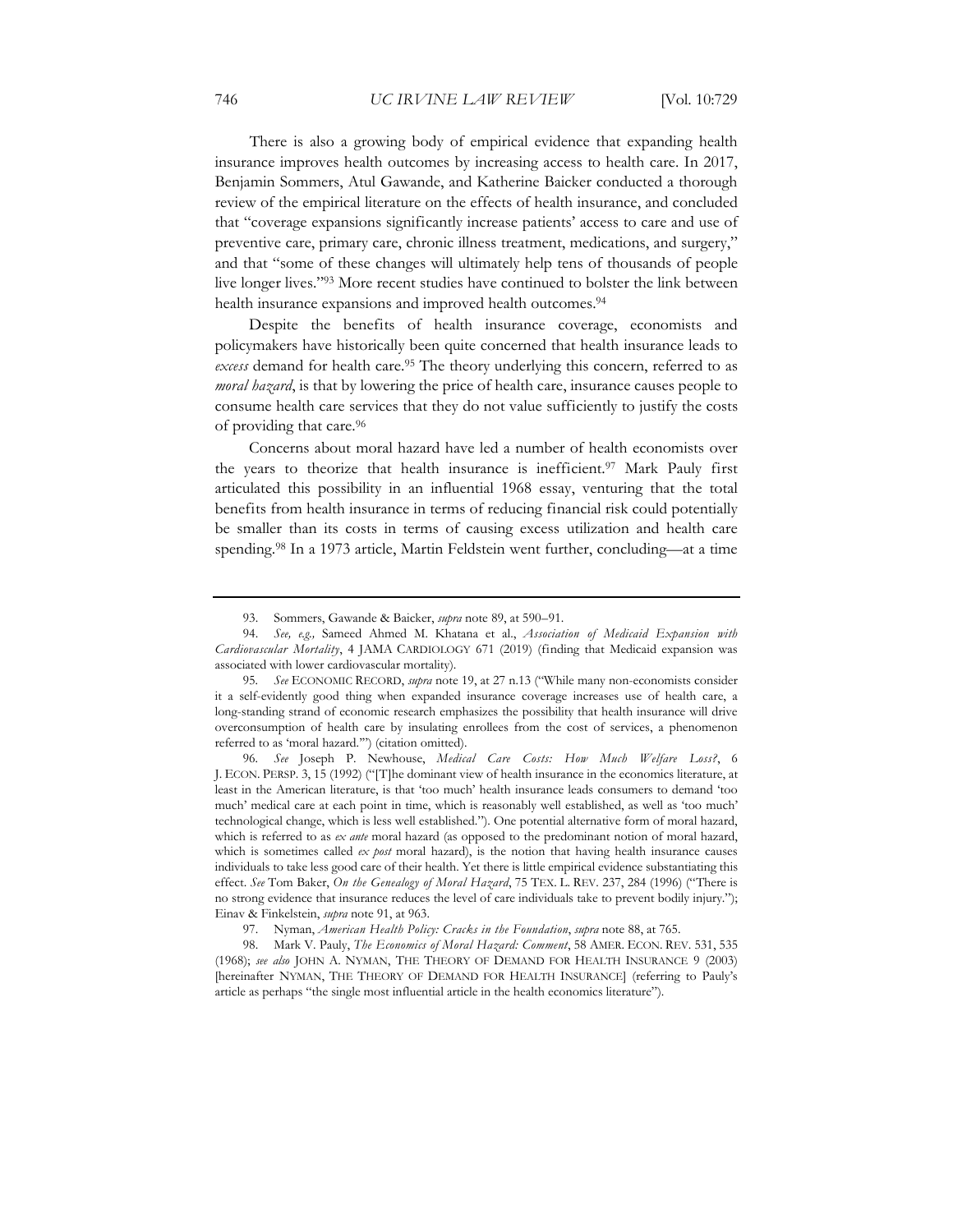There is also a growing body of empirical evidence that expanding health insurance improves health outcomes by increasing access to health care. In 2017, Benjamin Sommers, Atul Gawande, and Katherine Baicker conducted a thorough review of the empirical literature on the effects of health insurance, and concluded that "coverage expansions significantly increase patients' access to care and use of preventive care, primary care, chronic illness treatment, medications, and surgery," and that "some of these changes will ultimately help tens of thousands of people live longer lives."93 More recent studies have continued to bolster the link between health insurance expansions and improved health outcomes.<sup>94</sup>

Despite the benefits of health insurance coverage, economists and policymakers have historically been quite concerned that health insurance leads to *excess* demand for health care.95 The theory underlying this concern, referred to as *moral hazard*, is that by lowering the price of health care, insurance causes people to consume health care services that they do not value sufficiently to justify the costs of providing that care.96

Concerns about moral hazard have led a number of health economists over the years to theorize that health insurance is inefficient.<sup>97</sup> Mark Pauly first articulated this possibility in an influential 1968 essay, venturing that the total benefits from health insurance in terms of reducing financial risk could potentially be smaller than its costs in terms of causing excess utilization and health care spending.98 In a 1973 article, Martin Feldstein went further, concluding—at a time

<sup>93.</sup> Sommers, Gawande & Baicker, *supra* note 89, at 590–91.

<sup>94.</sup> *See, e.g.,* Sameed Ahmed M. Khatana et al., *Association of Medicaid Expansion with Cardiovascular Mortality*, 4 JAMA CARDIOLOGY 671 (2019) (finding that Medicaid expansion was associated with lower cardiovascular mortality).

<sup>95</sup>*. See* ECONOMIC RECORD, *supra* note 19, at 27 n.13 ("While many non-economists consider it a self-evidently good thing when expanded insurance coverage increases use of health care, a long-standing strand of economic research emphasizes the possibility that health insurance will drive overconsumption of health care by insulating enrollees from the cost of services, a phenomenon referred to as 'moral hazard.'") (citation omitted).

<sup>96</sup>*. See* Joseph P. Newhouse, *Medical Care Costs: How Much Welfare Loss?*, 6 J. ECON. PERSP. 3, 15 (1992) ("[T]he dominant view of health insurance in the economics literature, at least in the American literature, is that 'too much' health insurance leads consumers to demand 'too much' medical care at each point in time, which is reasonably well established, as well as 'too much' technological change, which is less well established."). One potential alternative form of moral hazard, which is referred to as *ex ante* moral hazard (as opposed to the predominant notion of moral hazard, which is sometimes called *ex post* moral hazard), is the notion that having health insurance causes individuals to take less good care of their health. Yet there is little empirical evidence substantiating this effect. *See* Tom Baker, *On the Genealogy of Moral Hazard*, 75 TEX. L. REV. 237, 284 (1996) ("There is no strong evidence that insurance reduces the level of care individuals take to prevent bodily injury."); Einav & Finkelstein, *supra* note 91, at 963.

<sup>97.</sup> Nyman, *American Health Policy: Cracks in the Foundation*, *supra* note 88, at 765.

<sup>98.</sup> Mark V. Pauly, *The Economics of Moral Hazard: Comment*, 58 AMER. ECON. REV. 531, 535 (1968); *see also* JOHN A. NYMAN, THE THEORY OF DEMAND FOR HEALTH INSURANCE 9 (2003) [hereinafter NYMAN, THE THEORY OF DEMAND FOR HEALTH INSURANCE] (referring to Pauly's article as perhaps "the single most influential article in the health economics literature").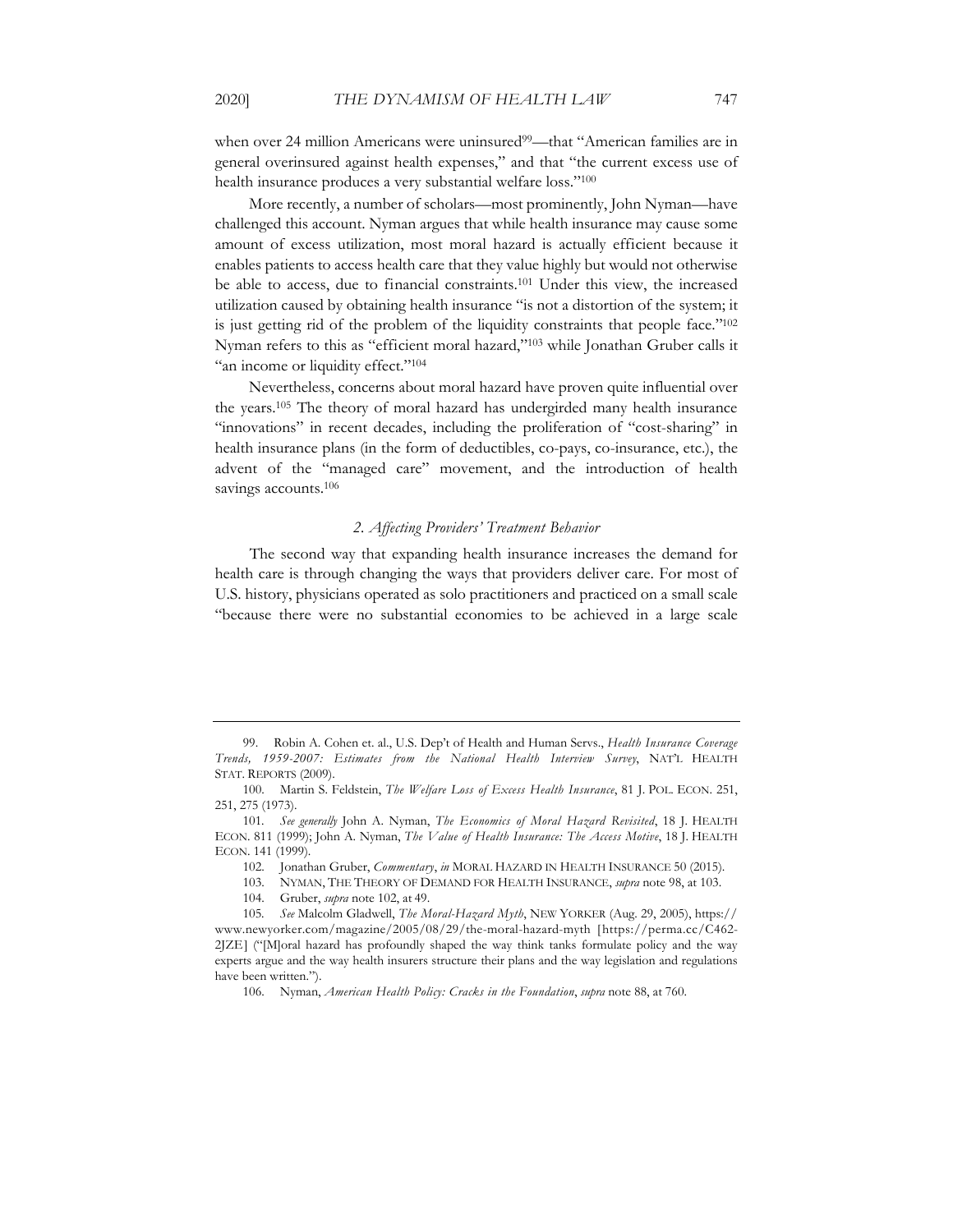when over 24 million Americans were uninsured<sup>99</sup>—that "American families are in general overinsured against health expenses," and that "the current excess use of health insurance produces a very substantial welfare loss."100

More recently, a number of scholars—most prominently, John Nyman—have challenged this account. Nyman argues that while health insurance may cause some amount of excess utilization, most moral hazard is actually efficient because it enables patients to access health care that they value highly but would not otherwise be able to access, due to financial constraints.101 Under this view, the increased utilization caused by obtaining health insurance "is not a distortion of the system; it is just getting rid of the problem of the liquidity constraints that people face."102 Nyman refers to this as "efficient moral hazard,"103 while Jonathan Gruber calls it "an income or liquidity effect."<sup>104</sup>

Nevertheless, concerns about moral hazard have proven quite influential over the years.105 The theory of moral hazard has undergirded many health insurance "innovations" in recent decades, including the proliferation of "cost-sharing" in health insurance plans (in the form of deductibles, co-pays, co-insurance, etc.), the advent of the "managed care" movement, and the introduction of health savings accounts.<sup>106</sup>

#### *2. Affecting Providers' Treatment Behavior*

The second way that expanding health insurance increases the demand for health care is through changing the ways that providers deliver care. For most of U.S. history, physicians operated as solo practitioners and practiced on a small scale "because there were no substantial economies to be achieved in a large scale

103. NYMAN, THE THEORY OF DEMAND FOR HEALTH INSURANCE, *supra* note 98, at 103.

<sup>99.</sup> Robin A. Cohen et. al., U.S. Dep't of Health and Human Servs., *Health Insurance Coverage Trends, 1959-2007: Estimates from the National Health Interview Survey*, NAT'L HEALTH STAT. REPORTS (2009).

<sup>100.</sup> Martin S. Feldstein, *The Welfare Loss of Excess Health Insurance*, 81 J. POL. ECON. 251, 251, 275 (1973).

<sup>101</sup>*. See generally* John A. Nyman, *The Economics of Moral Hazard Revisited*, 18 J. HEALTH ECON. 811 (1999); John A. Nyman, *The Value of Health Insurance: The Access Motive*, 18 J. HEALTH ECON. 141 (1999).

<sup>102.</sup> Jonathan Gruber, *Commentary*, *in* MORAL HAZARD IN HEALTH INSURANCE 50 (2015).

<sup>104.</sup> Gruber, *supra* note 102, at 49.

<sup>105</sup>*. See* Malcolm Gladwell, *The Moral-Hazard Myth*, NEW YORKER (Aug. 29, 2005), https:// www.newyorker.com/magazine/2005/08/29/the-moral-hazard-myth [https://perma.cc/C462- 2JZE] ("[M]oral hazard has profoundly shaped the way think tanks formulate policy and the way experts argue and the way health insurers structure their plans and the way legislation and regulations have been written.").

<sup>106.</sup> Nyman, *American Health Policy: Cracks in the Foundation*, *supra* note 88, at 760.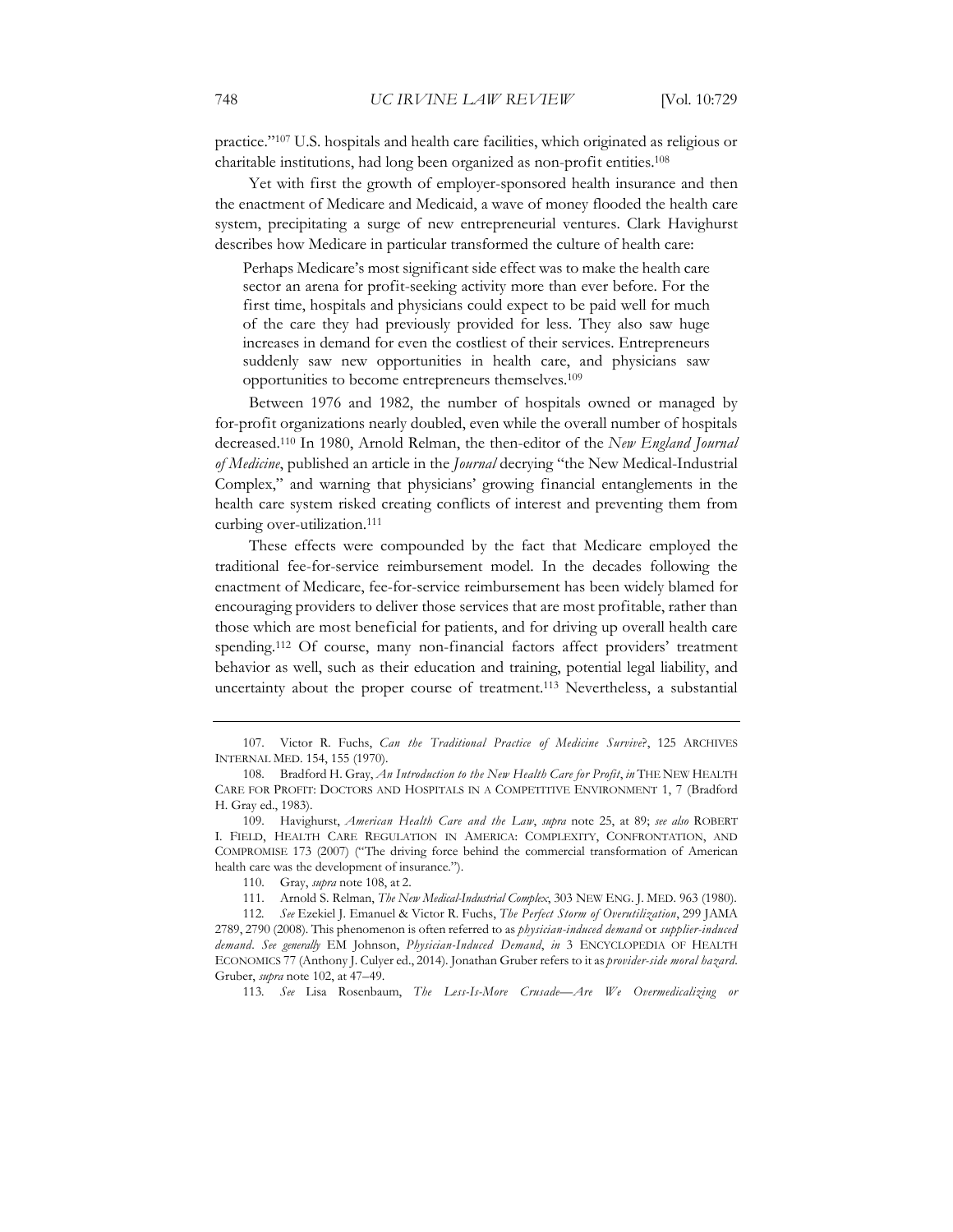practice."107 U.S. hospitals and health care facilities, which originated as religious or charitable institutions, had long been organized as non-profit entities.108

Yet with first the growth of employer-sponsored health insurance and then the enactment of Medicare and Medicaid, a wave of money flooded the health care system, precipitating a surge of new entrepreneurial ventures. Clark Havighurst describes how Medicare in particular transformed the culture of health care:

Perhaps Medicare's most significant side effect was to make the health care sector an arena for profit-seeking activity more than ever before. For the first time, hospitals and physicians could expect to be paid well for much of the care they had previously provided for less. They also saw huge increases in demand for even the costliest of their services. Entrepreneurs suddenly saw new opportunities in health care, and physicians saw opportunities to become entrepreneurs themselves.109

Between 1976 and 1982, the number of hospitals owned or managed by for-profit organizations nearly doubled, even while the overall number of hospitals decreased.110 In 1980, Arnold Relman, the then-editor of the *New England Journal of Medicine*, published an article in the *Journal* decrying "the New Medical-Industrial Complex," and warning that physicians' growing financial entanglements in the health care system risked creating conflicts of interest and preventing them from curbing over-utilization.111

These effects were compounded by the fact that Medicare employed the traditional fee-for-service reimbursement model. In the decades following the enactment of Medicare, fee-for-service reimbursement has been widely blamed for encouraging providers to deliver those services that are most profitable, rather than those which are most beneficial for patients, and for driving up overall health care spending.112 Of course, many non-financial factors affect providers' treatment behavior as well, such as their education and training, potential legal liability, and uncertainty about the proper course of treatment.113 Nevertheless, a substantial

113*. See* Lisa Rosenbaum, *The Less-Is-More Crusade—Are We Overmedicalizing or* 

<sup>107.</sup> Victor R. Fuchs, *Can the Traditional Practice of Medicine Survive*?, 125 ARCHIVES INTERNAL MED. 154, 155 (1970).

<sup>108.</sup> Bradford H. Gray, *An Introduction to the New Health Care for Profit*, *in* THE NEW HEALTH CARE FOR PROFIT: DOCTORS AND HOSPITALS IN A COMPETITIVE ENVIRONMENT 1, 7 (Bradford H. Gray ed., 1983).

<sup>109.</sup> Havighurst, *American Health Care and the Law*, *supra* note 25, at 89; *see also* ROBERT I. FIELD, HEALTH CARE REGULATION IN AMERICA: COMPLEXITY, CONFRONTATION, AND COMPROMISE 173 (2007) ("The driving force behind the commercial transformation of American health care was the development of insurance.").

<sup>110.</sup> Gray, *supra* note 108, at 2.

<sup>111.</sup> Arnold S. Relman, *The New Medical-Industrial Complex*, 303 NEW ENG. J. MED. 963 (1980).

<sup>112</sup>*. See* Ezekiel J. Emanuel & Victor R. Fuchs, *The Perfect Storm of Overutilization*, 299 JAMA 2789, 2790 (2008). This phenomenon is often referred to as *physician-induced demand* or *supplier-induced demand*. *See generally* EM Johnson, *Physician-Induced Demand*, *in* 3 ENCYCLOPEDIA OF HEALTH ECONOMICS 77 (Anthony J. Culyer ed., 2014). Jonathan Gruber refers to it as *provider-side moral hazard*. Gruber, *supra* note 102, at 47–49.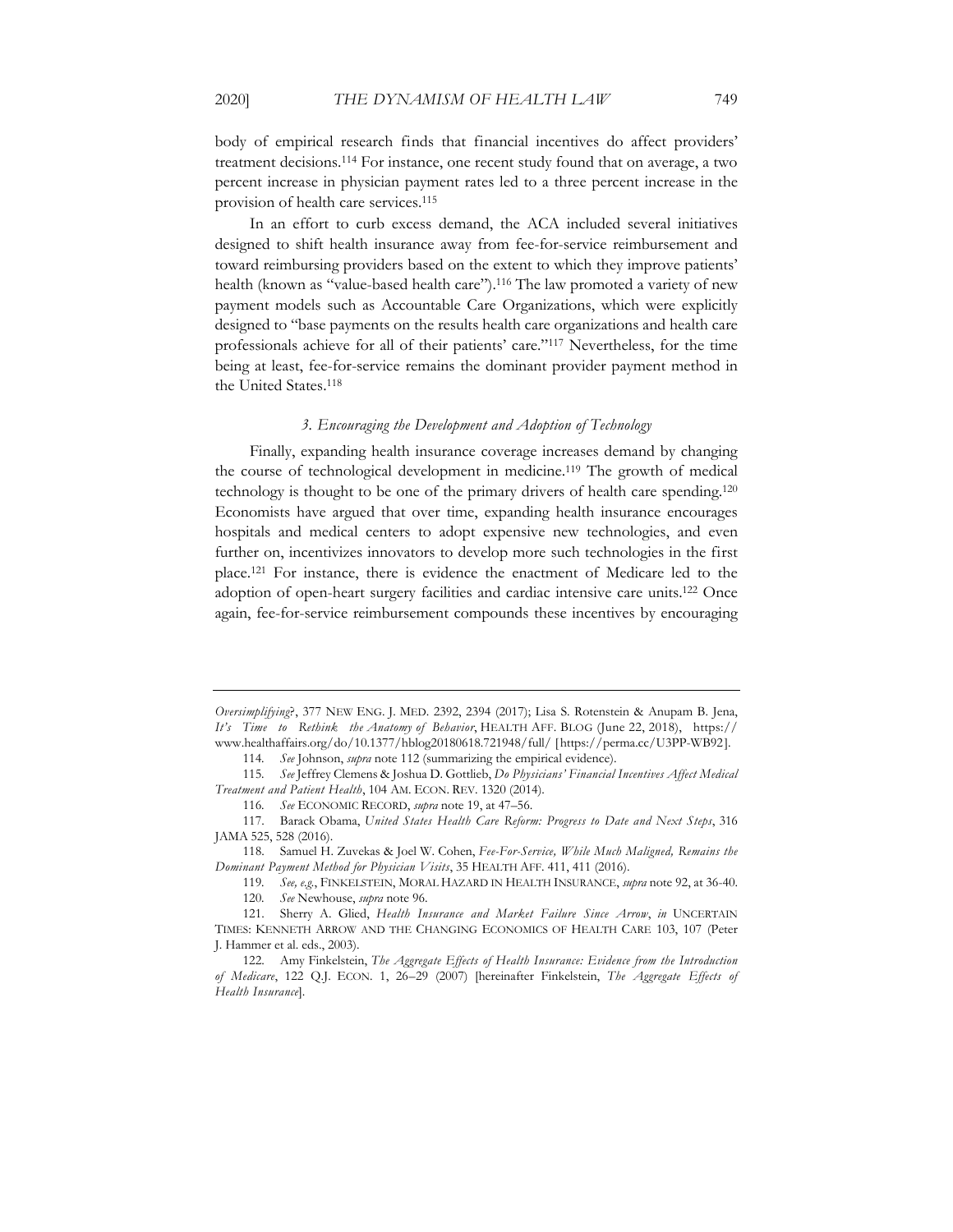body of empirical research finds that financial incentives do affect providers' treatment decisions.114 For instance, one recent study found that on average, a two percent increase in physician payment rates led to a three percent increase in the provision of health care services.115

In an effort to curb excess demand, the ACA included several initiatives designed to shift health insurance away from fee-for-service reimbursement and toward reimbursing providers based on the extent to which they improve patients' health (known as "value-based health care").<sup>116</sup> The law promoted a variety of new payment models such as Accountable Care Organizations, which were explicitly designed to "base payments on the results health care organizations and health care professionals achieve for all of their patients' care."117 Nevertheless, for the time being at least, fee-for-service remains the dominant provider payment method in the United States.118

#### *3. Encouraging the Development and Adoption of Technology*

Finally, expanding health insurance coverage increases demand by changing the course of technological development in medicine.119 The growth of medical technology is thought to be one of the primary drivers of health care spending.120 Economists have argued that over time, expanding health insurance encourages hospitals and medical centers to adopt expensive new technologies, and even further on, incentivizes innovators to develop more such technologies in the first place.121 For instance, there is evidence the enactment of Medicare led to the adoption of open-heart surgery facilities and cardiac intensive care units.122 Once again, fee-for-service reimbursement compounds these incentives by encouraging

*Oversimplifying*?, 377 NEW ENG. J. MED. 2392, 2394 (2017); Lisa S. Rotenstein & Anupam B. Jena, *It's Time to Rethink the Anatomy of Behavior*, HEALTH AFF. BLOG (June 22, 2018), https:// www.healthaffairs.org/do/10.1377/hblog20180618.721948/full/ [https://perma.cc/U3PP-WB92].

<sup>114</sup>*. See* Johnson, *supra* note 112 (summarizing the empirical evidence).

<sup>115</sup>*. See* Jeffrey Clemens & Joshua D. Gottlieb, *Do Physicians' Financial Incentives Affect Medical Treatment and Patient Health*, 104 AM. ECON. REV. 1320 (2014).

<sup>116</sup>*. See* ECONOMIC RECORD, *supra* note 19, at 47–56.

<sup>117.</sup> Barack Obama, *United States Health Care Reform: Progress to Date and Next Steps*, 316 JAMA 525, 528 (2016).

<sup>118.</sup> Samuel H. Zuvekas & Joel W. Cohen, *Fee-For-Service, While Much Maligned, Remains the Dominant Payment Method for Physician Visits*, 35 HEALTH AFF. 411, 411 (2016).

<sup>119</sup>*. See, e.g.*, FINKELSTEIN, MORAL HAZARD IN HEALTH INSURANCE, *supra* note 92, at 36-40. 120*. See* Newhouse, *supra* note 96.

<sup>121.</sup> Sherry A. Glied, *Health Insurance and Market Failure Since Arrow*, *in* UNCERTAIN TIMES: KENNETH ARROW AND THE CHANGING ECONOMICS OF HEALTH CARE 103, 107 (Peter J. Hammer et al. eds., 2003).

<sup>122.</sup> Amy Finkelstein, *The Aggregate Effects of Health Insurance: Evidence from the Introduction of Medicare*, 122 Q.J. ECON. 1, 26–29 (2007) [hereinafter Finkelstein, *The Aggregate Effects of Health Insurance*].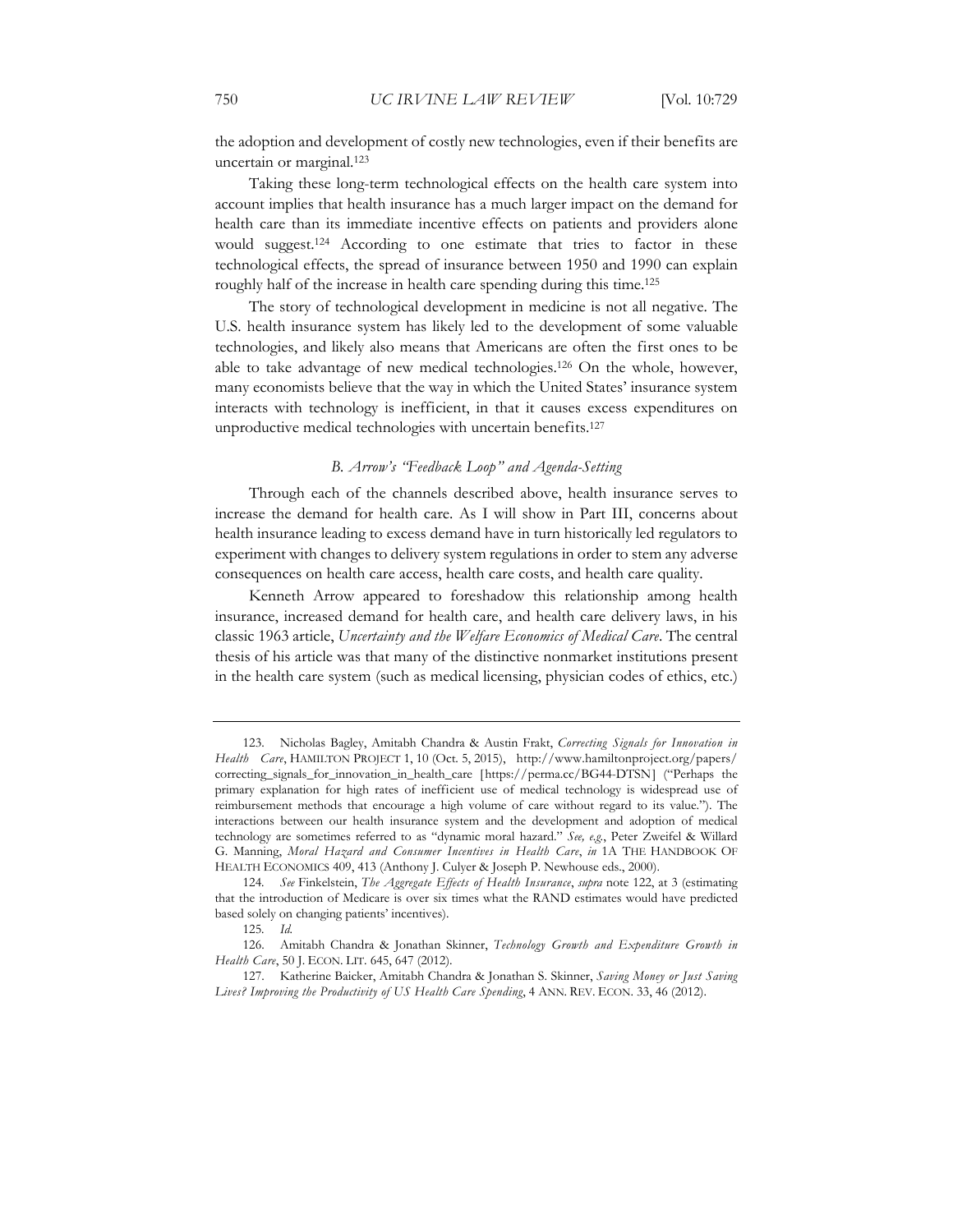the adoption and development of costly new technologies, even if their benefits are uncertain or marginal.123

Taking these long-term technological effects on the health care system into account implies that health insurance has a much larger impact on the demand for health care than its immediate incentive effects on patients and providers alone would suggest.<sup>124</sup> According to one estimate that tries to factor in these technological effects, the spread of insurance between 1950 and 1990 can explain roughly half of the increase in health care spending during this time.125

The story of technological development in medicine is not all negative. The U.S. health insurance system has likely led to the development of some valuable technologies, and likely also means that Americans are often the first ones to be able to take advantage of new medical technologies.126 On the whole, however, many economists believe that the way in which the United States' insurance system interacts with technology is inefficient, in that it causes excess expenditures on unproductive medical technologies with uncertain benefits.<sup>127</sup>

#### *B. Arrow's "Feedback Loop" and Agenda-Setting*

Through each of the channels described above, health insurance serves to increase the demand for health care. As I will show in Part III, concerns about health insurance leading to excess demand have in turn historically led regulators to experiment with changes to delivery system regulations in order to stem any adverse consequences on health care access, health care costs, and health care quality.

Kenneth Arrow appeared to foreshadow this relationship among health insurance, increased demand for health care, and health care delivery laws, in his classic 1963 article, *Uncertainty and the Welfare Economics of Medical Care*. The central thesis of his article was that many of the distinctive nonmarket institutions present in the health care system (such as medical licensing, physician codes of ethics, etc.)

<sup>123.</sup> Nicholas Bagley, Amitabh Chandra & Austin Frakt, *Correcting Signals for Innovation in Health Care*, HAMILTON PROJECT 1, 10 (Oct. 5, 2015), http://www.hamiltonproject.org/papers/ correcting\_signals\_for\_innovation\_in\_health\_care [https://perma.cc/BG44-DTSN] ("Perhaps the primary explanation for high rates of inefficient use of medical technology is widespread use of reimbursement methods that encourage a high volume of care without regard to its value."). The interactions between our health insurance system and the development and adoption of medical technology are sometimes referred to as "dynamic moral hazard." *See, e.g.*, Peter Zweifel & Willard G. Manning, *Moral Hazard and Consumer Incentives in Health Care*, *in* 1A THE HANDBOOK OF HEALTH ECONOMICS 409, 413 (Anthony J. Culyer & Joseph P. Newhouse eds., 2000).

<sup>124</sup>*. See* Finkelstein, *The Aggregate Effects of Health Insurance*, *supra* note 122, at 3 (estimating that the introduction of Medicare is over six times what the RAND estimates would have predicted based solely on changing patients' incentives).

<sup>125</sup>*. Id.*

<sup>126.</sup> Amitabh Chandra & Jonathan Skinner, *Technology Growth and Expenditure Growth in Health Care*, 50 J. ECON. LIT. 645, 647 (2012).

<sup>127.</sup> Katherine Baicker, Amitabh Chandra & Jonathan S. Skinner, *Saving Money or Just Saving Lives? Improving the Productivity of US Health Care Spending*, 4 ANN. REV. ECON. 33, 46 (2012).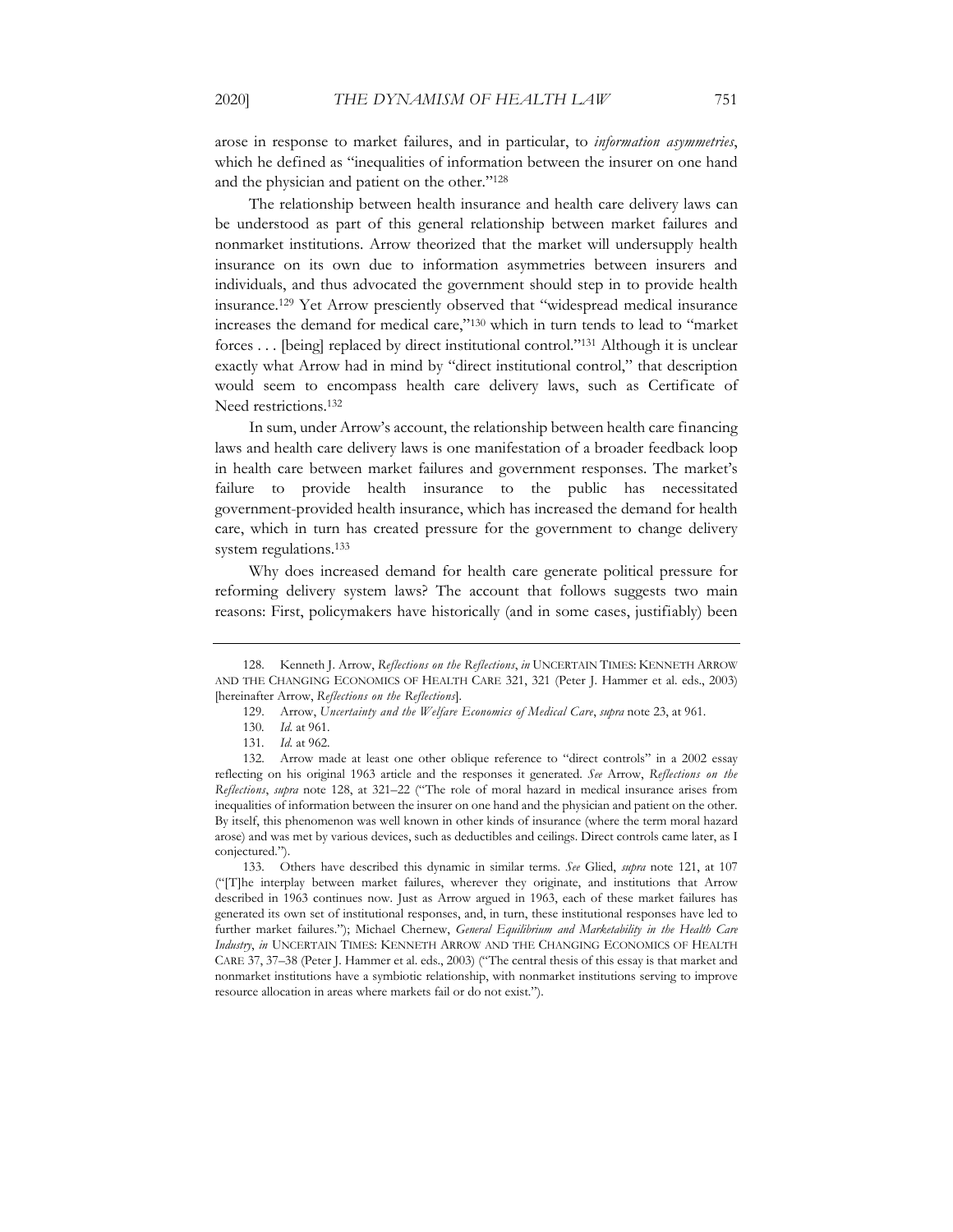arose in response to market failures, and in particular, to *information asymmetries*, which he defined as "inequalities of information between the insurer on one hand and the physician and patient on the other."128

The relationship between health insurance and health care delivery laws can be understood as part of this general relationship between market failures and nonmarket institutions. Arrow theorized that the market will undersupply health insurance on its own due to information asymmetries between insurers and individuals, and thus advocated the government should step in to provide health insurance.129 Yet Arrow presciently observed that "widespread medical insurance increases the demand for medical care,"130 which in turn tends to lead to "market forces . . . [being] replaced by direct institutional control."131 Although it is unclear exactly what Arrow had in mind by "direct institutional control," that description would seem to encompass health care delivery laws, such as Certificate of Need restrictions.132

In sum, under Arrow's account, the relationship between health care financing laws and health care delivery laws is one manifestation of a broader feedback loop in health care between market failures and government responses. The market's failure to provide health insurance to the public has necessitated government-provided health insurance, which has increased the demand for health care, which in turn has created pressure for the government to change delivery system regulations.133

Why does increased demand for health care generate political pressure for reforming delivery system laws? The account that follows suggests two main reasons: First, policymakers have historically (and in some cases, justifiably) been

<sup>128.</sup> Kenneth J. Arrow, *Reflections on the Reflections*, *in* UNCERTAIN TIMES: KENNETH ARROW AND THE CHANGING ECONOMICS OF HEALTH CARE 321, 321 (Peter J. Hammer et al. eds., 2003) [hereinafter Arrow, *Reflections on the Reflections*].

<sup>129.</sup> Arrow, *Uncertainty and the Welfare Economics of Medical Care*, *supra* note 23, at 961.

<sup>130</sup>*. Id.* at 961.

<sup>131</sup>*. Id.* at 962.

<sup>132.</sup> Arrow made at least one other oblique reference to "direct controls" in a 2002 essay reflecting on his original 1963 article and the responses it generated. *See* Arrow, *Reflections on the Reflections*, *supra* note 128, at 321–22 ("The role of moral hazard in medical insurance arises from inequalities of information between the insurer on one hand and the physician and patient on the other. By itself, this phenomenon was well known in other kinds of insurance (where the term moral hazard arose) and was met by various devices, such as deductibles and ceilings. Direct controls came later, as I conjectured.").

<sup>133.</sup> Others have described this dynamic in similar terms. *See* Glied, *supra* note 121, at 107 ("[T]he interplay between market failures, wherever they originate, and institutions that Arrow described in 1963 continues now. Just as Arrow argued in 1963, each of these market failures has generated its own set of institutional responses, and, in turn, these institutional responses have led to further market failures."); Michael Chernew, *General Equilibrium and Marketability in the Health Care Industry*, *in* UNCERTAIN TIMES: KENNETH ARROW AND THE CHANGING ECONOMICS OF HEALTH CARE 37, 37–38 (Peter J. Hammer et al. eds., 2003) ("The central thesis of this essay is that market and nonmarket institutions have a symbiotic relationship, with nonmarket institutions serving to improve resource allocation in areas where markets fail or do not exist.").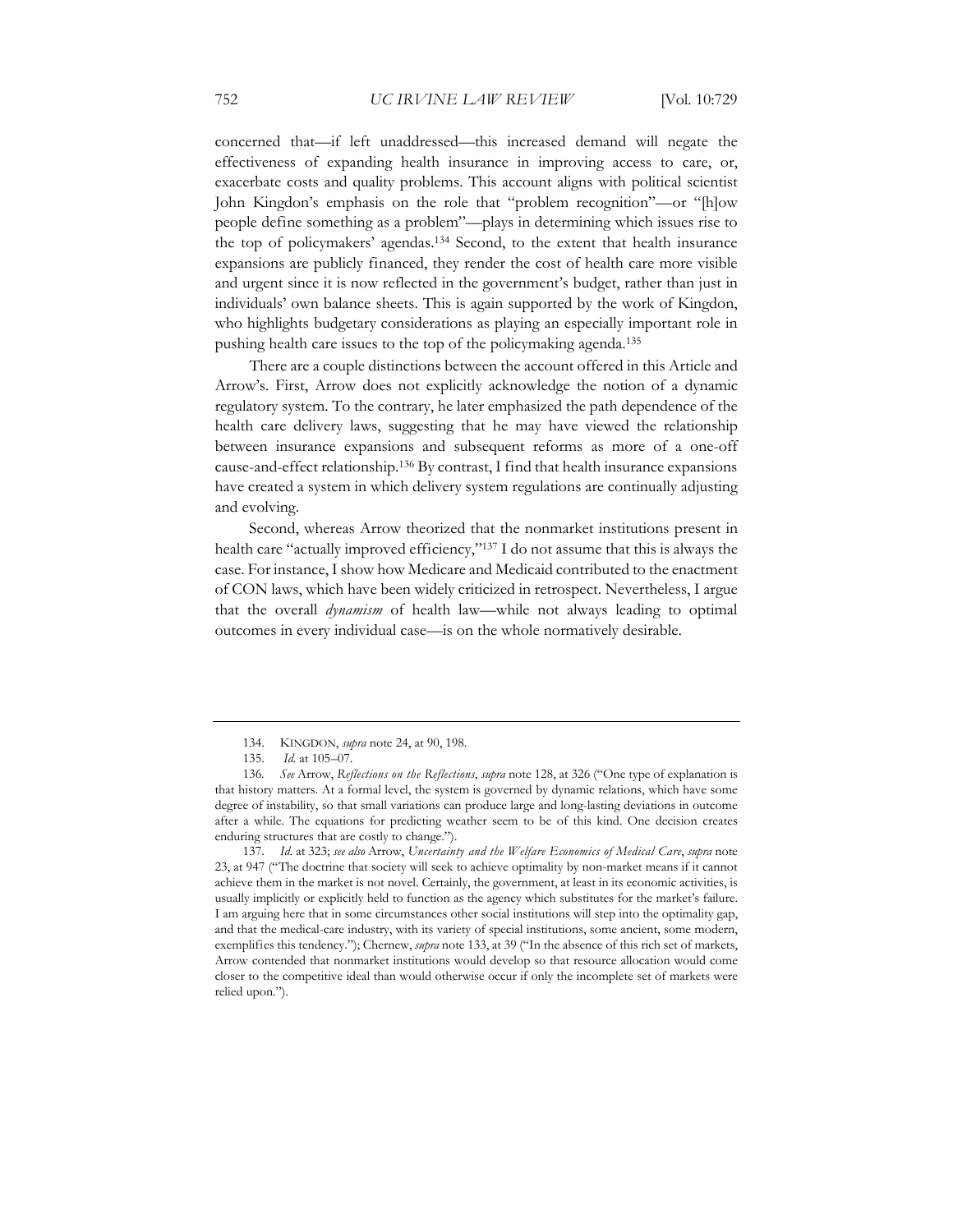concerned that—if left unaddressed—this increased demand will negate the effectiveness of expanding health insurance in improving access to care, or, exacerbate costs and quality problems. This account aligns with political scientist John Kingdon's emphasis on the role that "problem recognition"—or "[h]ow people define something as a problem"—plays in determining which issues rise to the top of policymakers' agendas.134 Second, to the extent that health insurance expansions are publicly financed, they render the cost of health care more visible and urgent since it is now reflected in the government's budget, rather than just in individuals' own balance sheets. This is again supported by the work of Kingdon, who highlights budgetary considerations as playing an especially important role in pushing health care issues to the top of the policymaking agenda.135

There are a couple distinctions between the account offered in this Article and Arrow's. First, Arrow does not explicitly acknowledge the notion of a dynamic regulatory system. To the contrary, he later emphasized the path dependence of the health care delivery laws, suggesting that he may have viewed the relationship between insurance expansions and subsequent reforms as more of a one-off cause-and-effect relationship.136 By contrast, I find that health insurance expansions have created a system in which delivery system regulations are continually adjusting and evolving.

Second, whereas Arrow theorized that the nonmarket institutions present in health care "actually improved efficiency,"137 I do not assume that this is always the case. For instance, I show how Medicare and Medicaid contributed to the enactment of CON laws, which have been widely criticized in retrospect. Nevertheless, I argue that the overall *dynamism* of health law—while not always leading to optimal outcomes in every individual case—is on the whole normatively desirable.

137. *Id.* at 323; *see also* Arrow, *Uncertainty and the Welfare Economics of Medical Care*, *supra* note 23, at 947 ("The doctrine that society will seek to achieve optimality by non-market means if it cannot achieve them in the market is not novel. Certainly, the government, at least in its economic activities, is usually implicitly or explicitly held to function as the agency which substitutes for the market's failure. I am arguing here that in some circumstances other social institutions will step into the optimality gap, and that the medical-care industry, with its variety of special institutions, some ancient, some modern, exemplifies this tendency."); Chernew, *supra* note 133, at 39 ("In the absence of this rich set of markets, Arrow contended that nonmarket institutions would develop so that resource allocation would come closer to the competitive ideal than would otherwise occur if only the incomplete set of markets were relied upon.").

<sup>134.</sup> KINGDON, *supra* note 24, at 90, 198.

<sup>135.</sup> *Id.* at 105–07.

<sup>136</sup>*. See* Arrow, *Reflections on the Reflections*, *supra* note 128, at 326 ("One type of explanation is that history matters. At a formal level, the system is governed by dynamic relations, which have some degree of instability, so that small variations can produce large and long-lasting deviations in outcome after a while. The equations for predicting weather seem to be of this kind. One decision creates enduring structures that are costly to change.").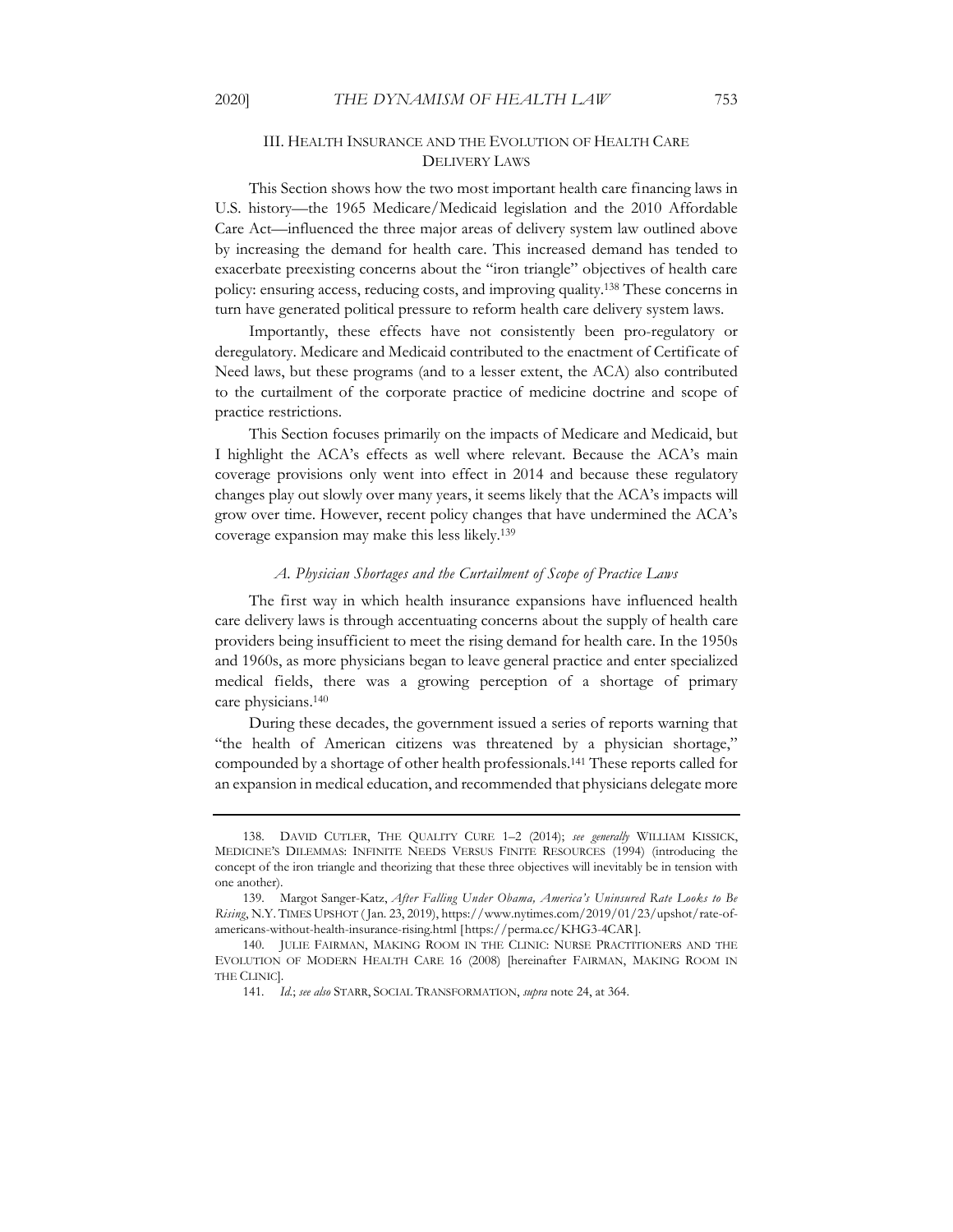### III. HEALTH INSURANCE AND THE EVOLUTION OF HEALTH CARE DELIVERY LAWS

This Section shows how the two most important health care financing laws in U.S. history—the 1965 Medicare/Medicaid legislation and the 2010 Affordable Care Act—influenced the three major areas of delivery system law outlined above by increasing the demand for health care. This increased demand has tended to exacerbate preexisting concerns about the "iron triangle" objectives of health care policy: ensuring access, reducing costs, and improving quality.138 These concerns in turn have generated political pressure to reform health care delivery system laws.

Importantly, these effects have not consistently been pro-regulatory or deregulatory. Medicare and Medicaid contributed to the enactment of Certificate of Need laws, but these programs (and to a lesser extent, the ACA) also contributed to the curtailment of the corporate practice of medicine doctrine and scope of practice restrictions.

This Section focuses primarily on the impacts of Medicare and Medicaid, but I highlight the ACA's effects as well where relevant. Because the ACA's main coverage provisions only went into effect in 2014 and because these regulatory changes play out slowly over many years, it seems likely that the ACA's impacts will grow over time. However, recent policy changes that have undermined the ACA's coverage expansion may make this less likely.139

#### *A. Physician Shortages and the Curtailment of Scope of Practice Laws*

The first way in which health insurance expansions have influenced health care delivery laws is through accentuating concerns about the supply of health care providers being insufficient to meet the rising demand for health care. In the 1950s and 1960s, as more physicians began to leave general practice and enter specialized medical fields, there was a growing perception of a shortage of primary care physicians.140

During these decades, the government issued a series of reports warning that "the health of American citizens was threatened by a physician shortage," compounded by a shortage of other health professionals.141 These reports called for an expansion in medical education, and recommended that physicians delegate more

<sup>138.</sup> DAVID CUTLER, THE QUALITY CURE 1–2 (2014); *see generally* WILLIAM KISSICK, MEDICINE'S DILEMMAS: INFINITE NEEDS VERSUS FINITE RESOURCES (1994) (introducing the concept of the iron triangle and theorizing that these three objectives will inevitably be in tension with one another).

<sup>139.</sup> Margot Sanger-Katz, *After Falling Under Obama, America's Uninsured Rate Looks to Be Rising*, N.Y. TIMES UPSHOT ( Jan. 23, 2019), https://www.nytimes.com/2019/01/23/upshot/rate-ofamericans-without-health-insurance-rising.html [https://perma.cc/KHG3-4CAR].

<sup>140.</sup> JULIE FAIRMAN, MAKING ROOM IN THE CLINIC: NURSE PRACTITIONERS AND THE EVOLUTION OF MODERN HEALTH CARE 16 (2008) [hereinafter FAIRMAN, MAKING ROOM IN THE CLINIC].

<sup>141</sup>*. Id.*; *see also* STARR, SOCIAL TRANSFORMATION, *supra* note 24, at 364.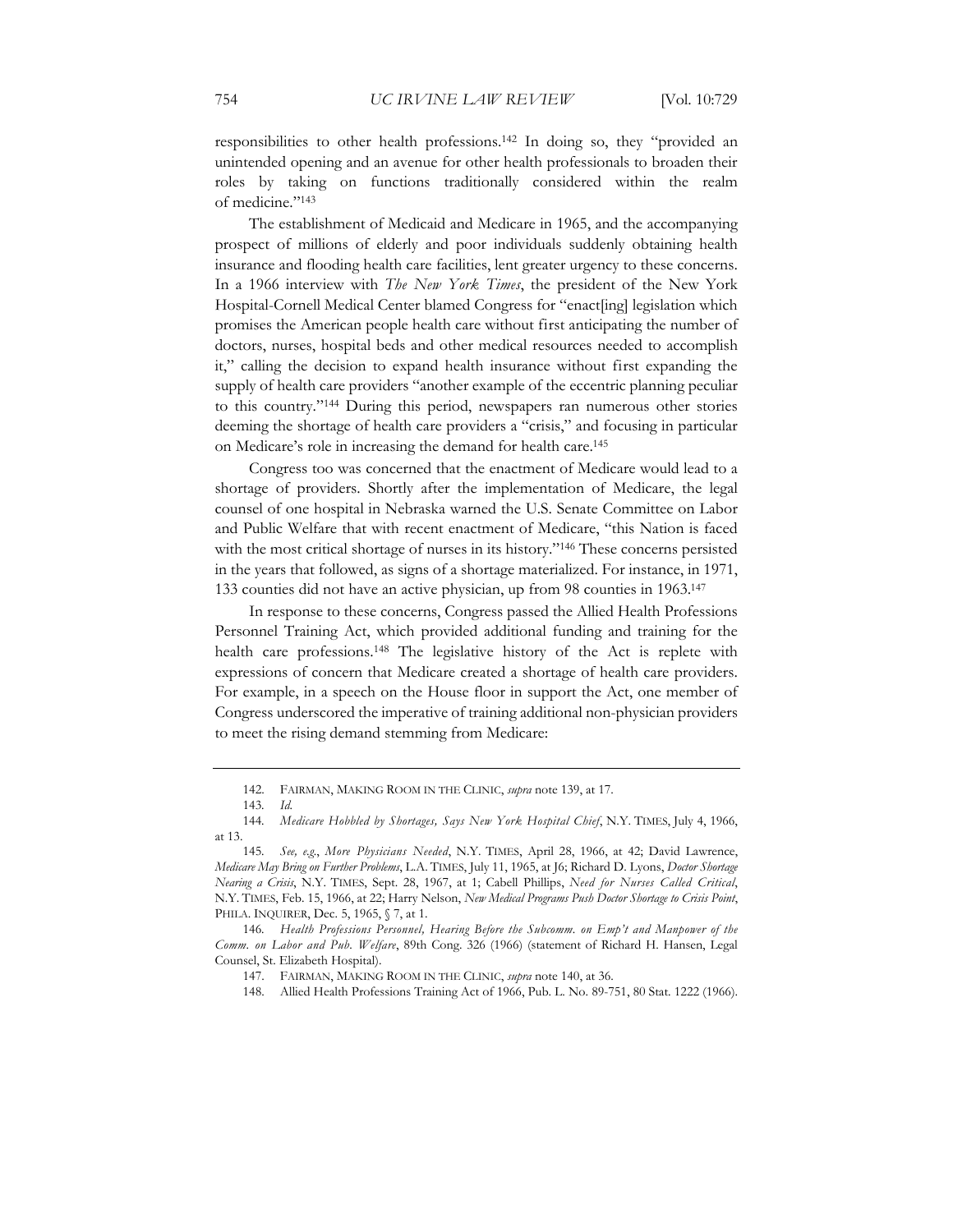responsibilities to other health professions.142 In doing so, they "provided an unintended opening and an avenue for other health professionals to broaden their roles by taking on functions traditionally considered within the realm of medicine."143

The establishment of Medicaid and Medicare in 1965, and the accompanying prospect of millions of elderly and poor individuals suddenly obtaining health insurance and flooding health care facilities, lent greater urgency to these concerns. In a 1966 interview with *The New York Times*, the president of the New York Hospital-Cornell Medical Center blamed Congress for "enact[ing] legislation which promises the American people health care without first anticipating the number of doctors, nurses, hospital beds and other medical resources needed to accomplish it," calling the decision to expand health insurance without first expanding the supply of health care providers "another example of the eccentric planning peculiar to this country."144 During this period, newspapers ran numerous other stories deeming the shortage of health care providers a "crisis," and focusing in particular on Medicare's role in increasing the demand for health care.145

Congress too was concerned that the enactment of Medicare would lead to a shortage of providers. Shortly after the implementation of Medicare, the legal counsel of one hospital in Nebraska warned the U.S. Senate Committee on Labor and Public Welfare that with recent enactment of Medicare, "this Nation is faced with the most critical shortage of nurses in its history."146 These concerns persisted in the years that followed, as signs of a shortage materialized. For instance, in 1971, 133 counties did not have an active physician, up from 98 counties in 1963.147

In response to these concerns, Congress passed the Allied Health Professions Personnel Training Act, which provided additional funding and training for the health care professions.148 The legislative history of the Act is replete with expressions of concern that Medicare created a shortage of health care providers. For example, in a speech on the House floor in support the Act, one member of Congress underscored the imperative of training additional non-physician providers to meet the rising demand stemming from Medicare:

<sup>142.</sup> FAIRMAN, MAKING ROOM IN THE CLINIC, *supra* note 139, at 17.

<sup>143</sup>*. Id.*

<sup>144</sup>*. Medicare Hobbled by Shortages, Says New York Hospital Chief*, N.Y. TIMES, July 4, 1966, at 13.

<sup>145</sup>*. See, e.g.*, *More Physicians Needed*, N.Y. TIMES, April 28, 1966, at 42; David Lawrence, *Medicare May Bring on Further Problems*, L.A. TIMES, July 11, 1965, at J6; Richard D. Lyons, *Doctor Shortage Nearing a Crisis*, N.Y. TIMES, Sept. 28, 1967, at 1; Cabell Phillips, *Need for Nurses Called Critical*, N.Y. TIMES, Feb. 15, 1966, at 22; Harry Nelson, *New Medical Programs Push Doctor Shortage to Crisis Point*, PHILA. INQUIRER, Dec. 5, 1965, § 7, at 1.

<sup>146</sup>*. Health Professions Personnel, Hearing Before the Subcomm. on Emp't and Manpower of the Comm. on Labor and Pub. Welfare*, 89th Cong. 326 (1966) (statement of Richard H. Hansen, Legal Counsel, St. Elizabeth Hospital).

<sup>147.</sup> FAIRMAN, MAKING ROOM IN THE CLINIC, *supra* note 140, at 36.

<sup>148.</sup> Allied Health Professions Training Act of 1966, Pub. L. No. 89-751, 80 Stat. 1222 (1966).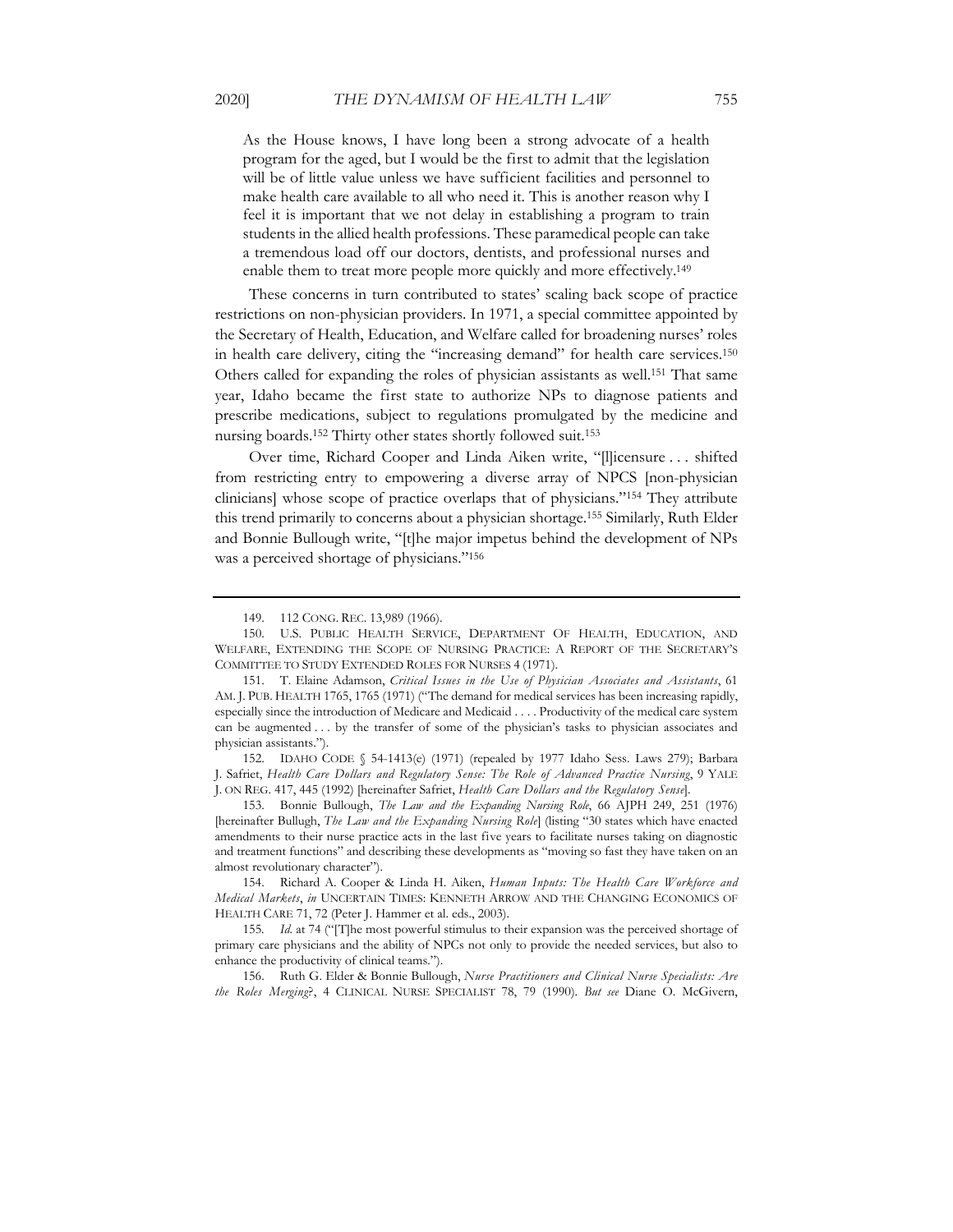As the House knows, I have long been a strong advocate of a health program for the aged, but I would be the first to admit that the legislation will be of little value unless we have sufficient facilities and personnel to make health care available to all who need it. This is another reason why I feel it is important that we not delay in establishing a program to train students in the allied health professions. These paramedical people can take a tremendous load off our doctors, dentists, and professional nurses and enable them to treat more people more quickly and more effectively.149

These concerns in turn contributed to states' scaling back scope of practice restrictions on non-physician providers. In 1971, a special committee appointed by the Secretary of Health, Education, and Welfare called for broadening nurses' roles in health care delivery, citing the "increasing demand" for health care services.150 Others called for expanding the roles of physician assistants as well.151 That same year, Idaho became the first state to authorize NPs to diagnose patients and prescribe medications, subject to regulations promulgated by the medicine and nursing boards.152 Thirty other states shortly followed suit.153

Over time, Richard Cooper and Linda Aiken write, "[l]icensure . . . shifted from restricting entry to empowering a diverse array of NPCS [non-physician clinicians] whose scope of practice overlaps that of physicians."154 They attribute this trend primarily to concerns about a physician shortage.155 Similarly, Ruth Elder and Bonnie Bullough write, "[t]he major impetus behind the development of NPs was a perceived shortage of physicians."156

152. IDAHO CODE § 54-1413(e) (1971) (repealed by 1977 Idaho Sess. Laws 279); Barbara J. Safriet, *Health Care Dollars and Regulatory Sense: The Role of Advanced Practice Nursing*, 9 YALE J. ON REG. 417, 445 (1992) [hereinafter Safriet, *Health Care Dollars and the Regulatory Sense*].

153. Bonnie Bullough, *The Law and the Expanding Nursing Role*, 66 AJPH 249, 251 (1976) [hereinafter Bullugh, *The Law and the Expanding Nursing Role*] (listing "30 states which have enacted amendments to their nurse practice acts in the last five years to facilitate nurses taking on diagnostic and treatment functions" and describing these developments as "moving so fast they have taken on an almost revolutionary character").

156. Ruth G. Elder & Bonnie Bullough, *Nurse Practitioners and Clinical Nurse Specialists: Are the Roles Merging*?, 4 CLINICAL NURSE SPECIALIST 78, 79 (1990). *But see* Diane O. McGivern,

<sup>149. 112</sup> CONG. REC. 13,989 (1966).

<sup>150.</sup> U.S. PUBLIC HEALTH SERVICE, DEPARTMENT OF HEALTH, EDUCATION, AND WELFARE, EXTENDING THE SCOPE OF NURSING PRACTICE: A REPORT OF THE SECRETARY'S COMMITTEE TO STUDY EXTENDED ROLES FOR NURSES 4 (1971).

<sup>151.</sup> T. Elaine Adamson, *Critical Issues in the Use of Physician Associates and Assistants*, 61 AM. J. PUB. HEALTH 1765, 1765 (1971) ("The demand for medical services has been increasing rapidly, especially since the introduction of Medicare and Medicaid . . . . Productivity of the medical care system can be augmented . . . by the transfer of some of the physician's tasks to physician associates and physician assistants.").

<sup>154.</sup> Richard A. Cooper & Linda H. Aiken, *Human Inputs: The Health Care Workforce and Medical Markets*, *in* UNCERTAIN TIMES: KENNETH ARROW AND THE CHANGING ECONOMICS OF HEALTH CARE 71, 72 (Peter J. Hammer et al. eds., 2003).

<sup>155</sup>*. Id.* at 74 ("[T]he most powerful stimulus to their expansion was the perceived shortage of primary care physicians and the ability of NPCs not only to provide the needed services, but also to enhance the productivity of clinical teams.").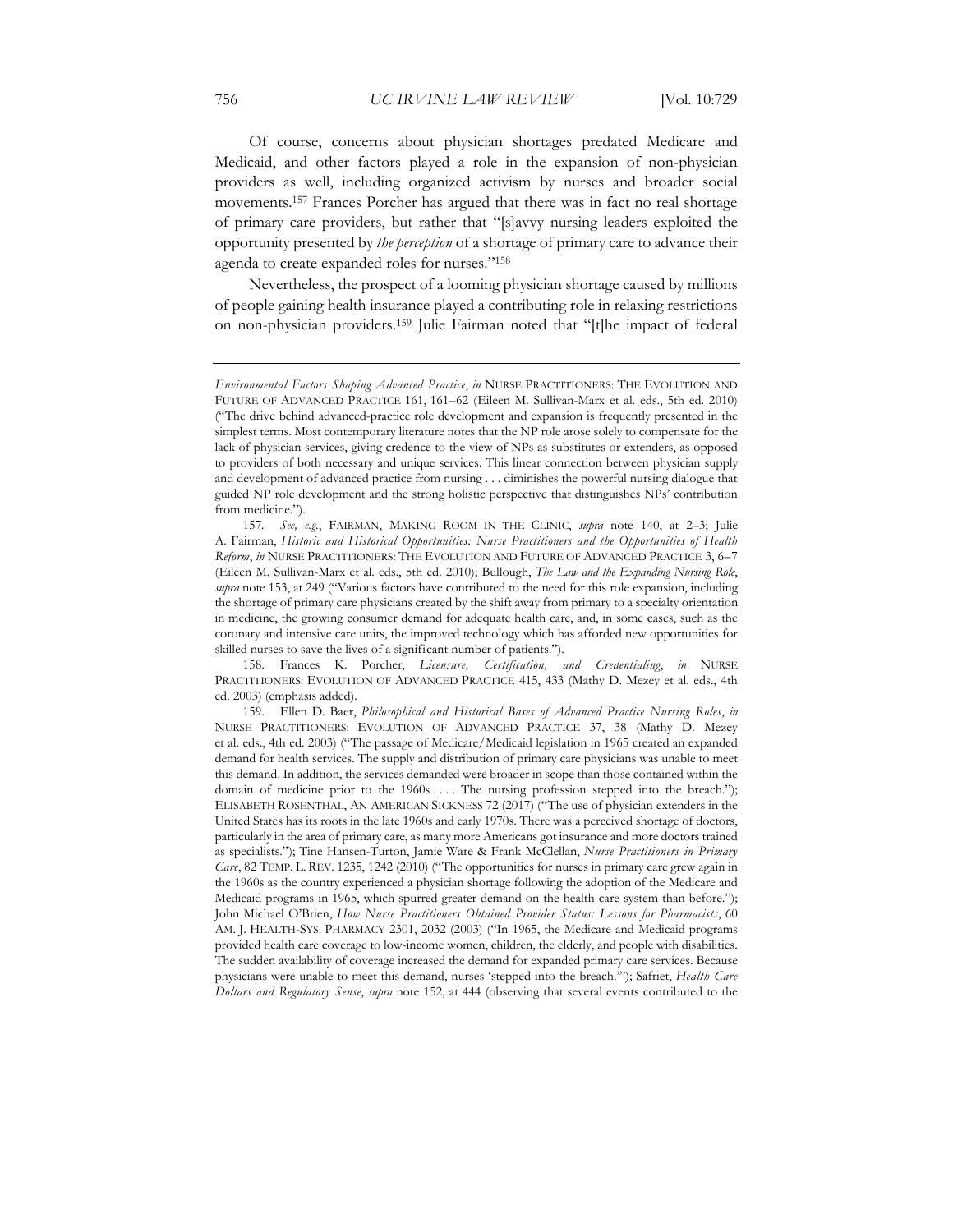Of course, concerns about physician shortages predated Medicare and Medicaid, and other factors played a role in the expansion of non-physician providers as well, including organized activism by nurses and broader social movements.157 Frances Porcher has argued that there was in fact no real shortage of primary care providers, but rather that "[s]avvy nursing leaders exploited the opportunity presented by *the perception* of a shortage of primary care to advance their agenda to create expanded roles for nurses."158

Nevertheless, the prospect of a looming physician shortage caused by millions of people gaining health insurance played a contributing role in relaxing restrictions on non-physician providers.159 Julie Fairman noted that "[t]he impact of federal

*Environmental Factors Shaping Advanced Practice*, *in* NURSE PRACTITIONERS: THE EVOLUTION AND FUTURE OF ADVANCED PRACTICE 161, 161–62 (Eileen M. Sullivan-Marx et al. eds., 5th ed. 2010) ("The drive behind advanced-practice role development and expansion is frequently presented in the simplest terms. Most contemporary literature notes that the NP role arose solely to compensate for the lack of physician services, giving credence to the view of NPs as substitutes or extenders, as opposed to providers of both necessary and unique services. This linear connection between physician supply and development of advanced practice from nursing . . . diminishes the powerful nursing dialogue that guided NP role development and the strong holistic perspective that distinguishes NPs' contribution from medicine.").

<sup>157</sup>*. See, e.g.*, FAIRMAN, MAKING ROOM IN THE CLINIC, *supra* note 140, at 2–3; Julie A. Fairman, *Historic and Historical Opportunities: Nurse Practitioners and the Opportunities of Health Reform*, *in* NURSE PRACTITIONERS: THE EVOLUTION AND FUTURE OF ADVANCED PRACTICE 3, 6–7 (Eileen M. Sullivan-Marx et al. eds., 5th ed. 2010); Bullough, *The Law and the Expanding Nursing Role*, *supra* note 153, at 249 ("Various factors have contributed to the need for this role expansion, including the shortage of primary care physicians created by the shift away from primary to a specialty orientation in medicine, the growing consumer demand for adequate health care, and, in some cases, such as the coronary and intensive care units, the improved technology which has afforded new opportunities for skilled nurses to save the lives of a significant number of patients.").

<sup>158.</sup> Frances K. Porcher, *Licensure, Certification, and Credentialing*, *in* NURSE PRACTITIONERS: EVOLUTION OF ADVANCED PRACTICE 415, 433 (Mathy D. Mezey et al. eds., 4th ed. 2003) (emphasis added).

<sup>159.</sup> Ellen D. Baer, *Philosophical and Historical Bases of Advanced Practice Nursing Roles*, *in* NURSE PRACTITIONERS: EVOLUTION OF ADVANCED PRACTICE 37, 38 (Mathy D. Mezey et al. eds., 4th ed. 2003) ("The passage of Medicare/Medicaid legislation in 1965 created an expanded demand for health services. The supply and distribution of primary care physicians was unable to meet this demand. In addition, the services demanded were broader in scope than those contained within the domain of medicine prior to the 1960s . . . . The nursing profession stepped into the breach."); ELISABETH ROSENTHAL, AN AMERICAN SICKNESS 72 (2017) ("The use of physician extenders in the United States has its roots in the late 1960s and early 1970s. There was a perceived shortage of doctors, particularly in the area of primary care, as many more Americans got insurance and more doctors trained as specialists."); Tine Hansen-Turton, Jamie Ware & Frank McClellan, *Nurse Practitioners in Primary Care*, 82 TEMP. L. REV. 1235, 1242 (2010) ("The opportunities for nurses in primary care grew again in the 1960s as the country experienced a physician shortage following the adoption of the Medicare and Medicaid programs in 1965, which spurred greater demand on the health care system than before."); John Michael O'Brien, *How Nurse Practitioners Obtained Provider Status: Lessons for Pharmacists*, 60 AM. J. HEALTH-SYS. PHARMACY 2301, 2032 (2003) ("In 1965, the Medicare and Medicaid programs provided health care coverage to low-income women, children, the elderly, and people with disabilities. The sudden availability of coverage increased the demand for expanded primary care services. Because physicians were unable to meet this demand, nurses 'stepped into the breach.'"); Safriet, *Health Care Dollars and Regulatory Sense*, *supra* note 152, at 444 (observing that several events contributed to the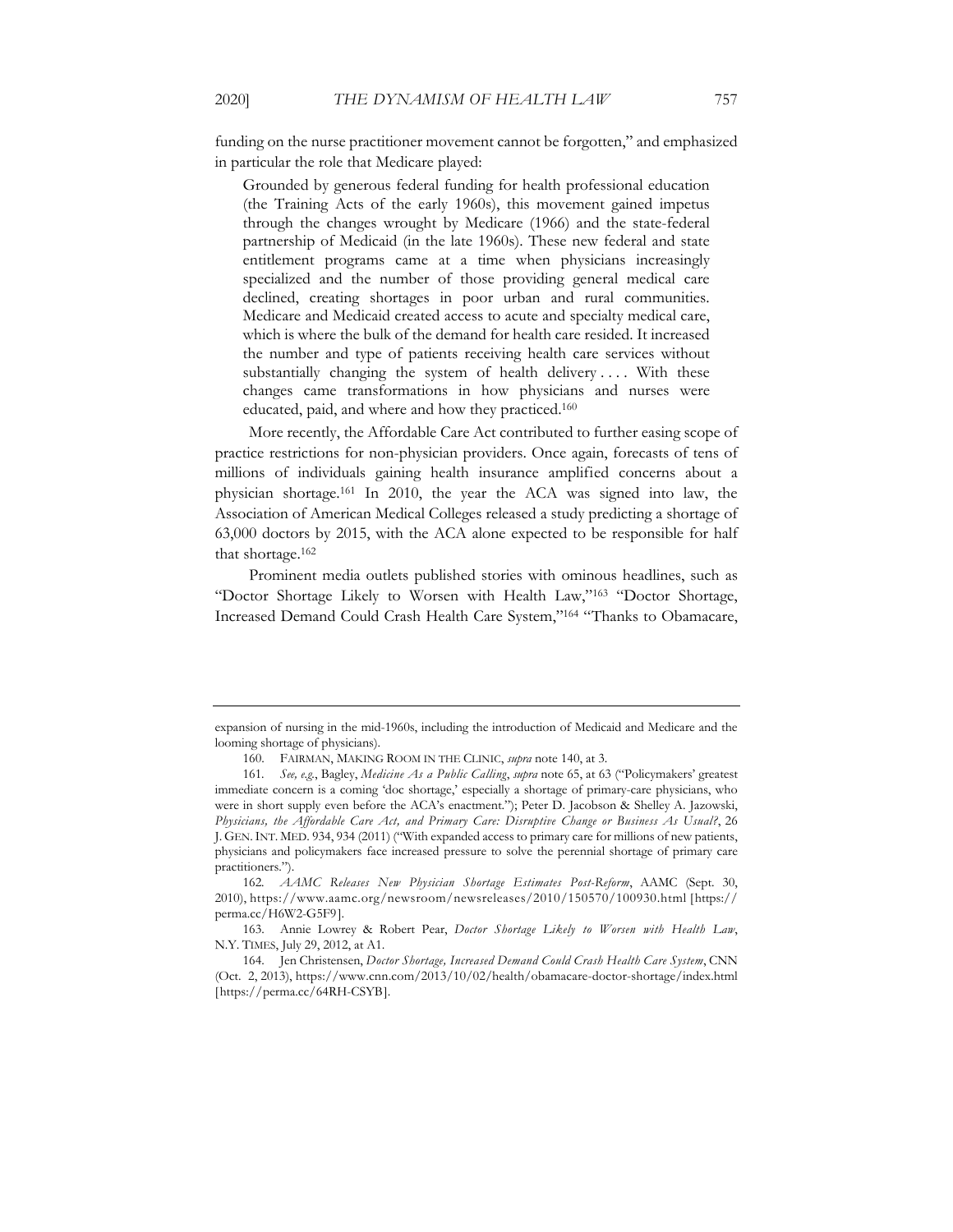funding on the nurse practitioner movement cannot be forgotten," and emphasized in particular the role that Medicare played:

Grounded by generous federal funding for health professional education (the Training Acts of the early 1960s), this movement gained impetus through the changes wrought by Medicare (1966) and the state-federal partnership of Medicaid (in the late 1960s). These new federal and state entitlement programs came at a time when physicians increasingly specialized and the number of those providing general medical care declined, creating shortages in poor urban and rural communities. Medicare and Medicaid created access to acute and specialty medical care, which is where the bulk of the demand for health care resided. It increased the number and type of patients receiving health care services without substantially changing the system of health delivery  $\dots$ . With these changes came transformations in how physicians and nurses were educated, paid, and where and how they practiced.160

More recently, the Affordable Care Act contributed to further easing scope of practice restrictions for non-physician providers. Once again, forecasts of tens of millions of individuals gaining health insurance amplified concerns about a physician shortage.161 In 2010, the year the ACA was signed into law, the Association of American Medical Colleges released a study predicting a shortage of 63,000 doctors by 2015, with the ACA alone expected to be responsible for half that shortage.162

Prominent media outlets published stories with ominous headlines, such as "Doctor Shortage Likely to Worsen with Health Law,"163 "Doctor Shortage, Increased Demand Could Crash Health Care System,"164 "Thanks to Obamacare,

expansion of nursing in the mid-1960s, including the introduction of Medicaid and Medicare and the looming shortage of physicians).

<sup>160.</sup> FAIRMAN, MAKING ROOM IN THE CLINIC, *supra* note 140, at 3.

<sup>161</sup>*. See, e.g.*, Bagley, *Medicine As a Public Calling*, *supra* note 65, at 63 ("Policymakers' greatest immediate concern is a coming 'doc shortage,' especially a shortage of primary-care physicians, who were in short supply even before the ACA's enactment."); Peter D. Jacobson & Shelley A. Jazowski, *Physicians, the Affordable Care Act, and Primary Care: Disruptive Change or Business As Usual?*, 26 J. GEN.INT. MED. 934, 934 (2011) ("With expanded access to primary care for millions of new patients, physicians and policymakers face increased pressure to solve the perennial shortage of primary care practitioners.").

<sup>162</sup>*. AAMC Releases New Physician Shortage Estimates Post-Reform*, AAMC (Sept. 30, 2010), https://www.aamc.org/newsroom/newsreleases/2010/150570/100930.html [https:// perma.cc/H6W2-G5F9].

<sup>163.</sup> Annie Lowrey & Robert Pear, *Doctor Shortage Likely to Worsen with Health Law*, N.Y. TIMES, July 29, 2012, at A1.

<sup>164.</sup> Jen Christensen, *Doctor Shortage, Increased Demand Could Crash Health Care System*, CNN (Oct. 2, 2013), https://www.cnn.com/2013/10/02/health/obamacare-doctor-shortage/index.html [https://perma.cc/64RH-CSYB].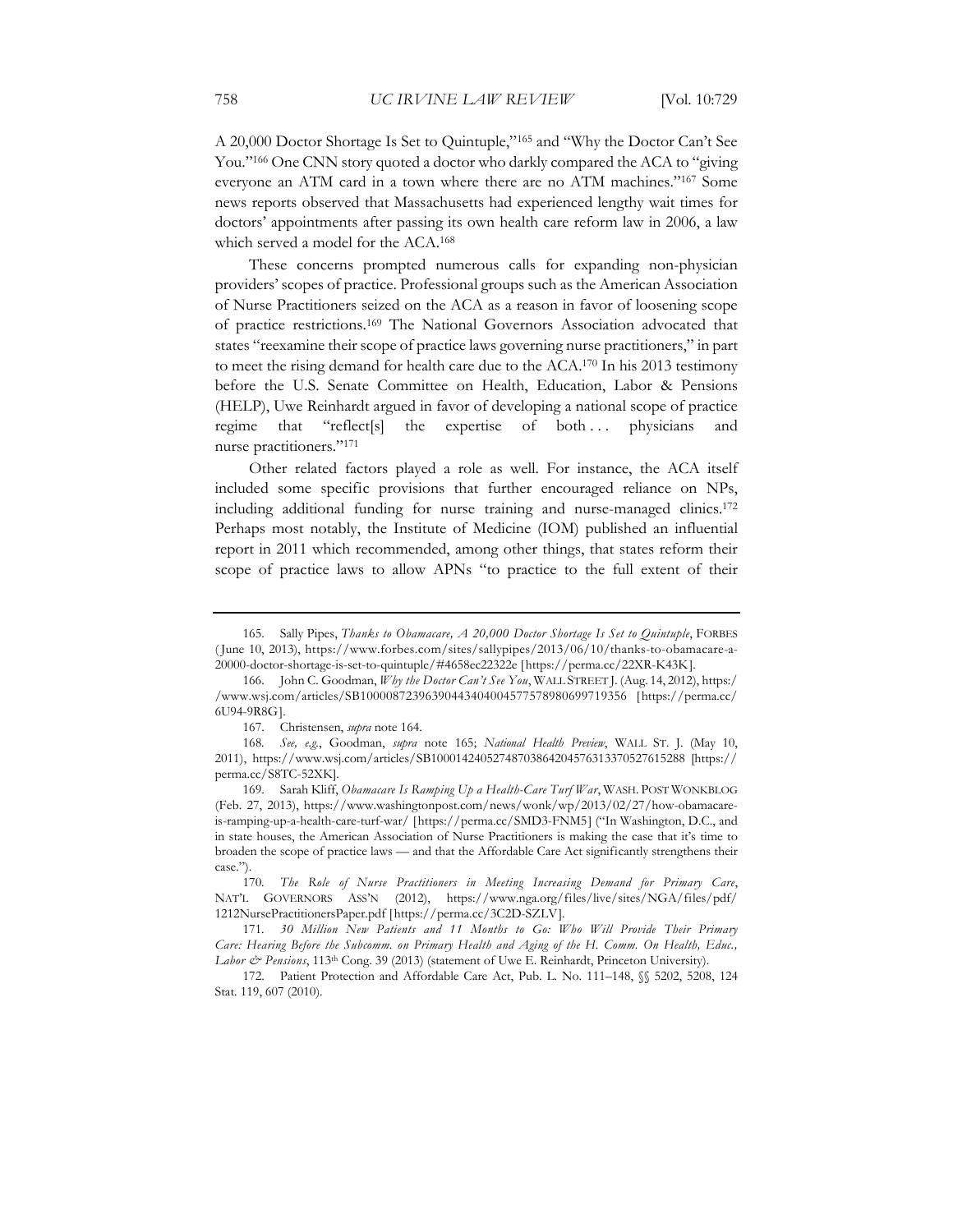A 20,000 Doctor Shortage Is Set to Quintuple,"165 and "Why the Doctor Can't See You."<sup>166</sup> One CNN story quoted a doctor who darkly compared the ACA to "giving everyone an ATM card in a town where there are no ATM machines."167 Some news reports observed that Massachusetts had experienced lengthy wait times for doctors' appointments after passing its own health care reform law in 2006, a law which served a model for the ACA.168

These concerns prompted numerous calls for expanding non-physician providers' scopes of practice. Professional groups such as the American Association of Nurse Practitioners seized on the ACA as a reason in favor of loosening scope of practice restrictions.169 The National Governors Association advocated that states "reexamine their scope of practice laws governing nurse practitioners," in part to meet the rising demand for health care due to the ACA.170 In his 2013 testimony before the U.S. Senate Committee on Health, Education, Labor & Pensions (HELP), Uwe Reinhardt argued in favor of developing a national scope of practice regime that "reflect[s] the expertise of both... physicians and nurse practitioners."171

Other related factors played a role as well. For instance, the ACA itself included some specific provisions that further encouraged reliance on NPs, including additional funding for nurse training and nurse-managed clinics.172 Perhaps most notably, the Institute of Medicine (IOM) published an influential report in 2011 which recommended, among other things, that states reform their scope of practice laws to allow APNs "to practice to the full extent of their

<sup>165.</sup> Sally Pipes, *Thanks to Obamacare, A 20,000 Doctor Shortage Is Set to Quintuple*, FORBES ( June 10, 2013), https://www.forbes.com/sites/sallypipes/2013/06/10/thanks-to-obamacare-a-20000-doctor-shortage-is-set-to-quintuple/#4658ec22322e [https://perma.cc/22XR-K43K].

<sup>166.</sup> John C. Goodman, *Why the Doctor Can't See You*, WALL STREET J. (Aug. 14, 2012), https:/ /www.wsj.com/articles/SB10000872396390443404004577578980699719356 [https://perma.cc/ 6U94-9R8G].

<sup>167.</sup> Christensen, *supra* note 164.

<sup>168</sup>*. See, e.g.*, Goodman, *supra* note 165; *National Health Preview*, WALL ST. J. (May 10, 2011), https://www.wsj.com/articles/SB10001424052748703864204576313370527615288 [https:// perma.cc/S8TC-52XK].

<sup>169.</sup> Sarah Kliff, *Obamacare Is Ramping Up a Health-Care Turf War*, WASH. POST WONKBLOG (Feb. 27, 2013), https://www.washingtonpost.com/news/wonk/wp/2013/02/27/how-obamacareis-ramping-up-a-health-care-turf-war/ [https://perma.cc/SMD3-FNM5] ("In Washington, D.C., and in state houses, the American Association of Nurse Practitioners is making the case that it's time to broaden the scope of practice laws — and that the Affordable Care Act significantly strengthens their case.").

<sup>170</sup>*. The Role of Nurse Practitioners in Meeting Increasing Demand for Primary Care*, NAT'L GOVERNORS ASS'N (2012), https://www.nga.org/files/live/sites/NGA/files/pdf/ 1212NursePractitionersPaper.pdf [https://perma.cc/3C2D-SZLV].

<sup>171</sup>*. 30 Million New Patients and 11 Months to Go: Who Will Provide Their Primary Care: Hearing Before the Subcomm. on Primary Health and Aging of the H. Comm. On Health, Educ., Labor & Pensions*, 113th Cong. 39 (2013) (statement of Uwe E. Reinhardt, Princeton University).

<sup>172.</sup> Patient Protection and Affordable Care Act, Pub. L. No. 111-148, §§ 5202, 5208, 124 Stat. 119, 607 (2010).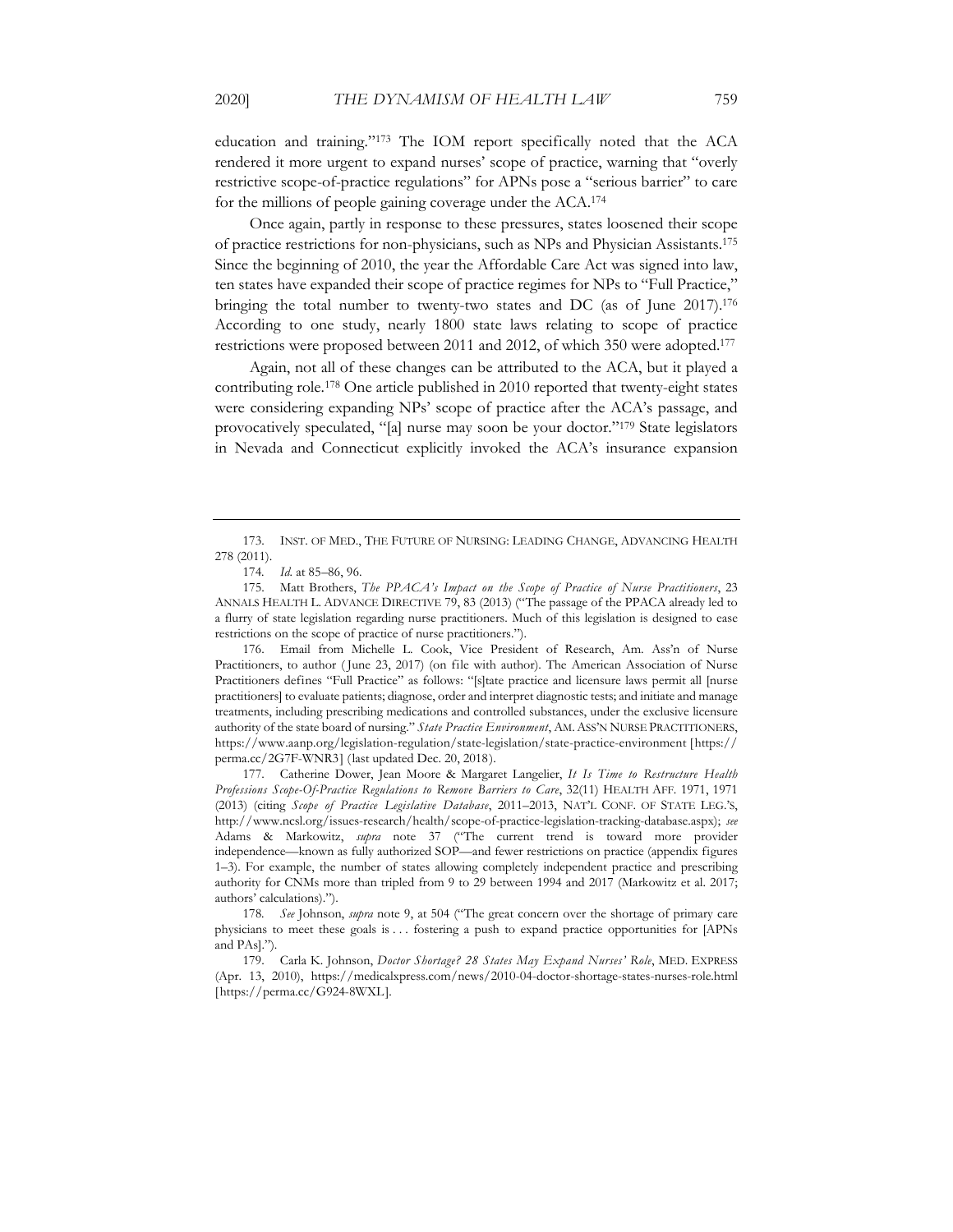education and training."173 The IOM report specifically noted that the ACA rendered it more urgent to expand nurses' scope of practice, warning that "overly restrictive scope-of-practice regulations" for APNs pose a "serious barrier" to care for the millions of people gaining coverage under the ACA.174

Once again, partly in response to these pressures, states loosened their scope of practice restrictions for non-physicians, such as NPs and Physician Assistants.175 Since the beginning of 2010, the year the Affordable Care Act was signed into law, ten states have expanded their scope of practice regimes for NPs to "Full Practice," bringing the total number to twenty-two states and DC (as of June 2017).<sup>176</sup> According to one study, nearly 1800 state laws relating to scope of practice restrictions were proposed between 2011 and 2012, of which 350 were adopted.177

Again, not all of these changes can be attributed to the ACA, but it played a contributing role.178 One article published in 2010 reported that twenty-eight states were considering expanding NPs' scope of practice after the ACA's passage, and provocatively speculated, "[a] nurse may soon be your doctor."179 State legislators in Nevada and Connecticut explicitly invoked the ACA's insurance expansion

176. Email from Michelle L. Cook, Vice President of Research, Am. Ass'n of Nurse Practitioners, to author ( June 23, 2017) (on file with author). The American Association of Nurse Practitioners defines "Full Practice" as follows: "[s]tate practice and licensure laws permit all [nurse practitioners] to evaluate patients; diagnose, order and interpret diagnostic tests; and initiate and manage treatments, including prescribing medications and controlled substances, under the exclusive licensure authority of the state board of nursing." *State Practice Environment*, AM.ASS'N NURSE PRACTITIONERS, https://www.aanp.org/legislation-regulation/state-legislation/state-practice-environment [https:// perma.cc/2G7F-WNR3] (last updated Dec. 20, 2018).

177. Catherine Dower, Jean Moore & Margaret Langelier, *It Is Time to Restructure Health Professions Scope-Of-Practice Regulations to Remove Barriers to Care*, 32(11) HEALTH AFF. 1971, 1971 (2013) (citing *Scope of Practice Legislative Database*, 2011–2013, NAT'L CONF. OF STATE LEG.'S, http://www.ncsl.org/issues-research/health/scope-of-practice-legislation-tracking-database.aspx); *see*  Adams & Markowitz, *supra* note 37 ("The current trend is toward more provider independence—known as fully authorized SOP—and fewer restrictions on practice (appendix figures 1–3). For example, the number of states allowing completely independent practice and prescribing authority for CNMs more than tripled from 9 to 29 between 1994 and 2017 (Markowitz et al. 2017; authors' calculations).").

178*. See* Johnson, *supra* note 9, at 504 ("The great concern over the shortage of primary care physicians to meet these goals is . . . fostering a push to expand practice opportunities for [APNs and PAs].").

179. Carla K. Johnson, *Doctor Shortage? 28 States May Expand Nurses' Role*, MED. EXPRESS (Apr. 13, 2010), https://medicalxpress.com/news/2010-04-doctor-shortage-states-nurses-role.html [https://perma.cc/G924-8WXL].

<sup>173.</sup> INST. OF MED., THE FUTURE OF NURSING: LEADING CHANGE, ADVANCING HEALTH 278 (2011).

<sup>174</sup>*. Id.* at 85–86, 96.

<sup>175.</sup> Matt Brothers, *The PPACA's Impact on the Scope of Practice of Nurse Practitioners*, 23 ANNALS HEALTH L. ADVANCE DIRECTIVE 79, 83 (2013) ("The passage of the PPACA already led to a flurry of state legislation regarding nurse practitioners. Much of this legislation is designed to ease restrictions on the scope of practice of nurse practitioners.").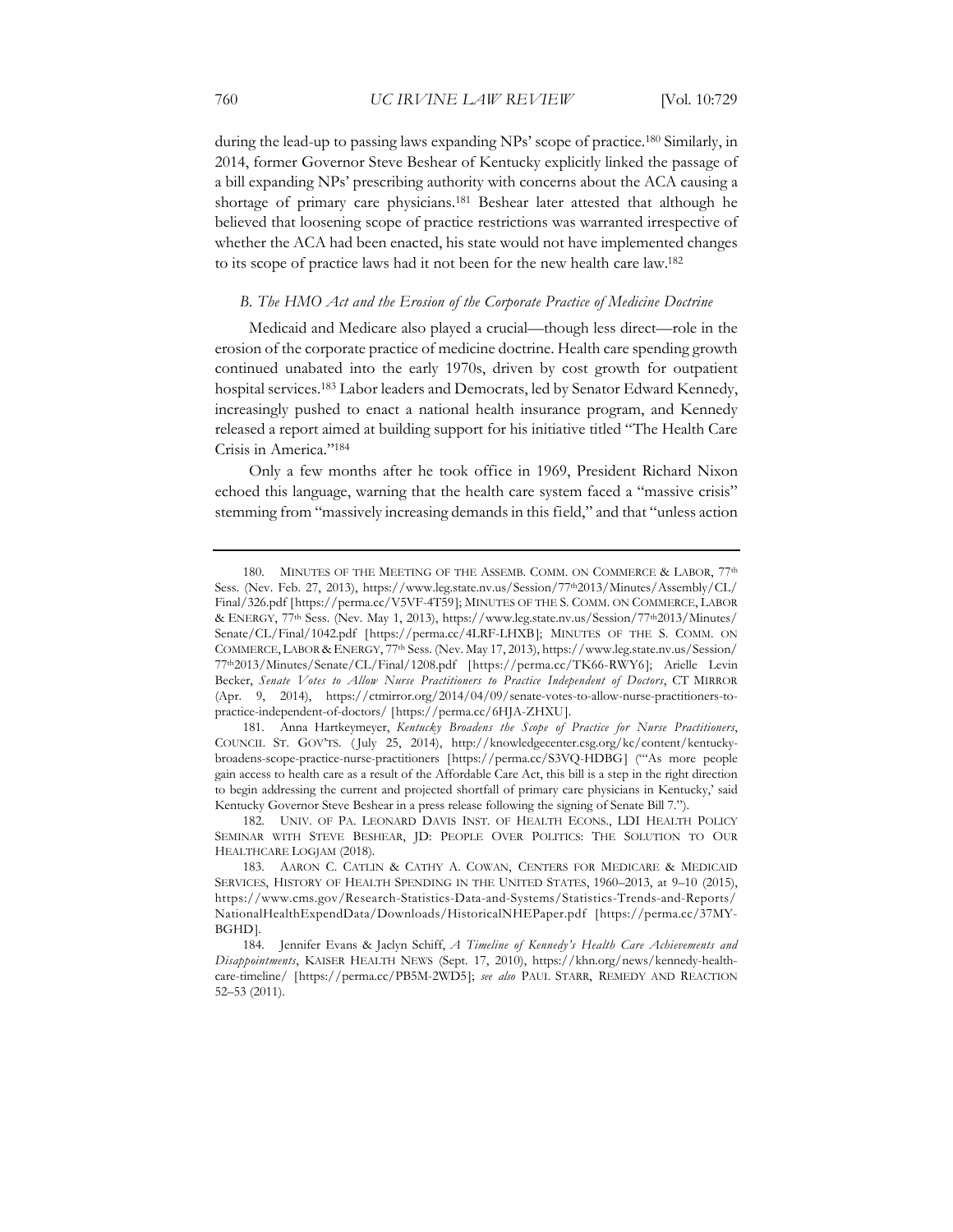during the lead-up to passing laws expanding NPs' scope of practice.180 Similarly, in 2014, former Governor Steve Beshear of Kentucky explicitly linked the passage of a bill expanding NPs' prescribing authority with concerns about the ACA causing a shortage of primary care physicians.181 Beshear later attested that although he believed that loosening scope of practice restrictions was warranted irrespective of whether the ACA had been enacted, his state would not have implemented changes to its scope of practice laws had it not been for the new health care law.182

#### *B. The HMO Act and the Erosion of the Corporate Practice of Medicine Doctrine*

Medicaid and Medicare also played a crucial—though less direct—role in the erosion of the corporate practice of medicine doctrine. Health care spending growth continued unabated into the early 1970s, driven by cost growth for outpatient hospital services.183 Labor leaders and Democrats, led by Senator Edward Kennedy, increasingly pushed to enact a national health insurance program, and Kennedy released a report aimed at building support for his initiative titled "The Health Care Crisis in America."184

Only a few months after he took office in 1969, President Richard Nixon echoed this language, warning that the health care system faced a "massive crisis" stemming from "massively increasing demands in this field," and that "unless action

<sup>180.</sup> MINUTES OF THE MEETING OF THE ASSEMB. COMM. ON COMMERCE & LABOR, 77th Sess. (Nev. Feb. 27, 2013), https://www.leg.state.nv.us/Session/77<sup>th</sup>2013/Minutes/Assembly/CL/ Final/326.pdf [https://perma.cc/V5VF-4T59]; MINUTES OF THE S. COMM. ON COMMERCE, LABOR & ENERGY, 77th Sess. (Nev. May 1, 2013), https://www.leg.state.nv.us/Session/77th2013/Minutes/ Senate/CL/Final/1042.pdf [https://perma.cc/4LRF-LHXB]; MINUTES OF THE S. COMM. ON COMMERCE, LABOR & ENERGY, 77th Sess. (Nev. May 17, 2013), https://www.leg.state.nv.us/Session/ 77th2013/Minutes/Senate/CL/Final/1208.pdf [https://perma.cc/TK66-RWY6]; Arielle Levin Becker, *Senate Votes to Allow Nurse Practitioners to Practice Independent of Doctors*, CT MIRROR (Apr. 9, 2014), https://ctmirror.org/2014/04/09/senate-votes-to-allow-nurse-practitioners-topractice-independent-of-doctors/ [https://perma.cc/6HJA-ZHXU].

<sup>181.</sup> Anna Hartkeymeyer, *Kentucky Broadens the Scope of Practice for Nurse Practitioners*, COUNCIL ST. GOV'TS. ( July 25, 2014), http://knowledgecenter.csg.org/kc/content/kentuckybroadens-scope-practice-nurse-practitioners [https://perma.cc/S3VQ-HDBG] ("'As more people gain access to health care as a result of the Affordable Care Act, this bill is a step in the right direction to begin addressing the current and projected shortfall of primary care physicians in Kentucky,' said Kentucky Governor Steve Beshear in a press release following the signing of Senate Bill 7.").

<sup>182.</sup> UNIV. OF PA. LEONARD DAVIS INST. OF HEALTH ECONS., LDI HEALTH POLICY SEMINAR WITH STEVE BESHEAR, JD: PEOPLE OVER POLITICS: THE SOLUTION TO OUR HEALTHCARE LOGJAM (2018).

<sup>183.</sup> AARON C. CATLIN & CATHY A. COWAN, CENTERS FOR MEDICARE & MEDICAID SERVICES, HISTORY OF HEALTH SPENDING IN THE UNITED STATES, 1960–2013, at 9–10 (2015), https://www.cms.gov/Research-Statistics-Data-and-Systems/Statistics-Trends-and-Reports/ NationalHealthExpendData/Downloads/HistoricalNHEPaper.pdf [https://perma.cc/37MY-BGHD].

<sup>184.</sup> Jennifer Evans & Jaclyn Schiff, *A Timeline of Kennedy's Health Care Achievements and Disappointments*, KAISER HEALTH NEWS (Sept. 17, 2010), https://khn.org/news/kennedy-healthcare-timeline/ [https://perma.cc/PB5M-2WD5]; *see also* PAUL STARR, REMEDY AND REACTION 52–53 (2011).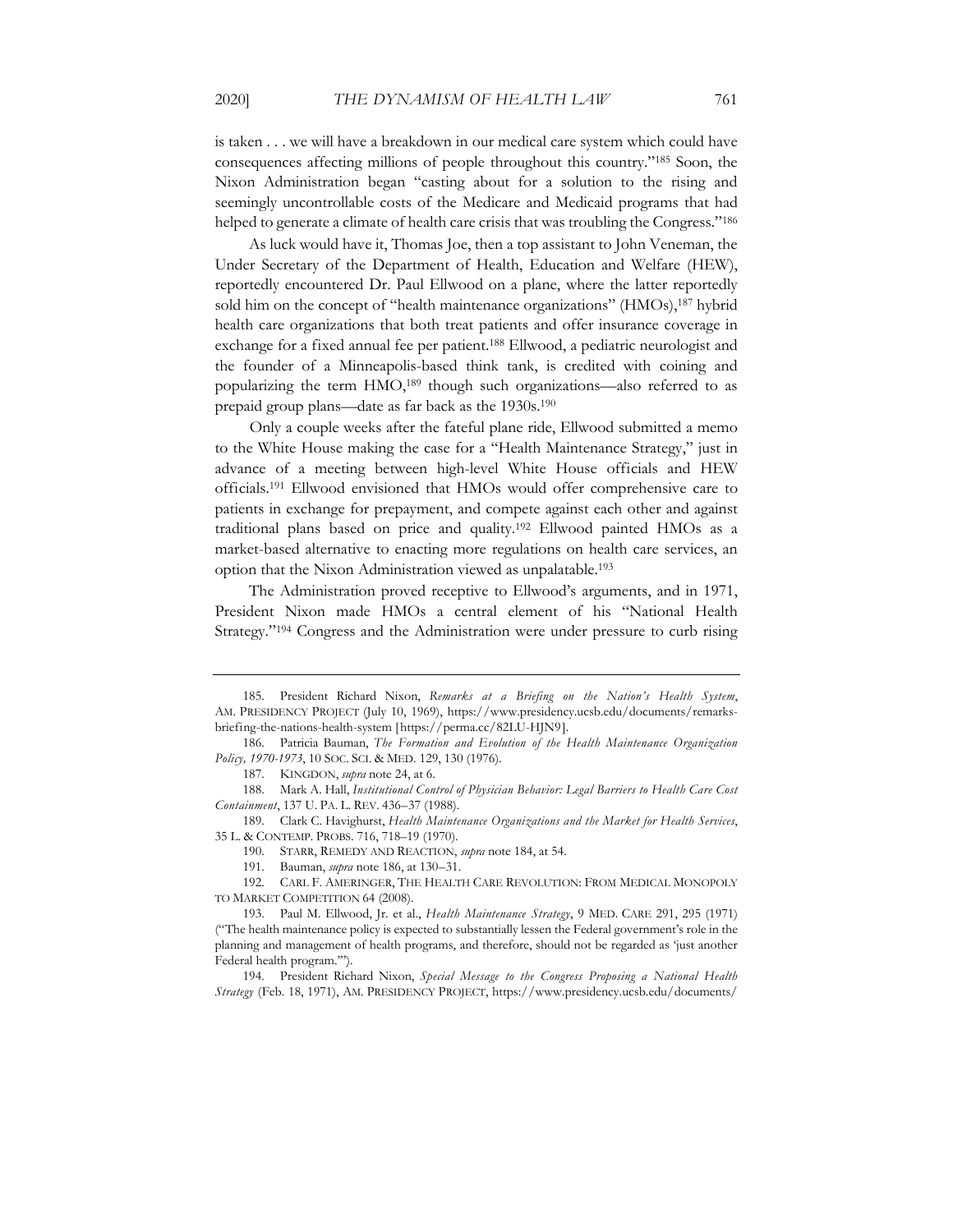is taken . . . we will have a breakdown in our medical care system which could have consequences affecting millions of people throughout this country."185 Soon, the Nixon Administration began "casting about for a solution to the rising and seemingly uncontrollable costs of the Medicare and Medicaid programs that had helped to generate a climate of health care crisis that was troubling the Congress."<sup>186</sup>

As luck would have it, Thomas Joe, then a top assistant to John Veneman, the Under Secretary of the Department of Health, Education and Welfare (HEW), reportedly encountered Dr. Paul Ellwood on a plane, where the latter reportedly sold him on the concept of "health maintenance organizations" (HMOs),<sup>187</sup> hybrid health care organizations that both treat patients and offer insurance coverage in exchange for a fixed annual fee per patient.188 Ellwood, a pediatric neurologist and the founder of a Minneapolis-based think tank, is credited with coining and popularizing the term HMO,189 though such organizations—also referred to as prepaid group plans—date as far back as the 1930s.190

Only a couple weeks after the fateful plane ride, Ellwood submitted a memo to the White House making the case for a "Health Maintenance Strategy," just in advance of a meeting between high-level White House officials and HEW officials.191 Ellwood envisioned that HMOs would offer comprehensive care to patients in exchange for prepayment, and compete against each other and against traditional plans based on price and quality.192 Ellwood painted HMOs as a market-based alternative to enacting more regulations on health care services, an option that the Nixon Administration viewed as unpalatable.193

The Administration proved receptive to Ellwood's arguments, and in 1971, President Nixon made HMOs a central element of his "National Health Strategy."194 Congress and the Administration were under pressure to curb rising

<sup>185.</sup> President Richard Nixon, *Remarks at a Briefing on the Nation's Health System*, AM. PRESIDENCY PROJECT (July 10, 1969), https://www.presidency.ucsb.edu/documents/remarksbriefing-the-nations-health-system [https://perma.cc/82LU-HJN9].

<sup>186.</sup> Patricia Bauman, *The Formation and Evolution of the Health Maintenance Organization Policy, 1970-1973*, 10 SOC. SCI. & MED. 129, 130 (1976).

<sup>187.</sup> KINGDON, *supra* note 24, at 6.

<sup>188.</sup> Mark A. Hall, *Institutional Control of Physician Behavior: Legal Barriers to Health Care Cost Containment*, 137 U. PA. L. REV. 436–37 (1988).

<sup>189.</sup> Clark C. Havighurst, *Health Maintenance Organizations and the Market for Health Services*, 35 L. & CONTEMP. PROBS. 716, 718–19 (1970).

<sup>190.</sup> STARR, REMEDY AND REACTION, *supra* note 184, at 54.

<sup>191.</sup> Bauman, *supra* note 186, at 130–31.

<sup>192.</sup> CARL F. AMERINGER, THE HEALTH CARE REVOLUTION: FROM MEDICAL MONOPOLY TO MARKET COMPETITION 64 (2008).

<sup>193.</sup> Paul M. Ellwood, Jr. et al., *Health Maintenance Strategy*, 9 MED. CARE 291, 295 (1971) ("The health maintenance policy is expected to substantially lessen the Federal government's role in the planning and management of health programs, and therefore, should not be regarded as 'just another Federal health program.'").

<sup>194.</sup> President Richard Nixon, *Special Message to the Congress Proposing a National Health Strategy* (Feb. 18, 1971), AM. PRESIDENCY PROJECT, https://www.presidency.ucsb.edu/documents/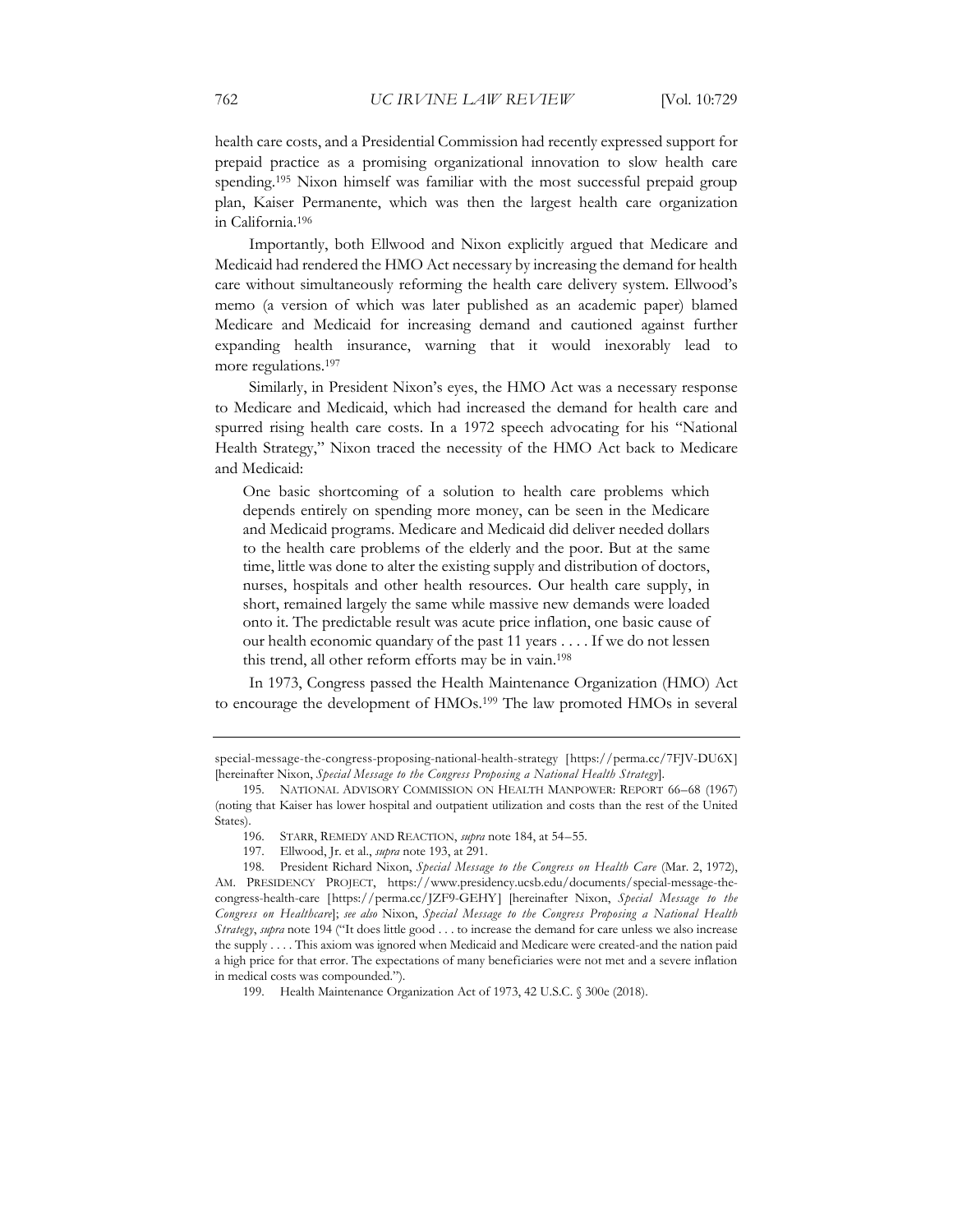health care costs, and a Presidential Commission had recently expressed support for prepaid practice as a promising organizational innovation to slow health care spending.195 Nixon himself was familiar with the most successful prepaid group plan, Kaiser Permanente, which was then the largest health care organization in California.196

Importantly, both Ellwood and Nixon explicitly argued that Medicare and Medicaid had rendered the HMO Act necessary by increasing the demand for health care without simultaneously reforming the health care delivery system. Ellwood's memo (a version of which was later published as an academic paper) blamed Medicare and Medicaid for increasing demand and cautioned against further expanding health insurance, warning that it would inexorably lead to more regulations.197

Similarly, in President Nixon's eyes, the HMO Act was a necessary response to Medicare and Medicaid, which had increased the demand for health care and spurred rising health care costs. In a 1972 speech advocating for his "National Health Strategy," Nixon traced the necessity of the HMO Act back to Medicare and Medicaid:

One basic shortcoming of a solution to health care problems which depends entirely on spending more money, can be seen in the Medicare and Medicaid programs. Medicare and Medicaid did deliver needed dollars to the health care problems of the elderly and the poor. But at the same time, little was done to alter the existing supply and distribution of doctors, nurses, hospitals and other health resources. Our health care supply, in short, remained largely the same while massive new demands were loaded onto it. The predictable result was acute price inflation, one basic cause of our health economic quandary of the past 11 years . . . . If we do not lessen this trend, all other reform efforts may be in vain.198

In 1973, Congress passed the Health Maintenance Organization (HMO) Act to encourage the development of HMOs.199 The law promoted HMOs in several

special-message-the-congress-proposing-national-health-strategy [https://perma.cc/7FJV-DU6X] [hereinafter Nixon, *Special Message to the Congress Proposing a National Health Strategy*].

<sup>195.</sup> NATIONAL ADVISORY COMMISSION ON HEALTH MANPOWER: REPORT 66–68 (1967) (noting that Kaiser has lower hospital and outpatient utilization and costs than the rest of the United States).

<sup>196.</sup> STARR, REMEDY AND REACTION, *supra* note 184, at 54–55.

<sup>197.</sup> Ellwood, Jr. et al., *supra* note 193, at 291.

<sup>198.</sup> President Richard Nixon, *Special Message to the Congress on Health Care* (Mar. 2, 1972), AM. PRESIDENCY PROJECT, https://www.presidency.ucsb.edu/documents/special-message-thecongress-health-care [https://perma.cc/JZF9-GEHY] [hereinafter Nixon, *Special Message to the Congress on Healthcare*]; *see also* Nixon, *Special Message to the Congress Proposing a National Health Strategy*, *supra* note 194 ("It does little good . . . to increase the demand for care unless we also increase the supply . . . . This axiom was ignored when Medicaid and Medicare were created-and the nation paid a high price for that error. The expectations of many beneficiaries were not met and a severe inflation in medical costs was compounded.").

<sup>199.</sup> Health Maintenance Organization Act of 1973, 42 U.S.C. § 300e (2018).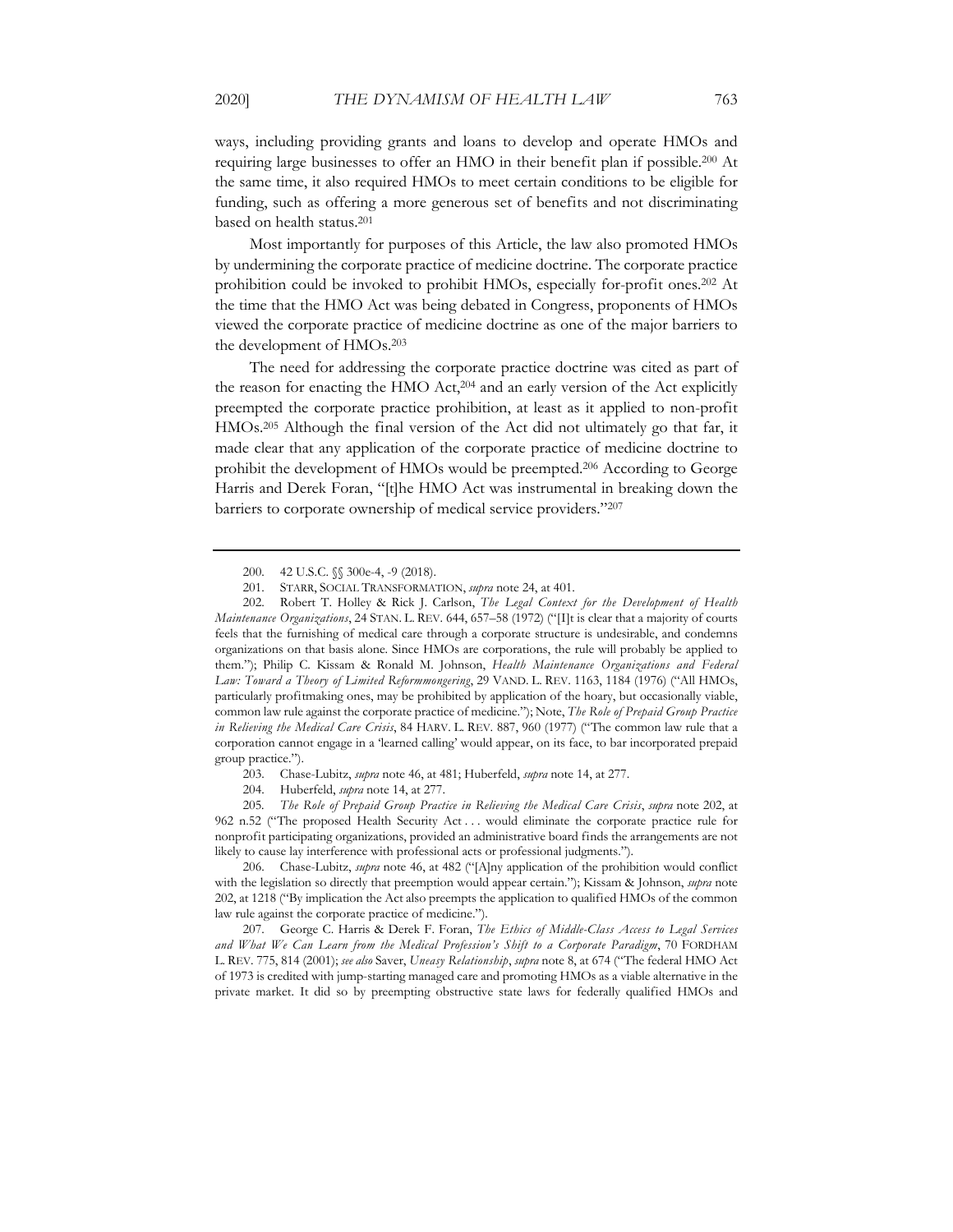ways, including providing grants and loans to develop and operate HMOs and requiring large businesses to offer an HMO in their benefit plan if possible.200 At the same time, it also required HMOs to meet certain conditions to be eligible for funding, such as offering a more generous set of benefits and not discriminating based on health status.201

Most importantly for purposes of this Article, the law also promoted HMOs by undermining the corporate practice of medicine doctrine. The corporate practice prohibition could be invoked to prohibit HMOs, especially for-profit ones.202 At the time that the HMO Act was being debated in Congress, proponents of HMOs viewed the corporate practice of medicine doctrine as one of the major barriers to the development of HMOs.203

The need for addressing the corporate practice doctrine was cited as part of the reason for enacting the HMO Act,204 and an early version of the Act explicitly preempted the corporate practice prohibition, at least as it applied to non-profit HMOs.205 Although the final version of the Act did not ultimately go that far, it made clear that any application of the corporate practice of medicine doctrine to prohibit the development of HMOs would be preempted.206 According to George Harris and Derek Foran, "[t]he HMO Act was instrumental in breaking down the barriers to corporate ownership of medical service providers."207

203. Chase-Lubitz, *supra* note 46, at 481; Huberfeld, *supra* note 14, at 277.

206. Chase-Lubitz, *supra* note 46, at 482 ("[A]ny application of the prohibition would conflict with the legislation so directly that preemption would appear certain."); Kissam & Johnson, *supra* note 202, at 1218 ("By implication the Act also preempts the application to qualified HMOs of the common law rule against the corporate practice of medicine.").

207. George C. Harris & Derek F. Foran, *The Ethics of Middle-Class Access to Legal Services and What We Can Learn from the Medical Profession's Shift to a Corporate Paradigm*, 70 FORDHAM L. REV. 775, 814 (2001); *see also* Saver, *Uneasy Relationship*, *supra* note 8, at 674 ("The federal HMO Act of 1973 is credited with jump-starting managed care and promoting HMOs as a viable alternative in the private market. It did so by preempting obstructive state laws for federally qualified HMOs and

<sup>200. 42</sup> U.S.C. §§ 300e-4, -9 (2018).

<sup>201.</sup> STARR, SOCIAL TRANSFORMATION, *supra* note 24, at 401.

<sup>202.</sup> Robert T. Holley & Rick J. Carlson, *The Legal Context for the Development of Health Maintenance Organizations*, 24 STAN. L. REV. 644, 657–58 (1972) ("[I]t is clear that a majority of courts feels that the furnishing of medical care through a corporate structure is undesirable, and condemns organizations on that basis alone. Since HMOs are corporations, the rule will probably be applied to them."); Philip C. Kissam & Ronald M. Johnson, *Health Maintenance Organizations and Federal Law: Toward a Theory of Limited Reformmongering*, 29 VAND. L. REV. 1163, 1184 (1976) ("All HMOs, particularly profitmaking ones, may be prohibited by application of the hoary, but occasionally viable, common law rule against the corporate practice of medicine."); Note, *The Role of Prepaid Group Practice in Relieving the Medical Care Crisis*, 84 HARV. L. REV. 887, 960 (1977) ("The common law rule that a corporation cannot engage in a 'learned calling' would appear, on its face, to bar incorporated prepaid group practice.").

<sup>204.</sup> Huberfeld, *supra* note 14, at 277.

<sup>205</sup>*. The Role of Prepaid Group Practice in Relieving the Medical Care Crisis*, *supra* note 202, at 962 n.52 ("The proposed Health Security Act . . . would eliminate the corporate practice rule for nonprofit participating organizations, provided an administrative board finds the arrangements are not likely to cause lay interference with professional acts or professional judgments.").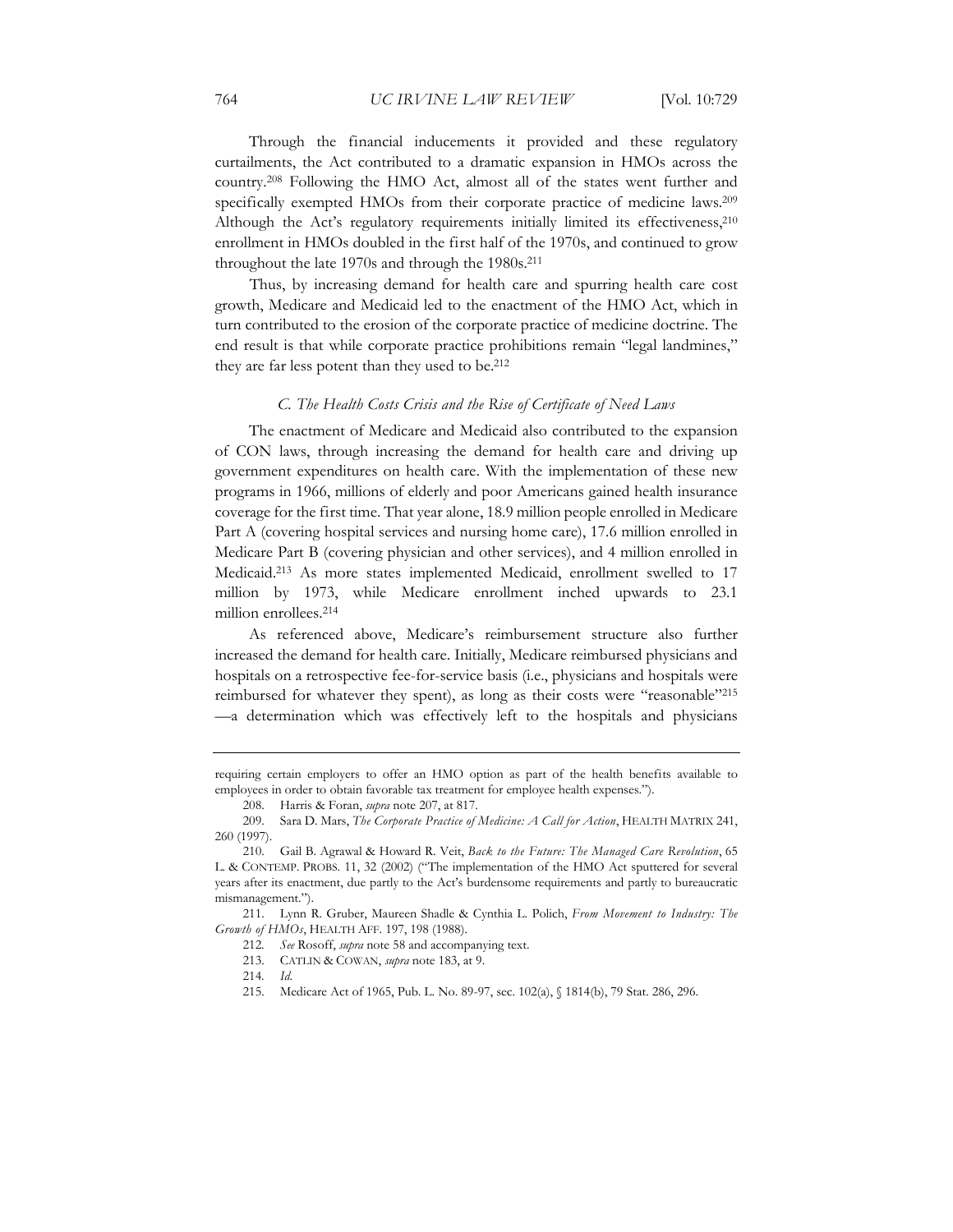Through the financial inducements it provided and these regulatory curtailments, the Act contributed to a dramatic expansion in HMOs across the country.208 Following the HMO Act, almost all of the states went further and specifically exempted HMOs from their corporate practice of medicine laws.209 Although the Act's regulatory requirements initially limited its effectiveness,<sup>210</sup> enrollment in HMOs doubled in the first half of the 1970s, and continued to grow throughout the late 1970s and through the 1980s.211

Thus, by increasing demand for health care and spurring health care cost growth, Medicare and Medicaid led to the enactment of the HMO Act, which in turn contributed to the erosion of the corporate practice of medicine doctrine. The end result is that while corporate practice prohibitions remain "legal landmines," they are far less potent than they used to be.<sup>212</sup>

#### *C. The Health Costs Crisis and the Rise of Certificate of Need Laws*

The enactment of Medicare and Medicaid also contributed to the expansion of CON laws, through increasing the demand for health care and driving up government expenditures on health care. With the implementation of these new programs in 1966, millions of elderly and poor Americans gained health insurance coverage for the first time. That year alone, 18.9 million people enrolled in Medicare Part A (covering hospital services and nursing home care), 17.6 million enrolled in Medicare Part B (covering physician and other services), and 4 million enrolled in Medicaid.213 As more states implemented Medicaid, enrollment swelled to 17 million by 1973, while Medicare enrollment inched upwards to 23.1 million enrollees.214

As referenced above, Medicare's reimbursement structure also further increased the demand for health care. Initially, Medicare reimbursed physicians and hospitals on a retrospective fee-for-service basis (i.e., physicians and hospitals were reimbursed for whatever they spent), as long as their costs were "reasonable"215 —a determination which was effectively left to the hospitals and physicians

211. Lynn R. Gruber, Maureen Shadle & Cynthia L. Polich, *From Movement to Industry: The Growth of HMOs*, HEALTH AFF. 197, 198 (1988).

214*. Id.*

requiring certain employers to offer an HMO option as part of the health benefits available to employees in order to obtain favorable tax treatment for employee health expenses.").

<sup>208.</sup> Harris & Foran, *supra* note 207, at 817.

<sup>209.</sup> Sara D. Mars, *The Corporate Practice of Medicine: A Call for Action*, HEALTH MATRIX 241, 260 (1997).

<sup>210.</sup> Gail B. Agrawal & Howard R. Veit, *Back to the Future: The Managed Care Revolution*, 65 L. & CONTEMP. PROBS. 11, 32 (2002) ("The implementation of the HMO Act sputtered for several years after its enactment, due partly to the Act's burdensome requirements and partly to bureaucratic mismanagement.").

<sup>212</sup>*. See* Rosoff, *supra* note 58 and accompanying text.

<sup>213.</sup> CATLIN & COWAN, *supra* note 183, at 9.

<sup>215.</sup> Medicare Act of 1965, Pub. L. No. 89-97, sec. 102(a), § 1814(b), 79 Stat. 286, 296.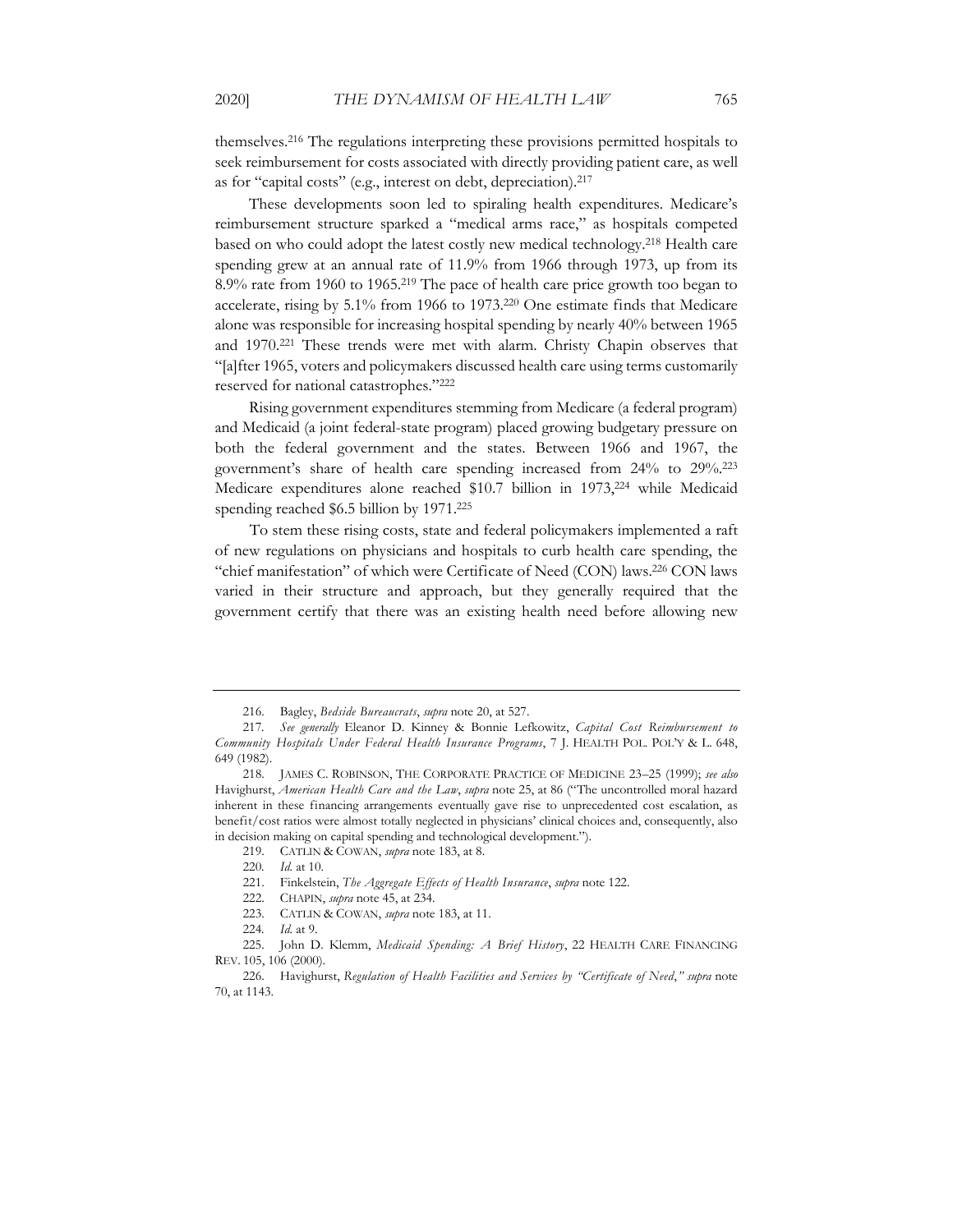themselves.216 The regulations interpreting these provisions permitted hospitals to seek reimbursement for costs associated with directly providing patient care, as well

as for "capital costs" (e.g., interest on debt, depreciation).217

These developments soon led to spiraling health expenditures. Medicare's reimbursement structure sparked a "medical arms race," as hospitals competed based on who could adopt the latest costly new medical technology.218 Health care spending grew at an annual rate of 11.9% from 1966 through 1973, up from its 8.9% rate from 1960 to 1965.219 The pace of health care price growth too began to accelerate, rising by 5.1% from 1966 to 1973.220 One estimate finds that Medicare alone was responsible for increasing hospital spending by nearly 40% between 1965 and 1970.221 These trends were met with alarm. Christy Chapin observes that "[a]fter 1965, voters and policymakers discussed health care using terms customarily reserved for national catastrophes."222

Rising government expenditures stemming from Medicare (a federal program) and Medicaid (a joint federal-state program) placed growing budgetary pressure on both the federal government and the states. Between 1966 and 1967, the government's share of health care spending increased from 24% to 29%.223 Medicare expenditures alone reached \$10.7 billion in 1973,224 while Medicaid spending reached \$6.5 billion by 1971.225

To stem these rising costs, state and federal policymakers implemented a raft of new regulations on physicians and hospitals to curb health care spending, the "chief manifestation" of which were Certificate of Need (CON) laws.226 CON laws varied in their structure and approach, but they generally required that the government certify that there was an existing health need before allowing new

<sup>216.</sup> Bagley, *Bedside Bureaucrats*, *supra* note 20, at 527.

<sup>217</sup>*. See generally* Eleanor D. Kinney & Bonnie Lefkowitz, *Capital Cost Reimbursement to Community Hospitals Under Federal Health Insurance Programs*, 7 J. HEALTH POL. POL'Y & L. 648, 649 (1982).

<sup>218.</sup> JAMES C. ROBINSON, THE CORPORATE PRACTICE OF MEDICINE 23–25 (1999); *see also*  Havighurst, *American Health Care and the Law*, *supra* note 25, at 86 ("The uncontrolled moral hazard inherent in these financing arrangements eventually gave rise to unprecedented cost escalation, as benefit/cost ratios were almost totally neglected in physicians' clinical choices and, consequently, also in decision making on capital spending and technological development.").

<sup>219.</sup> CATLIN & COWAN, *supra* note 183, at 8.

<sup>220</sup>*. Id.* at 10.

<sup>221.</sup> Finkelstein, *The Aggregate Effects of Health Insurance*, *supra* note 122.

<sup>222.</sup> CHAPIN, *supra* note 45, at 234.

<sup>223.</sup> CATLIN & COWAN, *supra* note 183, at 11.

<sup>224</sup>*. Id.* at 9.

<sup>225.</sup> John D. Klemm, *Medicaid Spending: A Brief History*, 22 HEALTH CARE FINANCING REV. 105, 106 (2000).

<sup>226.</sup> Havighurst, *Regulation of Health Facilities and Services by "Certificate of Need*,*" supra* note 70, at 1143.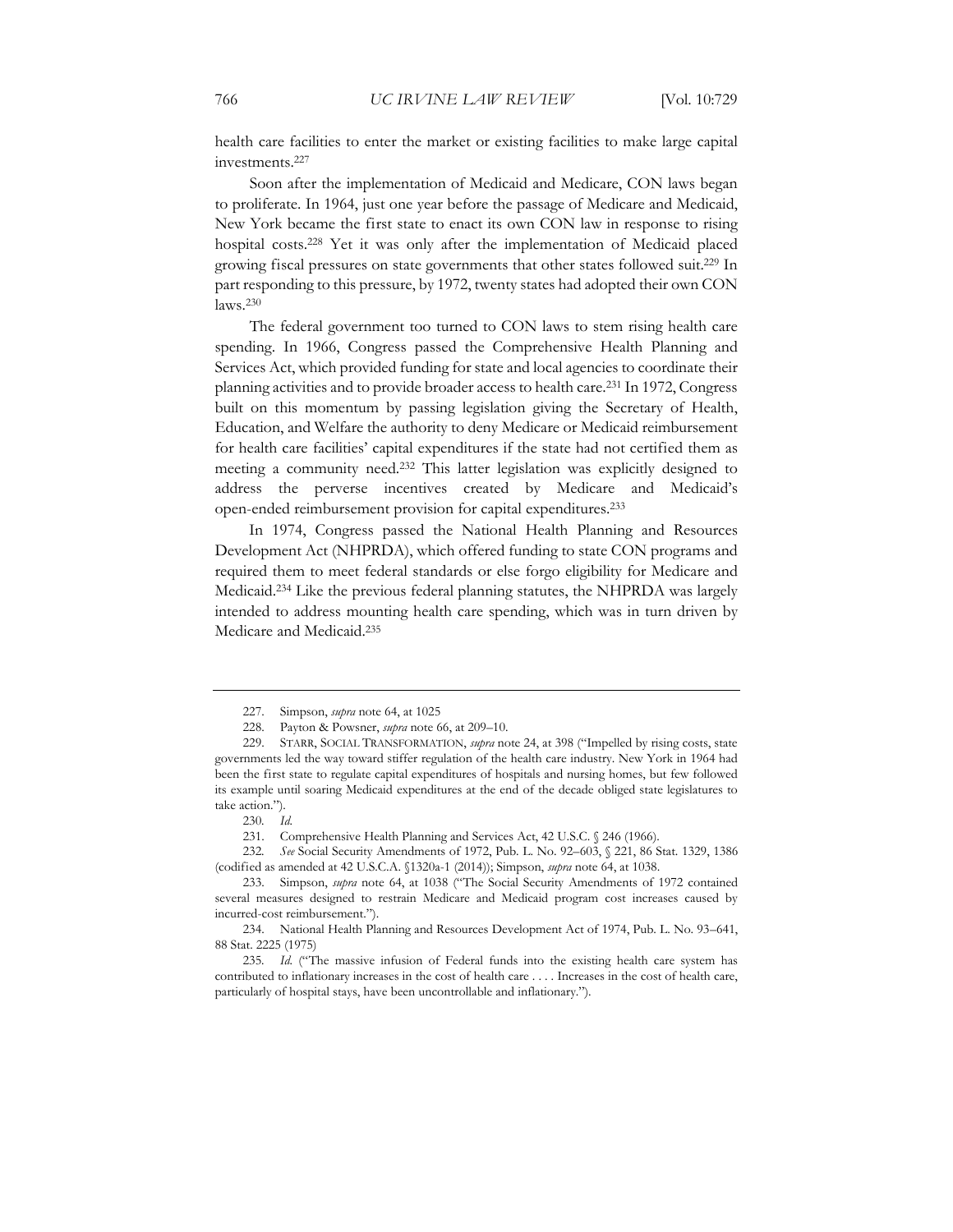health care facilities to enter the market or existing facilities to make large capital investments.227

Soon after the implementation of Medicaid and Medicare, CON laws began to proliferate. In 1964, just one year before the passage of Medicare and Medicaid, New York became the first state to enact its own CON law in response to rising hospital costs.228 Yet it was only after the implementation of Medicaid placed growing fiscal pressures on state governments that other states followed suit.229 In part responding to this pressure, by 1972, twenty states had adopted their own CON laws.230

The federal government too turned to CON laws to stem rising health care spending. In 1966, Congress passed the Comprehensive Health Planning and Services Act, which provided funding for state and local agencies to coordinate their planning activities and to provide broader access to health care.231 In 1972, Congress built on this momentum by passing legislation giving the Secretary of Health, Education, and Welfare the authority to deny Medicare or Medicaid reimbursement for health care facilities' capital expenditures if the state had not certified them as meeting a community need.232 This latter legislation was explicitly designed to address the perverse incentives created by Medicare and Medicaid's open-ended reimbursement provision for capital expenditures.233

In 1974, Congress passed the National Health Planning and Resources Development Act (NHPRDA), which offered funding to state CON programs and required them to meet federal standards or else forgo eligibility for Medicare and Medicaid.234 Like the previous federal planning statutes, the NHPRDA was largely intended to address mounting health care spending, which was in turn driven by Medicare and Medicaid.235

232*. See* Social Security Amendments of 1972, Pub. L. No. 92–603, § 221, 86 Stat. 1329, 1386 (codified as amended at 42 U.S.C.A. §1320a-1 (2014)); Simpson, *supra* note 64, at 1038.

<sup>227.</sup> Simpson, *supra* note 64, at 1025

<sup>228.</sup> Payton & Powsner, *supra* note 66, at 209–10.

<sup>229.</sup> STARR, SOCIAL TRANSFORMATION, *supra* note 24, at 398 ("Impelled by rising costs, state governments led the way toward stiffer regulation of the health care industry. New York in 1964 had been the first state to regulate capital expenditures of hospitals and nursing homes, but few followed its example until soaring Medicaid expenditures at the end of the decade obliged state legislatures to take action.").

<sup>230</sup>*. Id.*

<sup>231.</sup> Comprehensive Health Planning and Services Act, 42 U.S.C. § 246 (1966).

<sup>233.</sup> Simpson, *supra* note 64, at 1038 ("The Social Security Amendments of 1972 contained several measures designed to restrain Medicare and Medicaid program cost increases caused by incurred-cost reimbursement.").

<sup>234.</sup> National Health Planning and Resources Development Act of 1974, Pub. L. No. 93–641, 88 Stat. 2225 (1975)

<sup>235</sup>*. Id.* ("The massive infusion of Federal funds into the existing health care system has contributed to inflationary increases in the cost of health care . . . . Increases in the cost of health care, particularly of hospital stays, have been uncontrollable and inflationary.").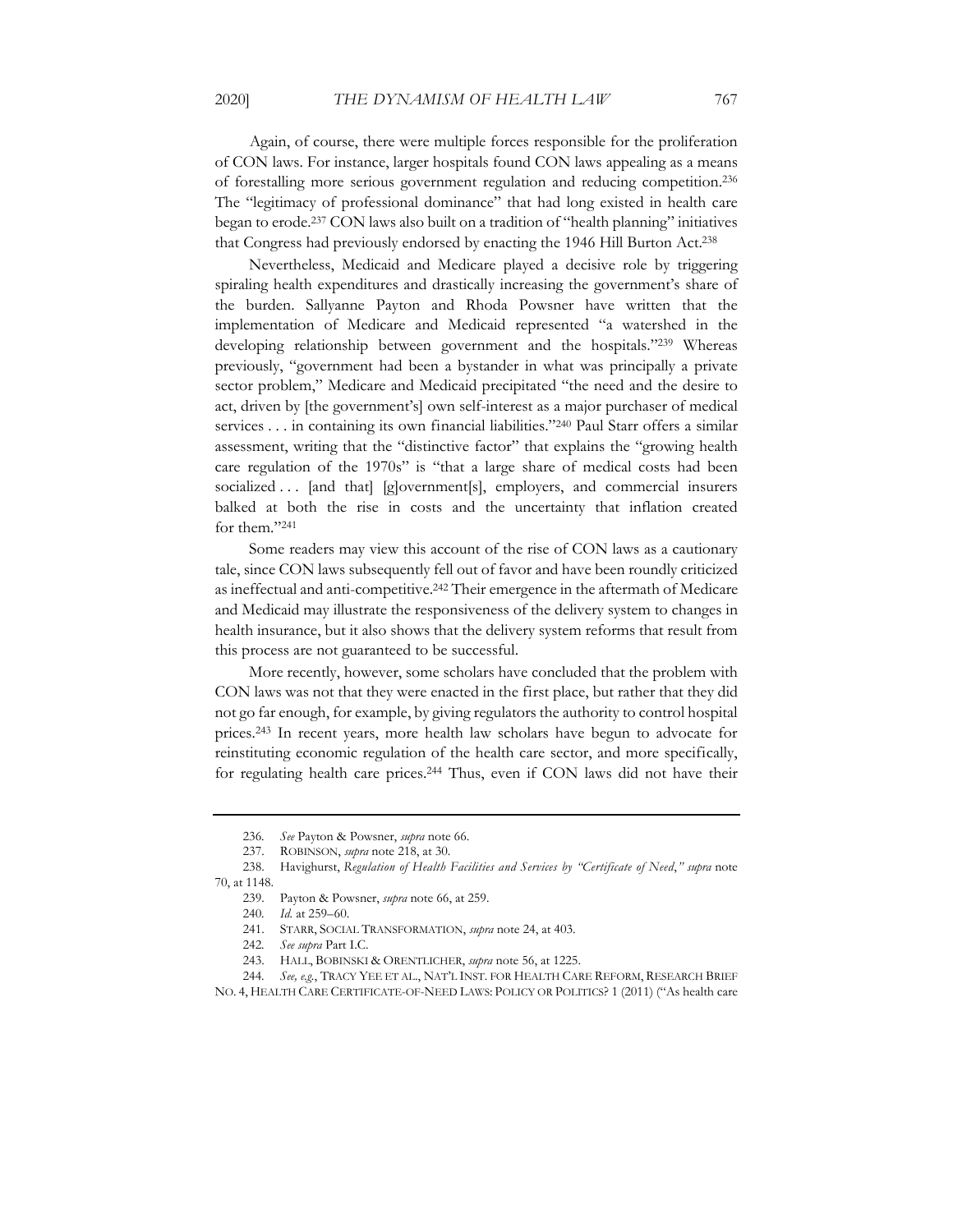Again, of course, there were multiple forces responsible for the proliferation of CON laws. For instance, larger hospitals found CON laws appealing as a means of forestalling more serious government regulation and reducing competition.236 The "legitimacy of professional dominance" that had long existed in health care began to erode.237 CON laws also built on a tradition of "health planning" initiatives that Congress had previously endorsed by enacting the 1946 Hill Burton Act.238

Nevertheless, Medicaid and Medicare played a decisive role by triggering spiraling health expenditures and drastically increasing the government's share of the burden. Sallyanne Payton and Rhoda Powsner have written that the implementation of Medicare and Medicaid represented "a watershed in the developing relationship between government and the hospitals."239 Whereas previously, "government had been a bystander in what was principally a private sector problem," Medicare and Medicaid precipitated "the need and the desire to act, driven by [the government's] own self-interest as a major purchaser of medical services . . . in containing its own financial liabilities."<sup>240</sup> Paul Starr offers a similar assessment, writing that the "distinctive factor" that explains the "growing health care regulation of the 1970s" is "that a large share of medical costs had been socialized . . . [and that] [g]overnment[s], employers, and commercial insurers balked at both the rise in costs and the uncertainty that inflation created for them."241

Some readers may view this account of the rise of CON laws as a cautionary tale, since CON laws subsequently fell out of favor and have been roundly criticized as ineffectual and anti-competitive.242 Their emergence in the aftermath of Medicare and Medicaid may illustrate the responsiveness of the delivery system to changes in health insurance, but it also shows that the delivery system reforms that result from this process are not guaranteed to be successful.

More recently, however, some scholars have concluded that the problem with CON laws was not that they were enacted in the first place, but rather that they did not go far enough, for example, by giving regulators the authority to control hospital prices.243 In recent years, more health law scholars have begun to advocate for reinstituting economic regulation of the health care sector, and more specifically, for regulating health care prices.244 Thus, even if CON laws did not have their

<sup>236</sup>*. See* Payton & Powsner, *supra* note 66.

<sup>237.</sup> ROBINSON, *supra* note 218, at 30.

<sup>238.</sup> Havighurst, *Regulation of Health Facilities and Services by "Certificate of Need*,*" supra* note 70, at 1148.

<sup>239.</sup> Payton & Powsner, *supra* note 66, at 259.

<sup>240</sup>*. Id.* at 259–60.

<sup>241.</sup> STARR, SOCIAL TRANSFORMATION, *supra* note 24, at 403.

<sup>242</sup>*. See supra* Part I.C.

<sup>243.</sup> HALL, BOBINSKI & ORENTLICHER, *supra* note 56, at 1225.

<sup>244</sup>*. See, e.g.*, TRACY YEE ET AL., NAT'L INST. FOR HEALTH CARE REFORM, RESEARCH BRIEF NO. 4, HEALTH CARE CERTIFICATE-OF-NEED LAWS: POLICY OR POLITICS? 1 (2011) ("As health care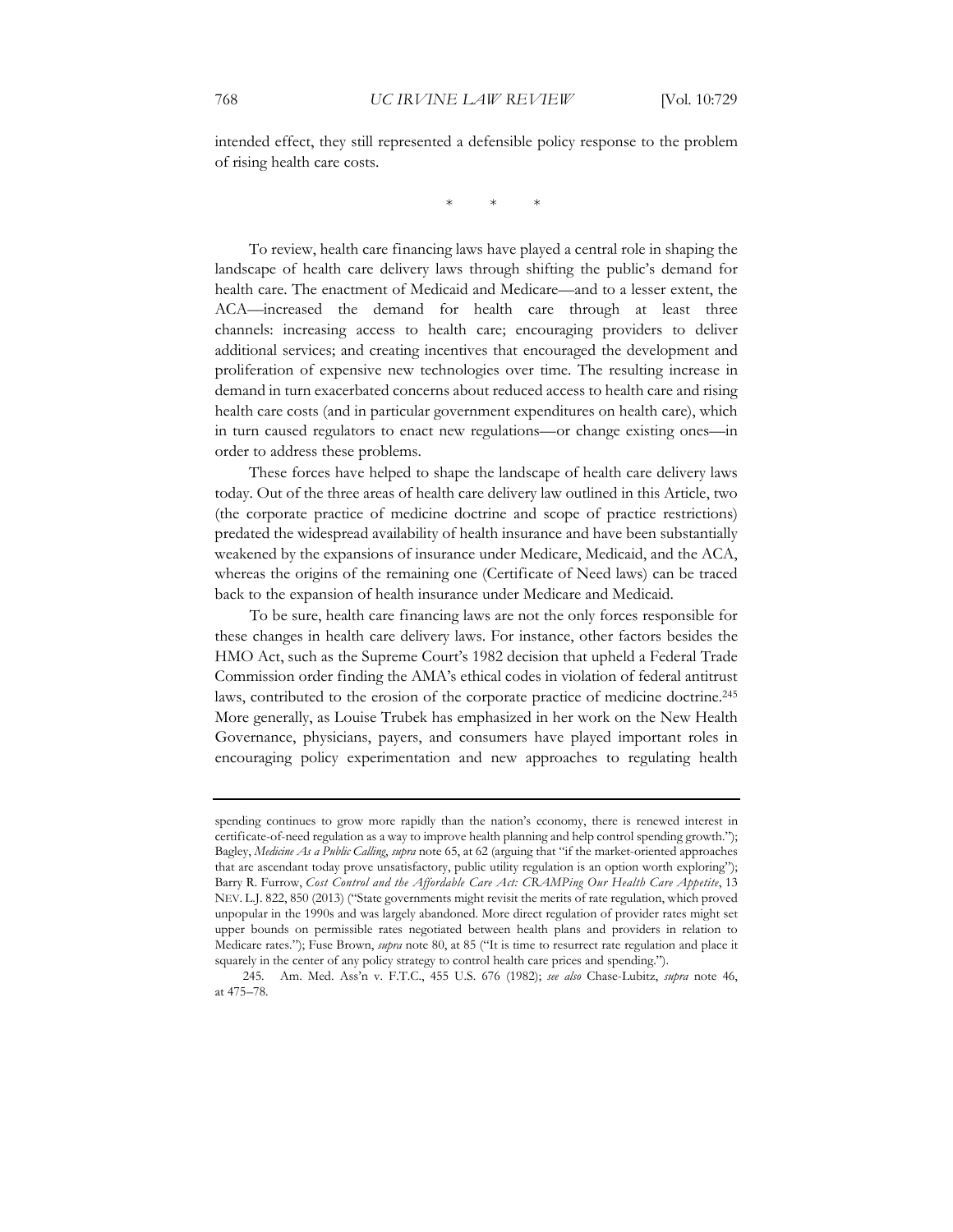intended effect, they still represented a defensible policy response to the problem of rising health care costs.

\* \* \*

To review, health care financing laws have played a central role in shaping the landscape of health care delivery laws through shifting the public's demand for health care. The enactment of Medicaid and Medicare—and to a lesser extent, the ACA—increased the demand for health care through at least three channels: increasing access to health care; encouraging providers to deliver additional services; and creating incentives that encouraged the development and proliferation of expensive new technologies over time. The resulting increase in demand in turn exacerbated concerns about reduced access to health care and rising health care costs (and in particular government expenditures on health care), which in turn caused regulators to enact new regulations—or change existing ones—in order to address these problems.

These forces have helped to shape the landscape of health care delivery laws today. Out of the three areas of health care delivery law outlined in this Article, two (the corporate practice of medicine doctrine and scope of practice restrictions) predated the widespread availability of health insurance and have been substantially weakened by the expansions of insurance under Medicare, Medicaid, and the ACA, whereas the origins of the remaining one (Certificate of Need laws) can be traced back to the expansion of health insurance under Medicare and Medicaid.

To be sure, health care financing laws are not the only forces responsible for these changes in health care delivery laws. For instance, other factors besides the HMO Act, such as the Supreme Court's 1982 decision that upheld a Federal Trade Commission order finding the AMA's ethical codes in violation of federal antitrust laws, contributed to the erosion of the corporate practice of medicine doctrine.245 More generally, as Louise Trubek has emphasized in her work on the New Health Governance, physicians, payers, and consumers have played important roles in encouraging policy experimentation and new approaches to regulating health

spending continues to grow more rapidly than the nation's economy, there is renewed interest in certificate-of-need regulation as a way to improve health planning and help control spending growth."); Bagley, *Medicine As a Public Calling*, *supra* note 65, at 62 (arguing that "if the market-oriented approaches that are ascendant today prove unsatisfactory, public utility regulation is an option worth exploring"); Barry R. Furrow, *Cost Control and the Affordable Care Act: CRAMPing Our Health Care Appetite*, 13 NEV. L.J. 822, 850 (2013) ("State governments might revisit the merits of rate regulation, which proved unpopular in the 1990s and was largely abandoned. More direct regulation of provider rates might set upper bounds on permissible rates negotiated between health plans and providers in relation to Medicare rates."); Fuse Brown, *supra* note 80, at 85 ("It is time to resurrect rate regulation and place it squarely in the center of any policy strategy to control health care prices and spending.").

<sup>245</sup>*.* Am. Med. Ass'n v. F.T.C., 455 U.S. 676 (1982); *see also* Chase-Lubitz, *supra* note 46, at 475–78.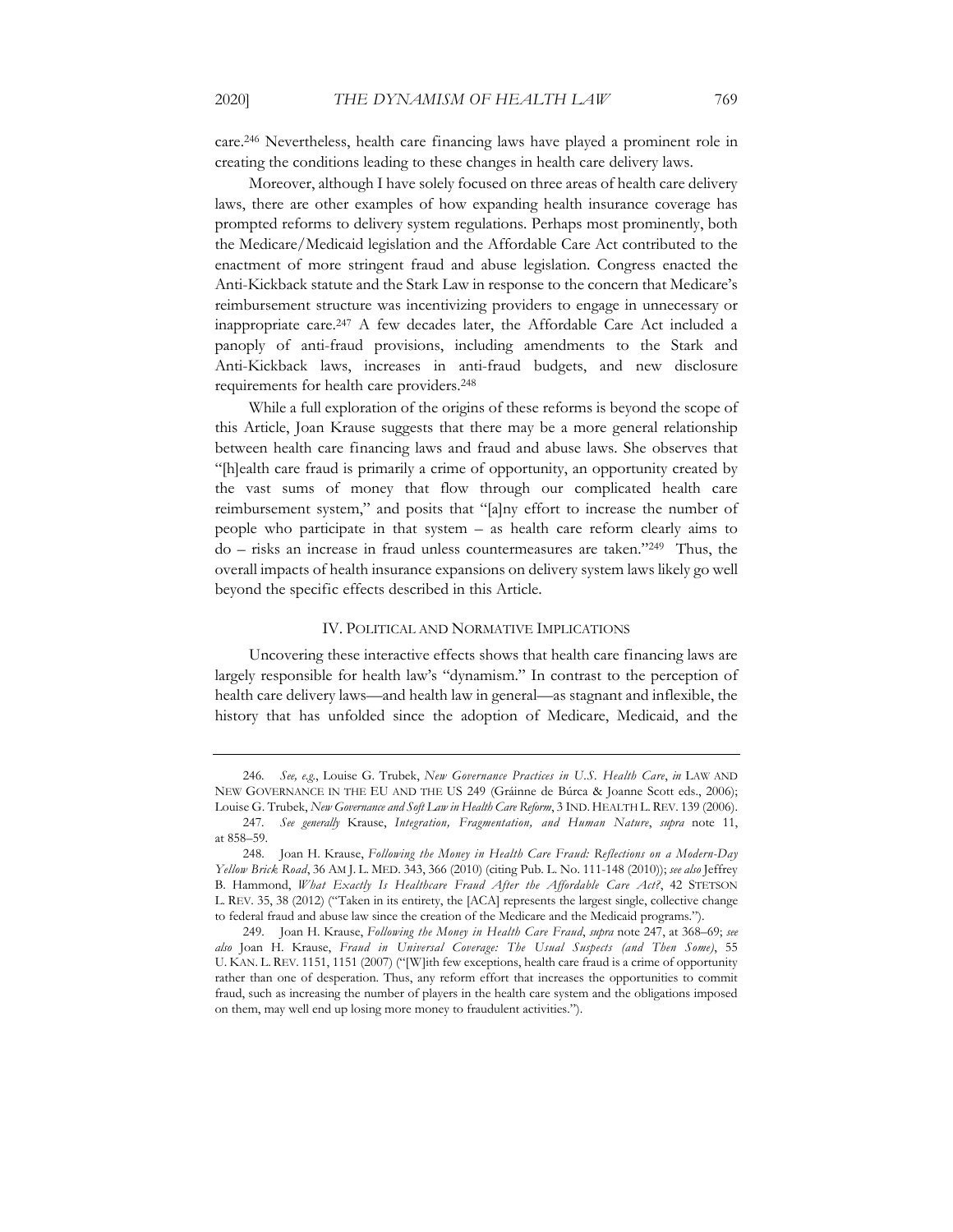care.246 Nevertheless, health care financing laws have played a prominent role in creating the conditions leading to these changes in health care delivery laws.

Moreover, although I have solely focused on three areas of health care delivery laws, there are other examples of how expanding health insurance coverage has prompted reforms to delivery system regulations. Perhaps most prominently, both the Medicare/Medicaid legislation and the Affordable Care Act contributed to the enactment of more stringent fraud and abuse legislation. Congress enacted the Anti-Kickback statute and the Stark Law in response to the concern that Medicare's reimbursement structure was incentivizing providers to engage in unnecessary or inappropriate care.247 A few decades later, the Affordable Care Act included a panoply of anti-fraud provisions, including amendments to the Stark and Anti-Kickback laws, increases in anti-fraud budgets, and new disclosure requirements for health care providers.248

While a full exploration of the origins of these reforms is beyond the scope of this Article, Joan Krause suggests that there may be a more general relationship between health care financing laws and fraud and abuse laws. She observes that "[h]ealth care fraud is primarily a crime of opportunity, an opportunity created by the vast sums of money that flow through our complicated health care reimbursement system," and posits that "[a]ny effort to increase the number of people who participate in that system – as health care reform clearly aims to do – risks an increase in fraud unless countermeasures are taken."249 Thus, the overall impacts of health insurance expansions on delivery system laws likely go well beyond the specific effects described in this Article.

#### IV. POLITICAL AND NORMATIVE IMPLICATIONS

Uncovering these interactive effects shows that health care financing laws are largely responsible for health law's "dynamism." In contrast to the perception of health care delivery laws—and health law in general—as stagnant and inflexible, the history that has unfolded since the adoption of Medicare, Medicaid, and the

<sup>246</sup>*. See, e.g.*, Louise G. Trubek, *New Governance Practices in U.S. Health Care*, *in* LAW AND NEW GOVERNANCE IN THE EU AND THE US 249 (Gráinne de Búrca & Joanne Scott eds., 2006); Louise G. Trubek, *New Governance and Soft Law in Health Care Reform*, 3 IND. HEALTH L. REV. 139 (2006).

<sup>247</sup>*. See generally* Krause, *Integration, Fragmentation, and Human Nature*, *supra* note 11, at 858–59.

<sup>248.</sup> Joan H. Krause, *Following the Money in Health Care Fraud: Reflections on a Modern-Day Yellow Brick Road*, 36 AM J. L. MED. 343, 366 (2010) (citing Pub. L. No. 111-148 (2010)); *see also* Jeffrey B. Hammond, *What Exactly Is Healthcare Fraud After the Affordable Care Act?*, 42 STETSON L. REV. 35, 38 (2012) ("Taken in its entirety, the [ACA] represents the largest single, collective change to federal fraud and abuse law since the creation of the Medicare and the Medicaid programs.").

<sup>249.</sup> Joan H. Krause, *Following the Money in Health Care Fraud*, *supra* note 247, at 368–69; *see also* Joan H. Krause, *Fraud in Universal Coverage: The Usual Suspects (and Then Some)*, 55 U. KAN. L. REV. 1151, 1151 (2007) ("[W]ith few exceptions, health care fraud is a crime of opportunity rather than one of desperation. Thus, any reform effort that increases the opportunities to commit fraud, such as increasing the number of players in the health care system and the obligations imposed on them, may well end up losing more money to fraudulent activities.").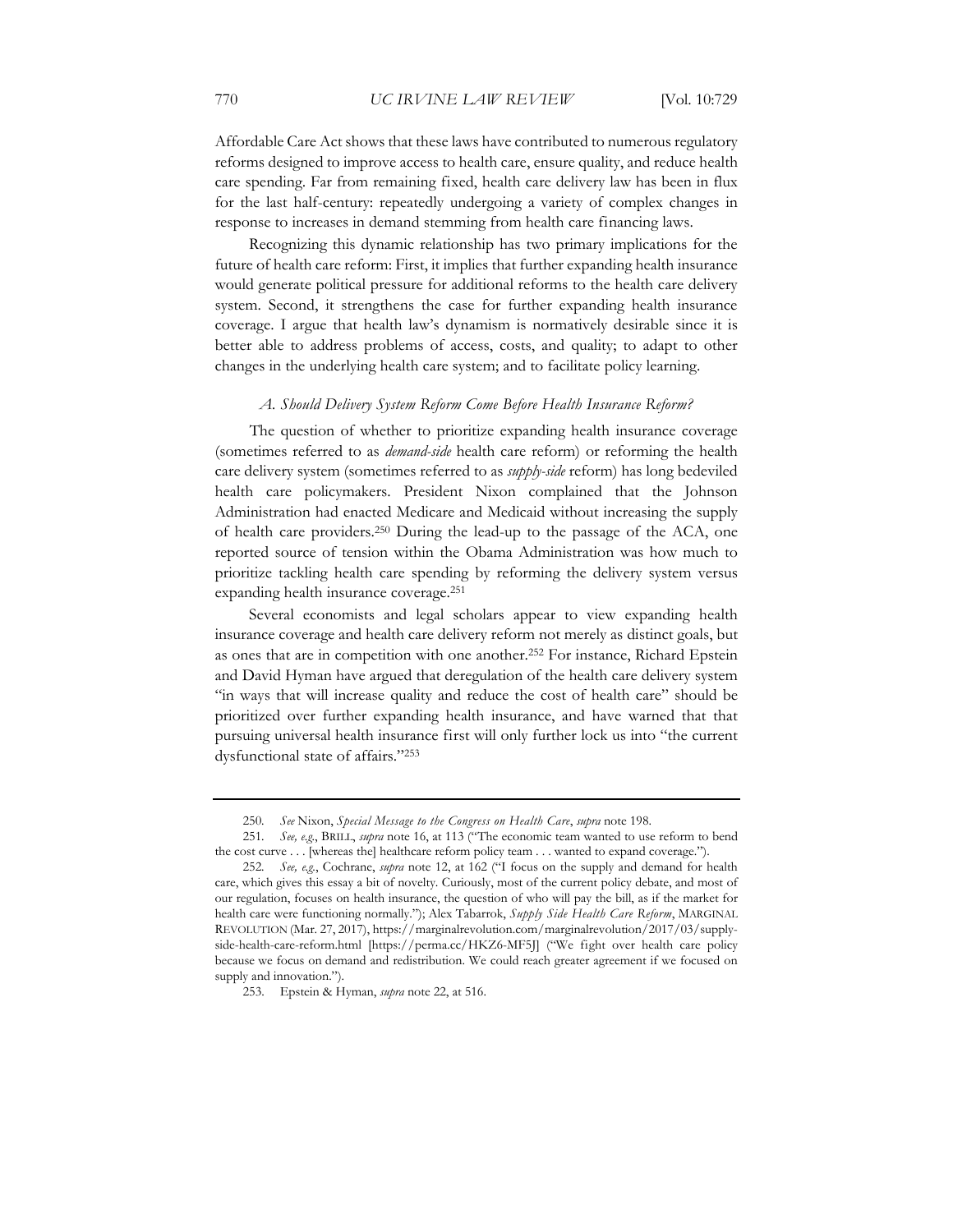Affordable Care Act shows that these laws have contributed to numerous regulatory reforms designed to improve access to health care, ensure quality, and reduce health care spending. Far from remaining fixed, health care delivery law has been in flux for the last half-century: repeatedly undergoing a variety of complex changes in response to increases in demand stemming from health care financing laws.

Recognizing this dynamic relationship has two primary implications for the future of health care reform: First, it implies that further expanding health insurance would generate political pressure for additional reforms to the health care delivery system. Second, it strengthens the case for further expanding health insurance coverage. I argue that health law's dynamism is normatively desirable since it is better able to address problems of access, costs, and quality; to adapt to other changes in the underlying health care system; and to facilitate policy learning.

#### *A. Should Delivery System Reform Come Before Health Insurance Reform?*

The question of whether to prioritize expanding health insurance coverage (sometimes referred to as *demand-side* health care reform) or reforming the health care delivery system (sometimes referred to as *supply-side* reform) has long bedeviled health care policymakers. President Nixon complained that the Johnson Administration had enacted Medicare and Medicaid without increasing the supply of health care providers.250 During the lead-up to the passage of the ACA, one reported source of tension within the Obama Administration was how much to prioritize tackling health care spending by reforming the delivery system versus expanding health insurance coverage.251

Several economists and legal scholars appear to view expanding health insurance coverage and health care delivery reform not merely as distinct goals, but as ones that are in competition with one another.252 For instance, Richard Epstein and David Hyman have argued that deregulation of the health care delivery system "in ways that will increase quality and reduce the cost of health care" should be prioritized over further expanding health insurance, and have warned that that pursuing universal health insurance first will only further lock us into "the current dysfunctional state of affairs."253

<sup>250</sup>*. See* Nixon, *Special Message to the Congress on Health Care*, *supra* note 198.

<sup>251</sup>*. See, e.g.*, BRILL, *supra* note 16, at 113 ("The economic team wanted to use reform to bend the cost curve . . . [whereas the] healthcare reform policy team . . . wanted to expand coverage.").

<sup>252</sup>*. See, e.g.*, Cochrane, *supra* note 12, at 162 ("I focus on the supply and demand for health care, which gives this essay a bit of novelty. Curiously, most of the current policy debate, and most of our regulation, focuses on health insurance, the question of who will pay the bill, as if the market for health care were functioning normally."); Alex Tabarrok, *Supply Side Health Care Reform*, MARGINAL REVOLUTION (Mar. 27, 2017), https://marginalrevolution.com/marginalrevolution/2017/03/supplyside-health-care-reform.html [https://perma.cc/HKZ6-MF5J] ("We fight over health care policy because we focus on demand and redistribution. We could reach greater agreement if we focused on supply and innovation.").

<sup>253.</sup> Epstein & Hyman, *supra* note 22, at 516.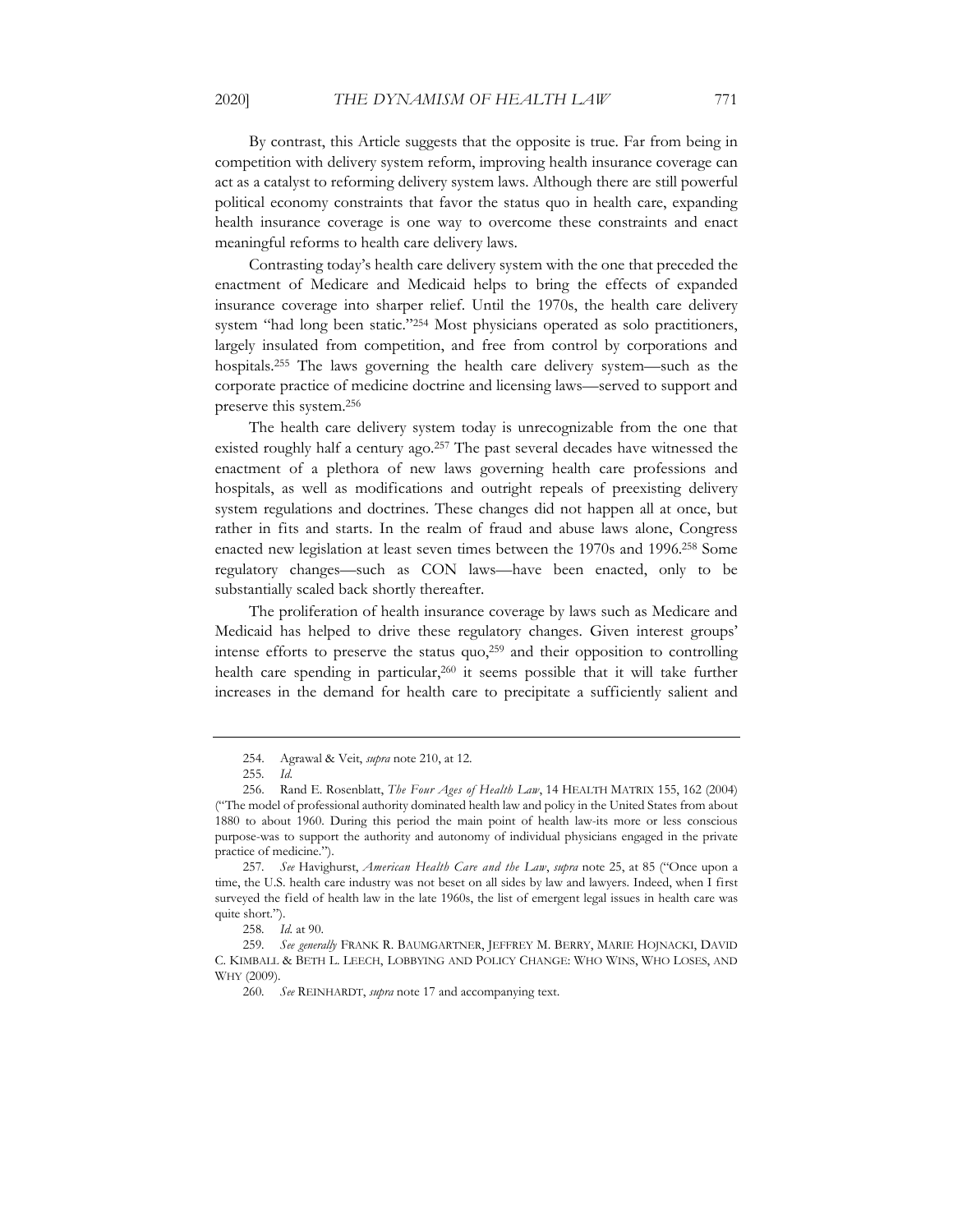By contrast, this Article suggests that the opposite is true. Far from being in competition with delivery system reform, improving health insurance coverage can act as a catalyst to reforming delivery system laws. Although there are still powerful political economy constraints that favor the status quo in health care, expanding health insurance coverage is one way to overcome these constraints and enact meaningful reforms to health care delivery laws.

Contrasting today's health care delivery system with the one that preceded the enactment of Medicare and Medicaid helps to bring the effects of expanded insurance coverage into sharper relief. Until the 1970s, the health care delivery system "had long been static."254 Most physicians operated as solo practitioners, largely insulated from competition, and free from control by corporations and hospitals.255 The laws governing the health care delivery system—such as the corporate practice of medicine doctrine and licensing laws—served to support and preserve this system.256

The health care delivery system today is unrecognizable from the one that existed roughly half a century ago.257 The past several decades have witnessed the enactment of a plethora of new laws governing health care professions and hospitals, as well as modifications and outright repeals of preexisting delivery system regulations and doctrines. These changes did not happen all at once, but rather in fits and starts. In the realm of fraud and abuse laws alone, Congress enacted new legislation at least seven times between the 1970s and 1996.258 Some regulatory changes—such as CON laws—have been enacted, only to be substantially scaled back shortly thereafter.

The proliferation of health insurance coverage by laws such as Medicare and Medicaid has helped to drive these regulatory changes. Given interest groups' intense efforts to preserve the status quo,259 and their opposition to controlling health care spending in particular,<sup>260</sup> it seems possible that it will take further increases in the demand for health care to precipitate a sufficiently salient and

<sup>254.</sup> Agrawal & Veit, *supra* note 210, at 12.

<sup>255</sup>*. Id.*

<sup>256.</sup> Rand E. Rosenblatt, *The Four Ages of Health Law*, 14 HEALTH MATRIX 155, 162 (2004) ("The model of professional authority dominated health law and policy in the United States from about 1880 to about 1960. During this period the main point of health law-its more or less conscious purpose-was to support the authority and autonomy of individual physicians engaged in the private practice of medicine.").

<sup>257</sup>*. See* Havighurst, *American Health Care and the Law*, *supra* note 25, at 85 ("Once upon a time, the U.S. health care industry was not beset on all sides by law and lawyers. Indeed, when I first surveyed the field of health law in the late 1960s, the list of emergent legal issues in health care was quite short.").

<sup>258</sup>*. Id.* at 90.

<sup>259</sup>*. See generally* FRANK R. BAUMGARTNER, JEFFREY M. BERRY, MARIE HOJNACKI, DAVID C. KIMBALL & BETH L. LEECH, LOBBYING AND POLICY CHANGE: WHO WINS, WHO LOSES, AND WHY (2009).

<sup>260</sup>*. See* REINHARDT, *supra* note 17 and accompanying text.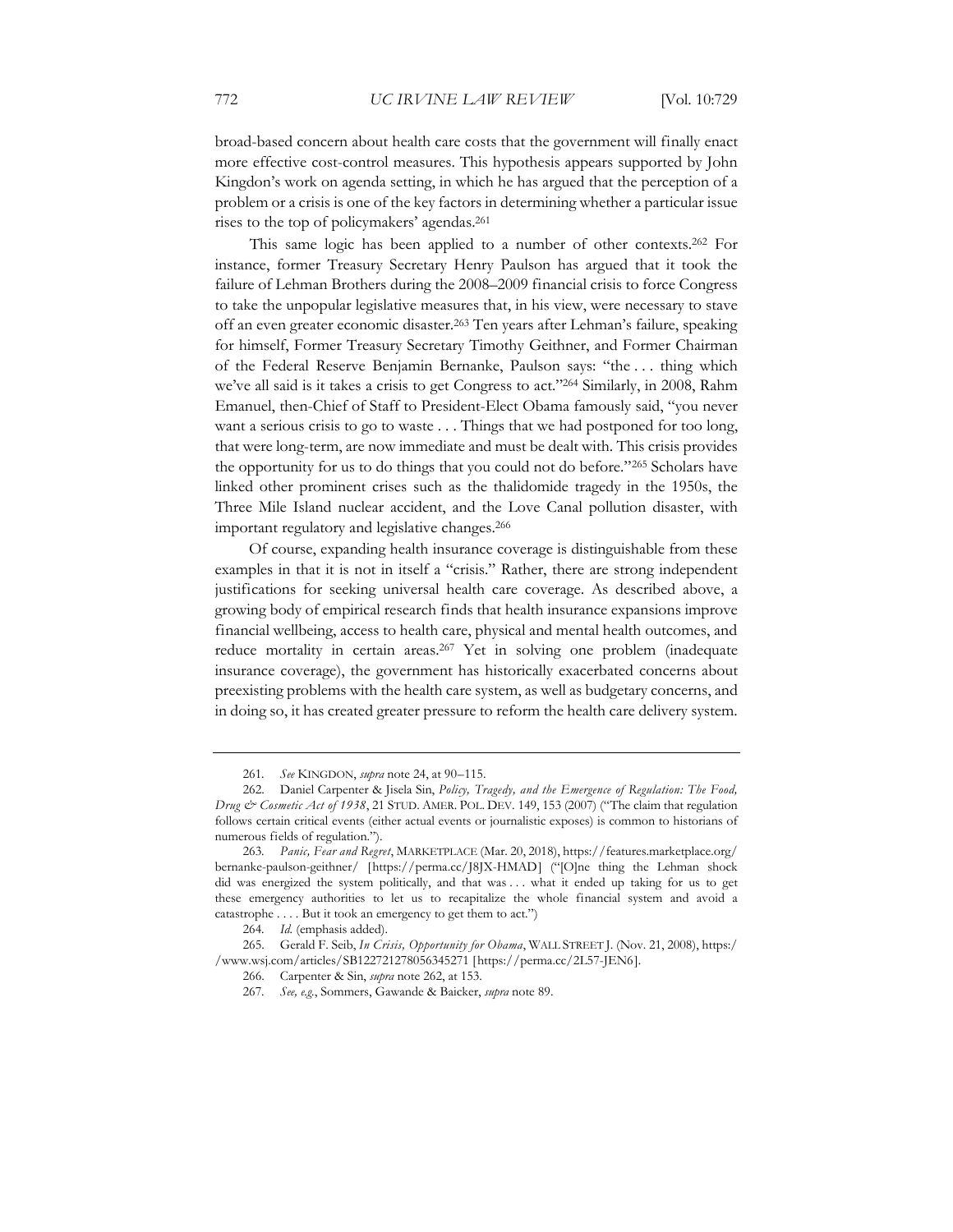broad-based concern about health care costs that the government will finally enact more effective cost-control measures. This hypothesis appears supported by John Kingdon's work on agenda setting, in which he has argued that the perception of a problem or a crisis is one of the key factors in determining whether a particular issue rises to the top of policymakers' agendas.261

This same logic has been applied to a number of other contexts.262 For instance, former Treasury Secretary Henry Paulson has argued that it took the failure of Lehman Brothers during the 2008–2009 financial crisis to force Congress to take the unpopular legislative measures that, in his view, were necessary to stave off an even greater economic disaster.263 Ten years after Lehman's failure, speaking for himself, Former Treasury Secretary Timothy Geithner, and Former Chairman of the Federal Reserve Benjamin Bernanke, Paulson says: "the . . . thing which we've all said is it takes a crisis to get Congress to act."264 Similarly, in 2008, Rahm Emanuel, then-Chief of Staff to President-Elect Obama famously said, "you never want a serious crisis to go to waste . . . Things that we had postponed for too long, that were long-term, are now immediate and must be dealt with. This crisis provides the opportunity for us to do things that you could not do before."265 Scholars have linked other prominent crises such as the thalidomide tragedy in the 1950s, the Three Mile Island nuclear accident, and the Love Canal pollution disaster, with important regulatory and legislative changes.266

Of course, expanding health insurance coverage is distinguishable from these examples in that it is not in itself a "crisis." Rather, there are strong independent justifications for seeking universal health care coverage. As described above, a growing body of empirical research finds that health insurance expansions improve financial wellbeing, access to health care, physical and mental health outcomes, and reduce mortality in certain areas.267 Yet in solving one problem (inadequate insurance coverage), the government has historically exacerbated concerns about preexisting problems with the health care system, as well as budgetary concerns, and in doing so, it has created greater pressure to reform the health care delivery system.

<sup>261</sup>*. See* KINGDON, *supra* note 24, at 90–115.

<sup>262.</sup> Daniel Carpenter & Jisela Sin, *Policy, Tragedy, and the Emergence of Regulation: The Food, Drug & Cosmetic Act of 1938*, 21 STUD. AMER. POL. DEV. 149, 153 (2007) ("The claim that regulation follows certain critical events (either actual events or journalistic exposes) is common to historians of numerous fields of regulation.").

<sup>263</sup>*. Panic, Fear and Regret*, MARKETPLACE (Mar. 20, 2018), https://features.marketplace.org/ bernanke-paulson-geithner/ [https://perma.cc/J8JX-HMAD] ("[O]ne thing the Lehman shock did was energized the system politically, and that was . . . what it ended up taking for us to get these emergency authorities to let us to recapitalize the whole financial system and avoid a catastrophe . . . . But it took an emergency to get them to act.")

<sup>264</sup>*. Id.* (emphasis added).

<sup>265.</sup> Gerald F. Seib, *In Crisis, Opportunity for Obama*, WALL STREET J. (Nov. 21, 2008), https:/ /www.wsj.com/articles/SB122721278056345271 [https://perma.cc/2L57-JEN6].

<sup>266.</sup> Carpenter & Sin, *supra* note 262, at 153.

<sup>267</sup>*. See, e.g.*, Sommers, Gawande & Baicker, *supra* note 89.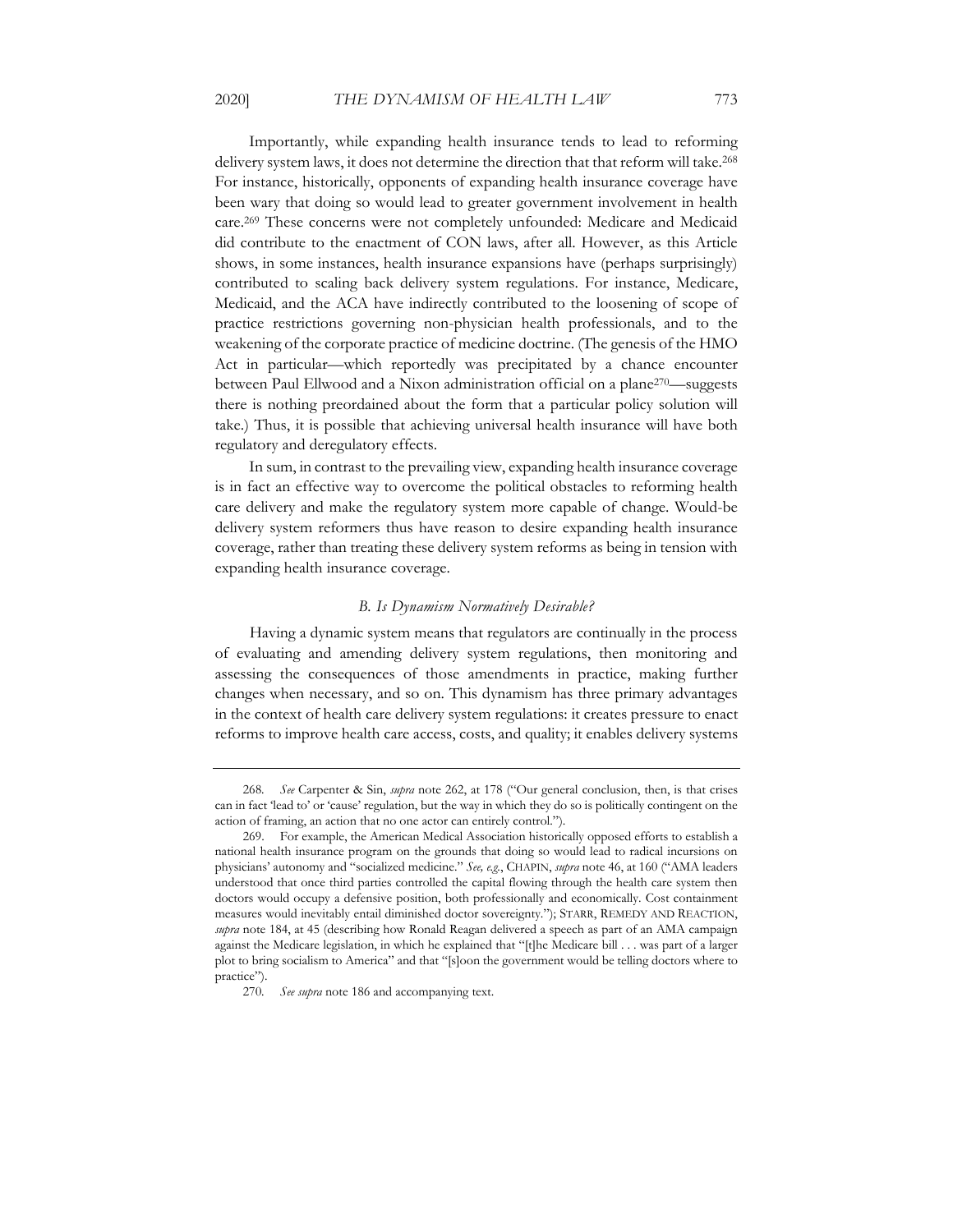Importantly, while expanding health insurance tends to lead to reforming delivery system laws, it does not determine the direction that that reform will take.268 For instance, historically, opponents of expanding health insurance coverage have been wary that doing so would lead to greater government involvement in health care.269 These concerns were not completely unfounded: Medicare and Medicaid did contribute to the enactment of CON laws, after all. However, as this Article shows, in some instances, health insurance expansions have (perhaps surprisingly) contributed to scaling back delivery system regulations. For instance, Medicare, Medicaid, and the ACA have indirectly contributed to the loosening of scope of practice restrictions governing non-physician health professionals, and to the weakening of the corporate practice of medicine doctrine. (The genesis of the HMO Act in particular—which reportedly was precipitated by a chance encounter between Paul Ellwood and a Nixon administration official on a plane270—suggests there is nothing preordained about the form that a particular policy solution will take.) Thus, it is possible that achieving universal health insurance will have both regulatory and deregulatory effects.

In sum, in contrast to the prevailing view, expanding health insurance coverage is in fact an effective way to overcome the political obstacles to reforming health care delivery and make the regulatory system more capable of change. Would-be delivery system reformers thus have reason to desire expanding health insurance coverage, rather than treating these delivery system reforms as being in tension with expanding health insurance coverage.

#### *B. Is Dynamism Normatively Desirable?*

Having a dynamic system means that regulators are continually in the process of evaluating and amending delivery system regulations, then monitoring and assessing the consequences of those amendments in practice, making further changes when necessary, and so on. This dynamism has three primary advantages in the context of health care delivery system regulations: it creates pressure to enact reforms to improve health care access, costs, and quality; it enables delivery systems

<sup>268</sup>*. See* Carpenter & Sin, *supra* note 262, at 178 ("Our general conclusion, then, is that crises can in fact 'lead to' or 'cause' regulation, but the way in which they do so is politically contingent on the action of framing, an action that no one actor can entirely control.").

<sup>269.</sup> For example, the American Medical Association historically opposed efforts to establish a national health insurance program on the grounds that doing so would lead to radical incursions on physicians' autonomy and "socialized medicine." *See, e.g.*, CHAPIN, *supra* note 46, at 160 ("AMA leaders understood that once third parties controlled the capital flowing through the health care system then doctors would occupy a defensive position, both professionally and economically. Cost containment measures would inevitably entail diminished doctor sovereignty."); STARR, REMEDY AND REACTION, *supra* note 184, at 45 (describing how Ronald Reagan delivered a speech as part of an AMA campaign against the Medicare legislation, in which he explained that "[t]he Medicare bill . . . was part of a larger plot to bring socialism to America" and that "[s]oon the government would be telling doctors where to practice").

<sup>270</sup>*. See supra* note 186 and accompanying text.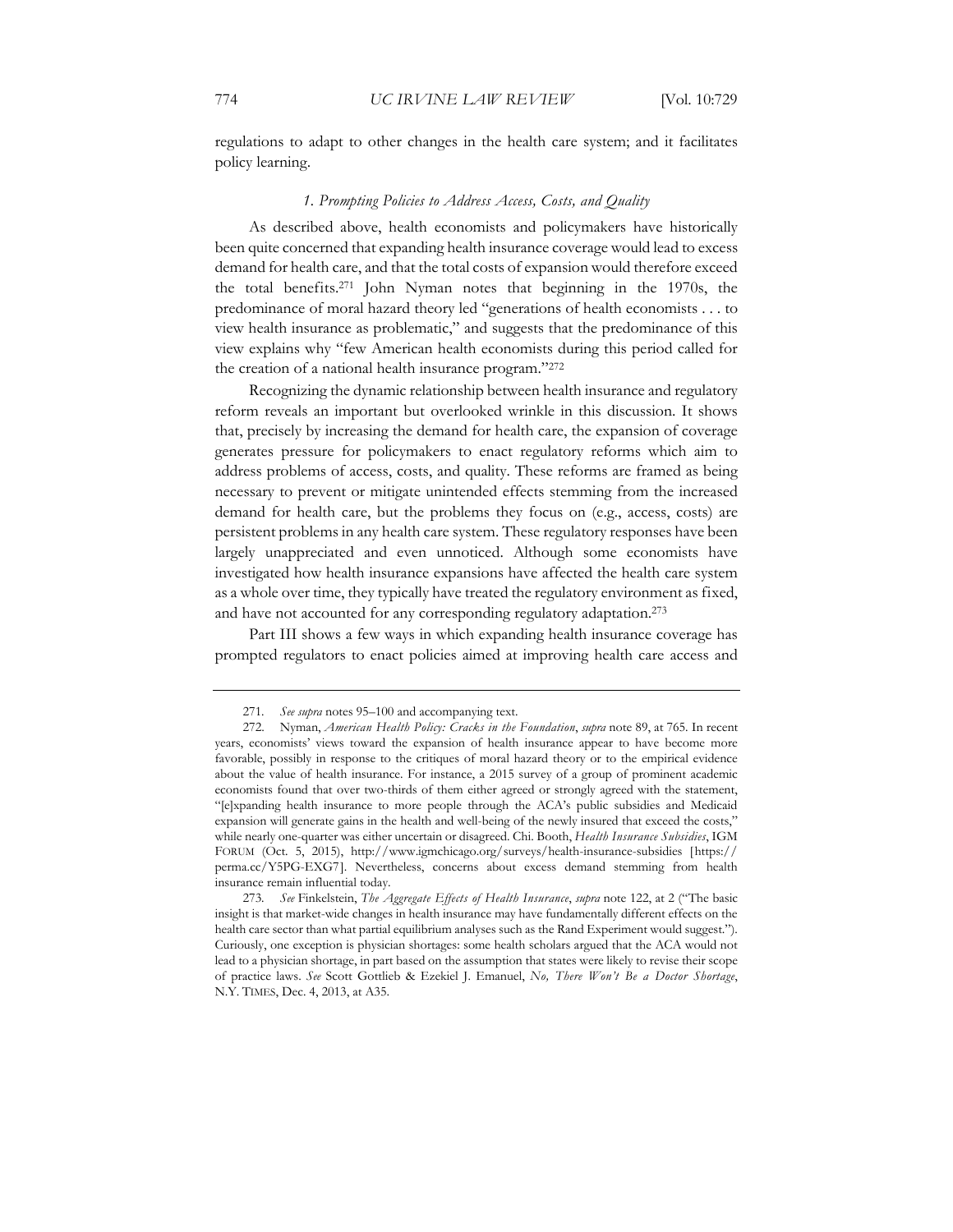regulations to adapt to other changes in the health care system; and it facilitates policy learning.

#### *1. Prompting Policies to Address Access, Costs, and Quality*

As described above, health economists and policymakers have historically been quite concerned that expanding health insurance coverage would lead to excess demand for health care, and that the total costs of expansion would therefore exceed the total benefits.271 John Nyman notes that beginning in the 1970s, the predominance of moral hazard theory led "generations of health economists . . . to view health insurance as problematic," and suggests that the predominance of this view explains why "few American health economists during this period called for the creation of a national health insurance program."272

Recognizing the dynamic relationship between health insurance and regulatory reform reveals an important but overlooked wrinkle in this discussion. It shows that, precisely by increasing the demand for health care, the expansion of coverage generates pressure for policymakers to enact regulatory reforms which aim to address problems of access, costs, and quality. These reforms are framed as being necessary to prevent or mitigate unintended effects stemming from the increased demand for health care, but the problems they focus on (e.g., access, costs) are persistent problems in any health care system. These regulatory responses have been largely unappreciated and even unnoticed. Although some economists have investigated how health insurance expansions have affected the health care system as a whole over time, they typically have treated the regulatory environment as fixed, and have not accounted for any corresponding regulatory adaptation.273

Part III shows a few ways in which expanding health insurance coverage has prompted regulators to enact policies aimed at improving health care access and

<sup>271</sup>*. See supra* notes 95–100 and accompanying text.

<sup>272.</sup> Nyman, *American Health Policy: Cracks in the Foundation*, *supra* note 89, at 765. In recent years, economists' views toward the expansion of health insurance appear to have become more favorable, possibly in response to the critiques of moral hazard theory or to the empirical evidence about the value of health insurance. For instance, a 2015 survey of a group of prominent academic economists found that over two-thirds of them either agreed or strongly agreed with the statement, "[e]xpanding health insurance to more people through the ACA's public subsidies and Medicaid expansion will generate gains in the health and well-being of the newly insured that exceed the costs," while nearly one-quarter was either uncertain or disagreed. Chi. Booth, *Health Insurance Subsidies*, IGM FORUM (Oct. 5, 2015), http://www.igmchicago.org/surveys/health-insurance-subsidies [https:// perma.cc/Y5PG-EXG7]. Nevertheless, concerns about excess demand stemming from health insurance remain influential today.

<sup>273</sup>*. See* Finkelstein, *The Aggregate Effects of Health Insurance*, *supra* note 122, at 2 ("The basic insight is that market-wide changes in health insurance may have fundamentally different effects on the health care sector than what partial equilibrium analyses such as the Rand Experiment would suggest."). Curiously, one exception is physician shortages: some health scholars argued that the ACA would not lead to a physician shortage, in part based on the assumption that states were likely to revise their scope of practice laws. *See* Scott Gottlieb & Ezekiel J. Emanuel, *No, There Won't Be a Doctor Shortage*, N.Y. TIMES, Dec. 4, 2013, at A35.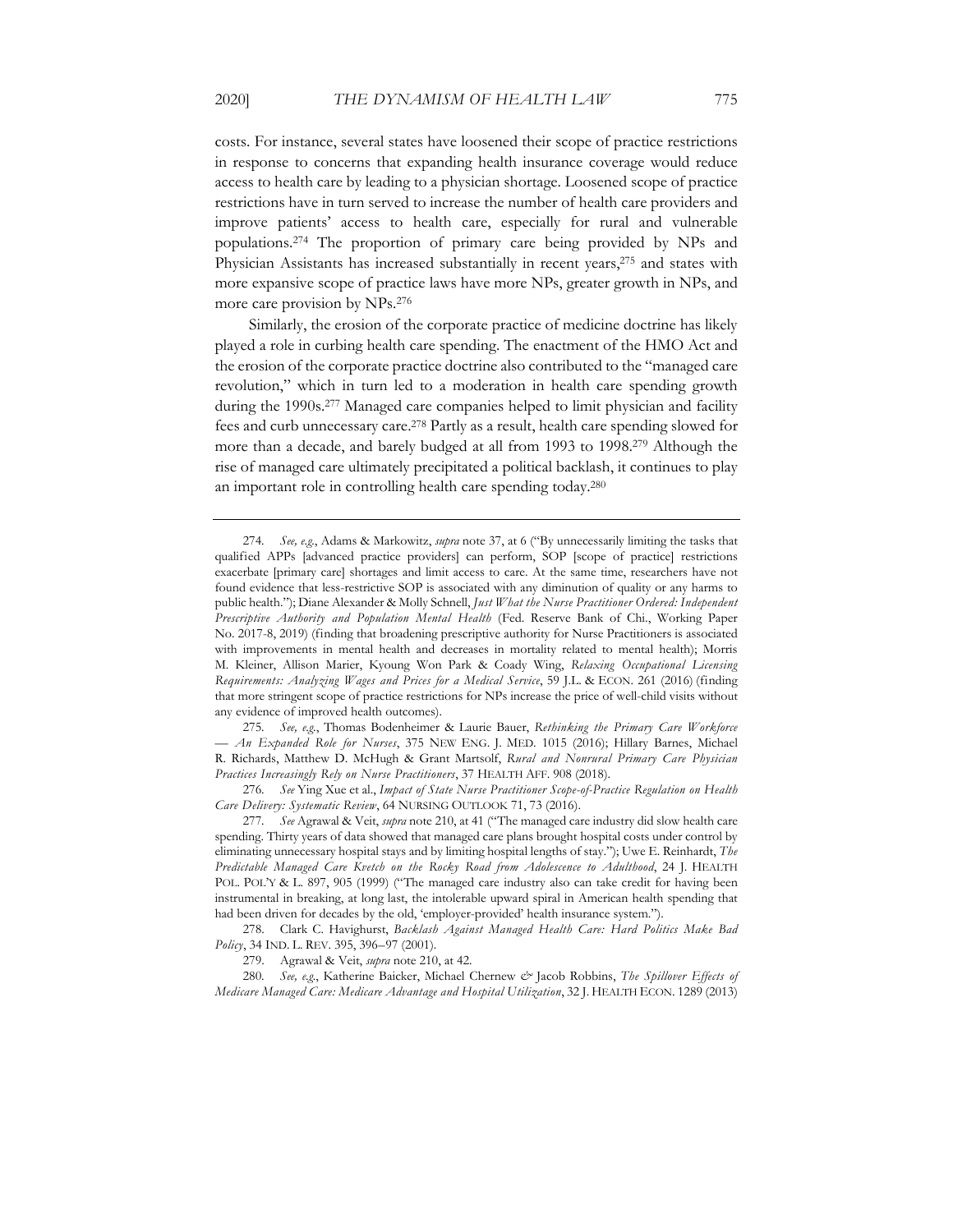costs. For instance, several states have loosened their scope of practice restrictions

in response to concerns that expanding health insurance coverage would reduce access to health care by leading to a physician shortage. Loosened scope of practice restrictions have in turn served to increase the number of health care providers and improve patients' access to health care, especially for rural and vulnerable populations.274 The proportion of primary care being provided by NPs and Physician Assistants has increased substantially in recent years,<sup>275</sup> and states with more expansive scope of practice laws have more NPs, greater growth in NPs, and more care provision by NPs.276

Similarly, the erosion of the corporate practice of medicine doctrine has likely played a role in curbing health care spending. The enactment of the HMO Act and the erosion of the corporate practice doctrine also contributed to the "managed care revolution," which in turn led to a moderation in health care spending growth during the 1990s.277 Managed care companies helped to limit physician and facility fees and curb unnecessary care.278 Partly as a result, health care spending slowed for more than a decade, and barely budged at all from 1993 to 1998.279 Although the rise of managed care ultimately precipitated a political backlash, it continues to play an important role in controlling health care spending today.280

275*. See, e.g.*, Thomas Bodenheimer & Laurie Bauer, *Rethinking the Primary Care Workforce — An Expanded Role for Nurses*, 375 NEW ENG. J. MED. 1015 (2016); Hillary Barnes, Michael R. Richards, Matthew D. McHugh & Grant Martsolf, *Rural and Nonrural Primary Care Physician Practices Increasingly Rely on Nurse Practitioners*, 37 HEALTH AFF. 908 (2018).

276*. See* Ying Xue et al., *Impact of State Nurse Practitioner Scope-of-Practice Regulation on Health Care Delivery: Systematic Review*, 64 NURSING OUTLOOK 71, 73 (2016).

278. Clark C. Havighurst, *Backlash Against Managed Health Care: Hard Politics Make Bad Policy*, 34 IND. L. REV. 395, 396–97 (2001).

279. Agrawal & Veit, *supra* note 210, at 42.

280. See, e.g., Katherine Baicker, Michael Chernew & Jacob Robbins, *The Spillover Effects of Medicare Managed Care: Medicare Advantage and Hospital Utilization*, 32 J. HEALTH ECON. 1289 (2013)

<sup>274</sup>*. See, e.g.*, Adams & Markowitz, *supra* note 37, at 6 ("By unnecessarily limiting the tasks that qualified APPs [advanced practice providers] can perform, SOP [scope of practice] restrictions exacerbate [primary care] shortages and limit access to care. At the same time, researchers have not found evidence that less-restrictive SOP is associated with any diminution of quality or any harms to public health."); Diane Alexander & Molly Schnell, *Just What the Nurse Practitioner Ordered: Independent Prescriptive Authority and Population Mental Health* (Fed. Reserve Bank of Chi., Working Paper No. 2017-8, 2019) (finding that broadening prescriptive authority for Nurse Practitioners is associated with improvements in mental health and decreases in mortality related to mental health); Morris M. Kleiner, Allison Marier, Kyoung Won Park & Coady Wing, *Relaxing Occupational Licensing Requirements: Analyzing Wages and Prices for a Medical Service*, 59 J.L. & ECON. 261 (2016) (finding that more stringent scope of practice restrictions for NPs increase the price of well-child visits without any evidence of improved health outcomes).

<sup>277</sup>*. See* Agrawal & Veit, *supra* note 210, at 41 ("The managed care industry did slow health care spending. Thirty years of data showed that managed care plans brought hospital costs under control by eliminating unnecessary hospital stays and by limiting hospital lengths of stay."); Uwe E. Reinhardt, *The Predictable Managed Care Kvetch on the Rocky Road from Adolescence to Adulthood*, 24 J. HEALTH POL. POL'Y & L. 897, 905 (1999) ("The managed care industry also can take credit for having been instrumental in breaking, at long last, the intolerable upward spiral in American health spending that had been driven for decades by the old, 'employer-provided' health insurance system.").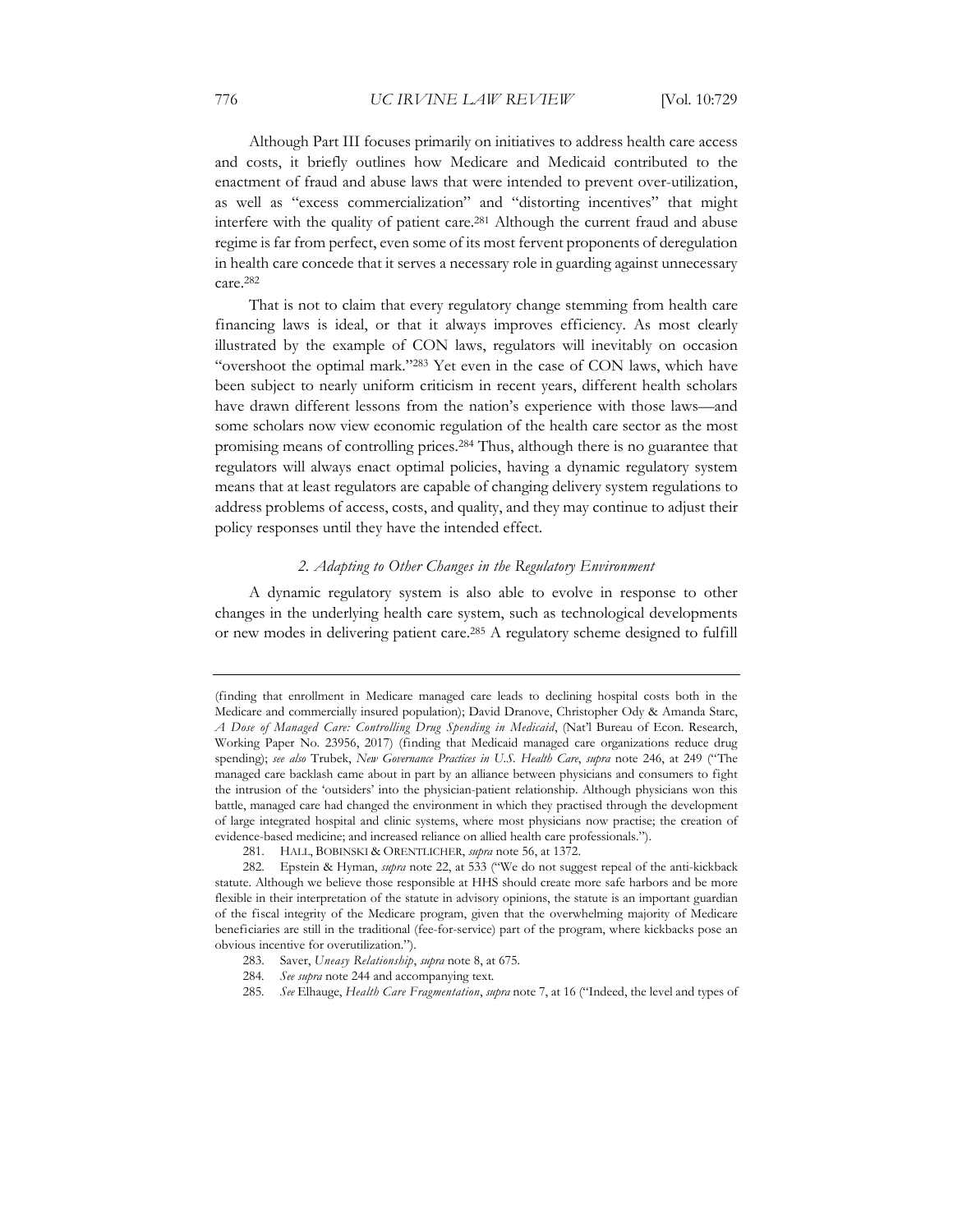Although Part III focuses primarily on initiatives to address health care access and costs, it briefly outlines how Medicare and Medicaid contributed to the enactment of fraud and abuse laws that were intended to prevent over-utilization, as well as "excess commercialization" and "distorting incentives" that might interfere with the quality of patient care.281 Although the current fraud and abuse regime is far from perfect, even some of its most fervent proponents of deregulation in health care concede that it serves a necessary role in guarding against unnecessary care.282

That is not to claim that every regulatory change stemming from health care financing laws is ideal, or that it always improves efficiency. As most clearly illustrated by the example of CON laws, regulators will inevitably on occasion "overshoot the optimal mark."283 Yet even in the case of CON laws, which have been subject to nearly uniform criticism in recent years, different health scholars have drawn different lessons from the nation's experience with those laws—and some scholars now view economic regulation of the health care sector as the most promising means of controlling prices.284 Thus, although there is no guarantee that regulators will always enact optimal policies, having a dynamic regulatory system means that at least regulators are capable of changing delivery system regulations to address problems of access, costs, and quality, and they may continue to adjust their policy responses until they have the intended effect.

#### *2. Adapting to Other Changes in the Regulatory Environment*

A dynamic regulatory system is also able to evolve in response to other changes in the underlying health care system, such as technological developments or new modes in delivering patient care.285 A regulatory scheme designed to fulfill

<sup>(</sup>finding that enrollment in Medicare managed care leads to declining hospital costs both in the Medicare and commercially insured population); David Dranove, Christopher Ody & Amanda Starc, *A Dose of Managed Care: Controlling Drug Spending in Medicaid*, (Nat'l Bureau of Econ. Research, Working Paper No. 23956, 2017) (finding that Medicaid managed care organizations reduce drug spending); *see also* Trubek, *New Governance Practices in U.S. Health Care*, *supra* note 246, at 249 ("The managed care backlash came about in part by an alliance between physicians and consumers to fight the intrusion of the 'outsiders' into the physician-patient relationship. Although physicians won this battle, managed care had changed the environment in which they practised through the development of large integrated hospital and clinic systems, where most physicians now practise; the creation of evidence-based medicine; and increased reliance on allied health care professionals.").

<sup>281.</sup> HALL, BOBINSKI & ORENTLICHER, *supra* note 56, at 1372.

<sup>282.</sup> Epstein & Hyman, *supra* note 22, at 533 ("We do not suggest repeal of the anti-kickback statute. Although we believe those responsible at HHS should create more safe harbors and be more flexible in their interpretation of the statute in advisory opinions, the statute is an important guardian of the fiscal integrity of the Medicare program, given that the overwhelming majority of Medicare beneficiaries are still in the traditional (fee-for-service) part of the program, where kickbacks pose an obvious incentive for overutilization.").

<sup>283.</sup> Saver, *Uneasy Relationship*, *supra* note 8, at 675.

<sup>284</sup>*. See supra* note 244 and accompanying text*.* 

<sup>285</sup>*. See* Elhauge, *Health Care Fragmentation*, *supra* note 7, at 16 ("Indeed, the level and types of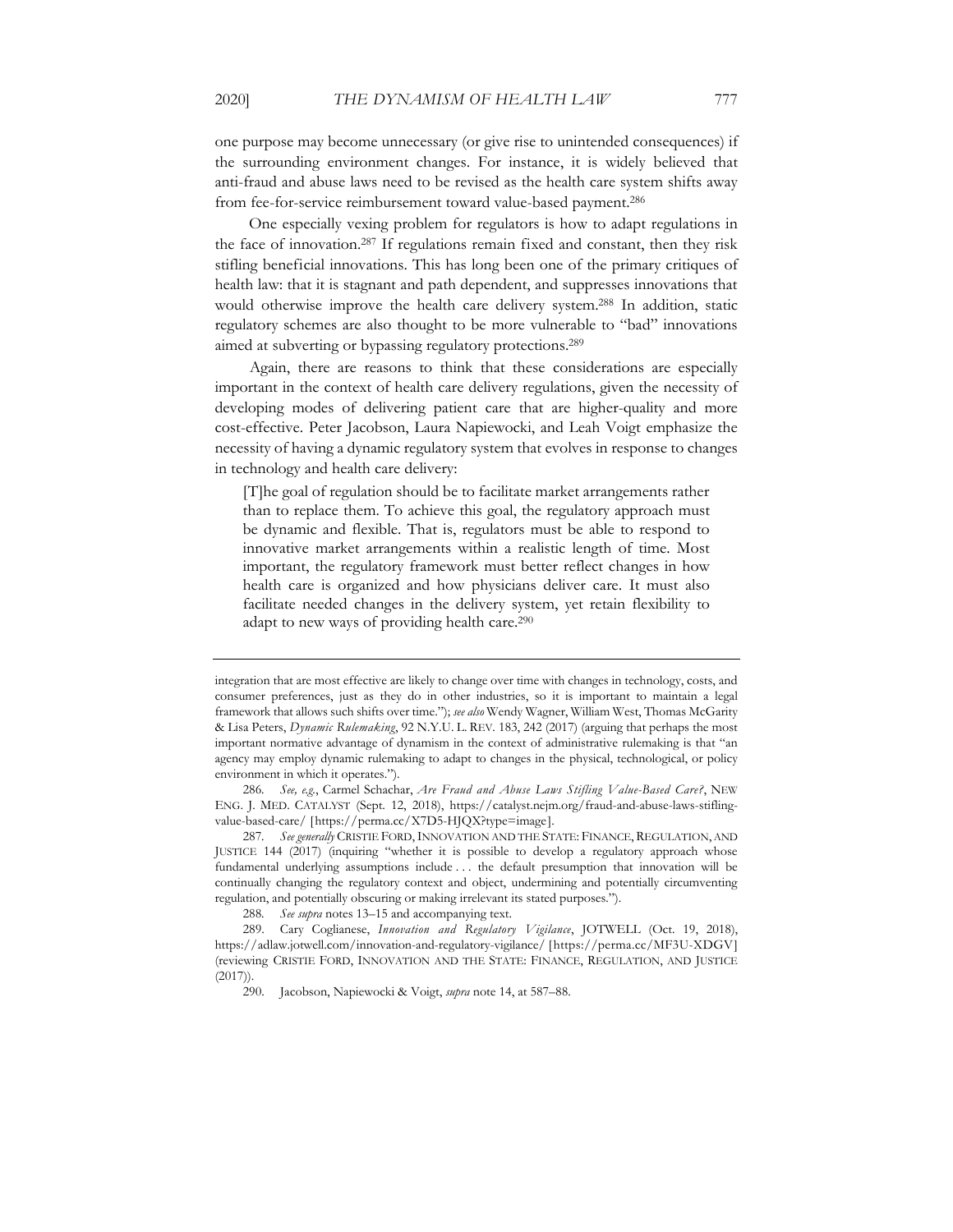one purpose may become unnecessary (or give rise to unintended consequences) if the surrounding environment changes. For instance, it is widely believed that anti-fraud and abuse laws need to be revised as the health care system shifts away from fee-for-service reimbursement toward value-based payment.286

One especially vexing problem for regulators is how to adapt regulations in the face of innovation.287 If regulations remain fixed and constant, then they risk stifling beneficial innovations. This has long been one of the primary critiques of health law: that it is stagnant and path dependent, and suppresses innovations that would otherwise improve the health care delivery system.288 In addition, static regulatory schemes are also thought to be more vulnerable to "bad" innovations aimed at subverting or bypassing regulatory protections.289

Again, there are reasons to think that these considerations are especially important in the context of health care delivery regulations, given the necessity of developing modes of delivering patient care that are higher-quality and more cost-effective. Peter Jacobson, Laura Napiewocki, and Leah Voigt emphasize the necessity of having a dynamic regulatory system that evolves in response to changes in technology and health care delivery:

[T]he goal of regulation should be to facilitate market arrangements rather than to replace them. To achieve this goal, the regulatory approach must be dynamic and flexible. That is, regulators must be able to respond to innovative market arrangements within a realistic length of time. Most important, the regulatory framework must better reflect changes in how health care is organized and how physicians deliver care. It must also facilitate needed changes in the delivery system, yet retain flexibility to adapt to new ways of providing health care.290

integration that are most effective are likely to change over time with changes in technology, costs, and consumer preferences, just as they do in other industries, so it is important to maintain a legal framework that allows such shifts over time."); *see also* Wendy Wagner, William West, Thomas McGarity & Lisa Peters, *Dynamic Rulemaking*, 92 N.Y.U. L. REV. 183, 242 (2017) (arguing that perhaps the most important normative advantage of dynamism in the context of administrative rulemaking is that "an agency may employ dynamic rulemaking to adapt to changes in the physical, technological, or policy environment in which it operates.").

<sup>286</sup>*. See, e.g.*, Carmel Schachar, *Are Fraud and Abuse Laws Stifling Value-Based Care?*, NEW ENG. J. MED. CATALYST (Sept. 12, 2018), https://catalyst.nejm.org/fraud-and-abuse-laws-stiflingvalue-based-care/ [https://perma.cc/X7D5-HJQX?type=image].

<sup>287</sup>*. See generally* CRISTIE FORD,INNOVATION AND THE STATE: FINANCE, REGULATION, AND JUSTICE 144 (2017) (inquiring "whether it is possible to develop a regulatory approach whose fundamental underlying assumptions include . . . the default presumption that innovation will be continually changing the regulatory context and object, undermining and potentially circumventing regulation, and potentially obscuring or making irrelevant its stated purposes.").

<sup>288</sup>*. See supra* notes 13–15 and accompanying text.

<sup>289.</sup> Cary Coglianese, *Innovation and Regulatory Vigilance*, JOTWELL (Oct. 19, 2018), https://adlaw.jotwell.com/innovation-and-regulatory-vigilance/ [https://perma.cc/MF3U-XDGV] (reviewing CRISTIE FORD, INNOVATION AND THE STATE: FINANCE, REGULATION, AND JUSTICE (2017)).

<sup>290.</sup> Jacobson, Napiewocki & Voigt, *supra* note 14, at 587–88.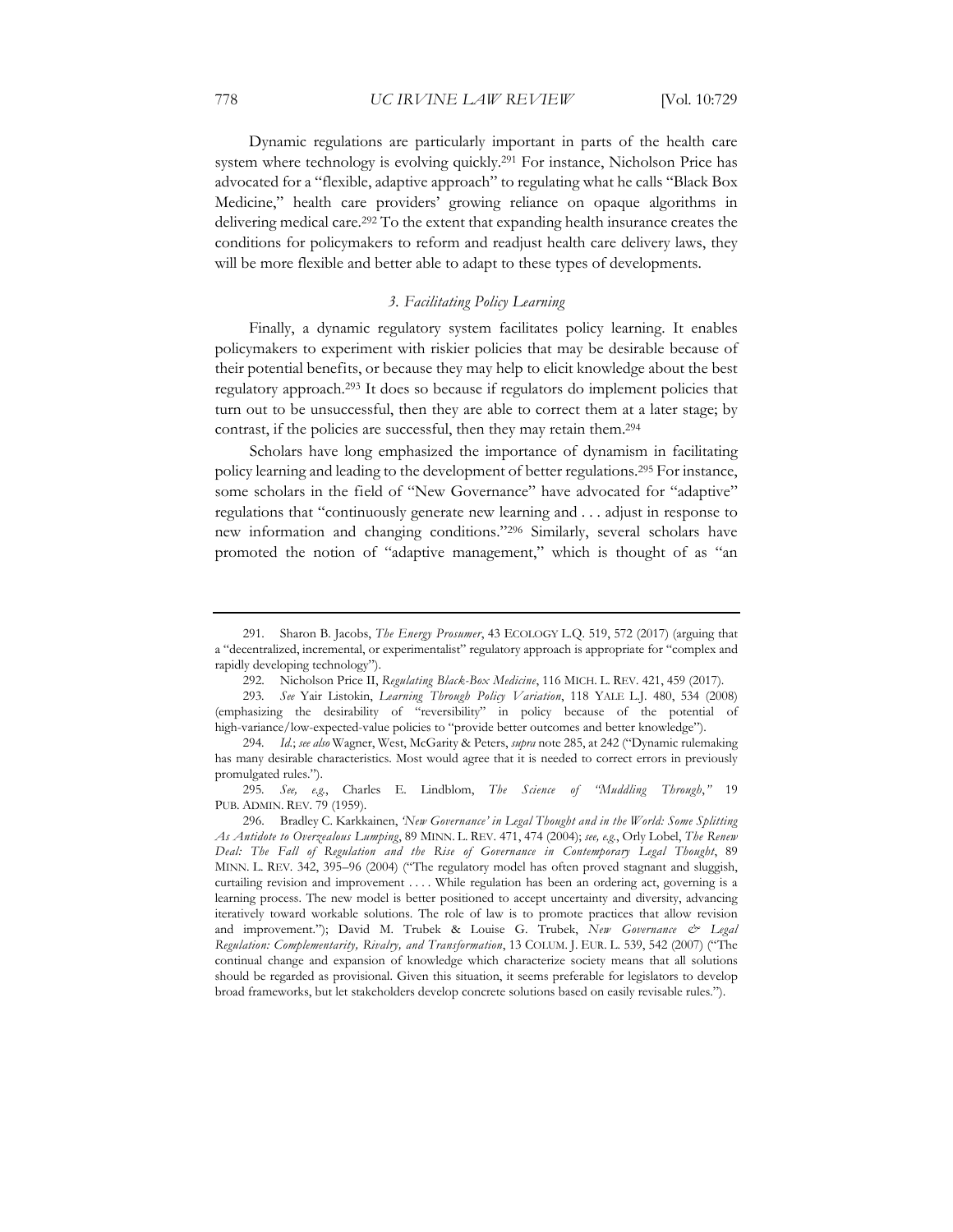Dynamic regulations are particularly important in parts of the health care system where technology is evolving quickly.291 For instance, Nicholson Price has advocated for a "flexible, adaptive approach" to regulating what he calls "Black Box Medicine," health care providers' growing reliance on opaque algorithms in delivering medical care.292 To the extent that expanding health insurance creates the conditions for policymakers to reform and readjust health care delivery laws, they will be more flexible and better able to adapt to these types of developments.

## *3. Facilitating Policy Learning*

Finally, a dynamic regulatory system facilitates policy learning. It enables policymakers to experiment with riskier policies that may be desirable because of their potential benefits, or because they may help to elicit knowledge about the best regulatory approach.293 It does so because if regulators do implement policies that turn out to be unsuccessful, then they are able to correct them at a later stage; by contrast, if the policies are successful, then they may retain them.294

Scholars have long emphasized the importance of dynamism in facilitating policy learning and leading to the development of better regulations.295 For instance, some scholars in the field of "New Governance" have advocated for "adaptive" regulations that "continuously generate new learning and . . . adjust in response to new information and changing conditions."296 Similarly, several scholars have promoted the notion of "adaptive management," which is thought of as "an

<sup>291.</sup> Sharon B. Jacobs, *The Energy Prosumer*, 43 ECOLOGY L.Q. 519, 572 (2017) (arguing that a "decentralized, incremental, or experimentalist" regulatory approach is appropriate for "complex and rapidly developing technology").

<sup>292.</sup> Nicholson Price II, *Regulating Black-Box Medicine*, 116 MICH. L. REV. 421, 459 (2017).

<sup>293</sup>*. See* Yair Listokin, *Learning Through Policy Variation*, 118 YALE L.J. 480, 534 (2008) (emphasizing the desirability of "reversibility" in policy because of the potential of high-variance/low-expected-value policies to "provide better outcomes and better knowledge").

<sup>294</sup>*. Id.*; *see also* Wagner, West, McGarity & Peters, *supra* note 285, at 242 ("Dynamic rulemaking has many desirable characteristics. Most would agree that it is needed to correct errors in previously promulgated rules.").

<sup>295</sup>*. See, e.g.*, Charles E. Lindblom, *The Science of "Muddling Through*,*"* 19 PUB. ADMIN. REV. 79 (1959).

<sup>296.</sup> Bradley C. Karkkainen, *'New Governance' in Legal Thought and in the World: Some Splitting As Antidote to Overzealous Lumping*, 89 MINN. L. REV. 471, 474 (2004); *see, e.g.*, Orly Lobel, *The Renew Deal: The Fall of Regulation and the Rise of Governance in Contemporary Legal Thought*, 89 MINN. L. REV. 342, 395–96 (2004) ("The regulatory model has often proved stagnant and sluggish, curtailing revision and improvement . . . . While regulation has been an ordering act, governing is a learning process. The new model is better positioned to accept uncertainty and diversity, advancing iteratively toward workable solutions. The role of law is to promote practices that allow revision and improvement."); David M. Trubek & Louise G. Trubek, *New Governance & Legal Regulation: Complementarity, Rivalry, and Transformation*, 13 COLUM. J. EUR. L. 539, 542 (2007) ("The continual change and expansion of knowledge which characterize society means that all solutions should be regarded as provisional. Given this situation, it seems preferable for legislators to develop broad frameworks, but let stakeholders develop concrete solutions based on easily revisable rules.").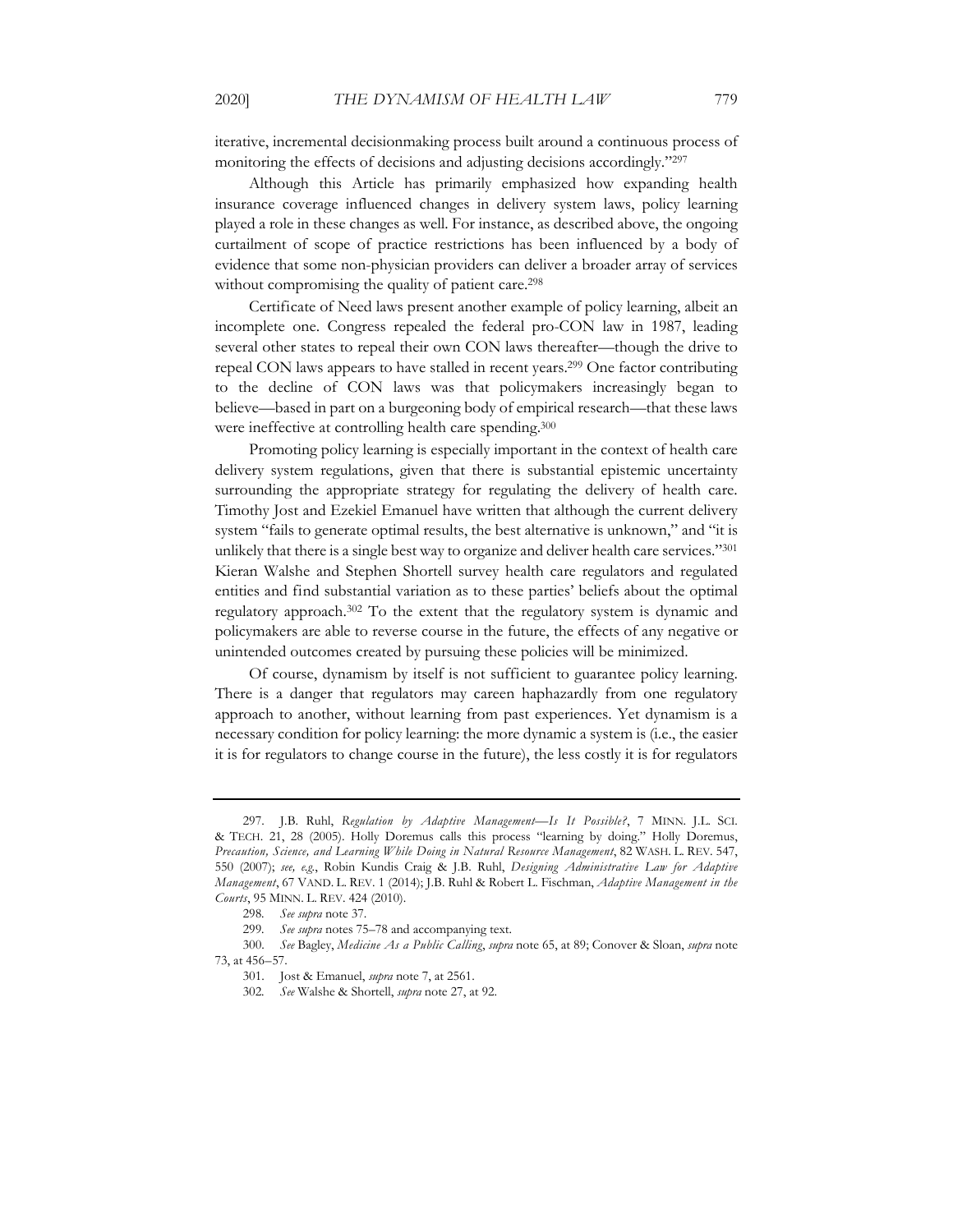iterative, incremental decisionmaking process built around a continuous process of monitoring the effects of decisions and adjusting decisions accordingly."297

Although this Article has primarily emphasized how expanding health insurance coverage influenced changes in delivery system laws, policy learning played a role in these changes as well. For instance, as described above, the ongoing curtailment of scope of practice restrictions has been influenced by a body of evidence that some non-physician providers can deliver a broader array of services without compromising the quality of patient care.<sup>298</sup>

Certificate of Need laws present another example of policy learning, albeit an incomplete one. Congress repealed the federal pro-CON law in 1987, leading several other states to repeal their own CON laws thereafter—though the drive to repeal CON laws appears to have stalled in recent years.299 One factor contributing to the decline of CON laws was that policymakers increasingly began to believe—based in part on a burgeoning body of empirical research—that these laws were ineffective at controlling health care spending.<sup>300</sup>

Promoting policy learning is especially important in the context of health care delivery system regulations, given that there is substantial epistemic uncertainty surrounding the appropriate strategy for regulating the delivery of health care. Timothy Jost and Ezekiel Emanuel have written that although the current delivery system "fails to generate optimal results, the best alternative is unknown," and "it is unlikely that there is a single best way to organize and deliver health care services."301 Kieran Walshe and Stephen Shortell survey health care regulators and regulated entities and find substantial variation as to these parties' beliefs about the optimal regulatory approach.302 To the extent that the regulatory system is dynamic and policymakers are able to reverse course in the future, the effects of any negative or unintended outcomes created by pursuing these policies will be minimized.

Of course, dynamism by itself is not sufficient to guarantee policy learning. There is a danger that regulators may careen haphazardly from one regulatory approach to another, without learning from past experiences. Yet dynamism is a necessary condition for policy learning: the more dynamic a system is (i.e., the easier it is for regulators to change course in the future), the less costly it is for regulators

<sup>297.</sup> J.B. Ruhl, *Regulation by Adaptive Management—Is It Possible?*, 7 MINN. J.L. SCI. & TECH. 21, 28 (2005). Holly Doremus calls this process "learning by doing." Holly Doremus, *Precaution, Science, and Learning While Doing in Natural Resource Management*, 82 WASH. L. REV. 547, 550 (2007); *see, e.g.*, Robin Kundis Craig & J.B. Ruhl, *Designing Administrative Law for Adaptive Management*, 67 VAND. L. REV. 1 (2014); J.B. Ruhl & Robert L. Fischman, *Adaptive Management in the Courts*, 95 MINN. L. REV. 424 (2010).

<sup>298</sup>*. See supra* note 37.

<sup>299</sup>*. See supra* notes 75–78 and accompanying text.

<sup>300.</sup> *See* Bagley, *Medicine As a Public Calling*, *supra* note 65, at 89; Conover & Sloan, *supra* note 73, at 456–57.

<sup>301.</sup> Jost & Emanuel, *supra* note 7, at 2561.

<sup>302</sup>*. See* Walshe & Shortell, *supra* note 27, at 92.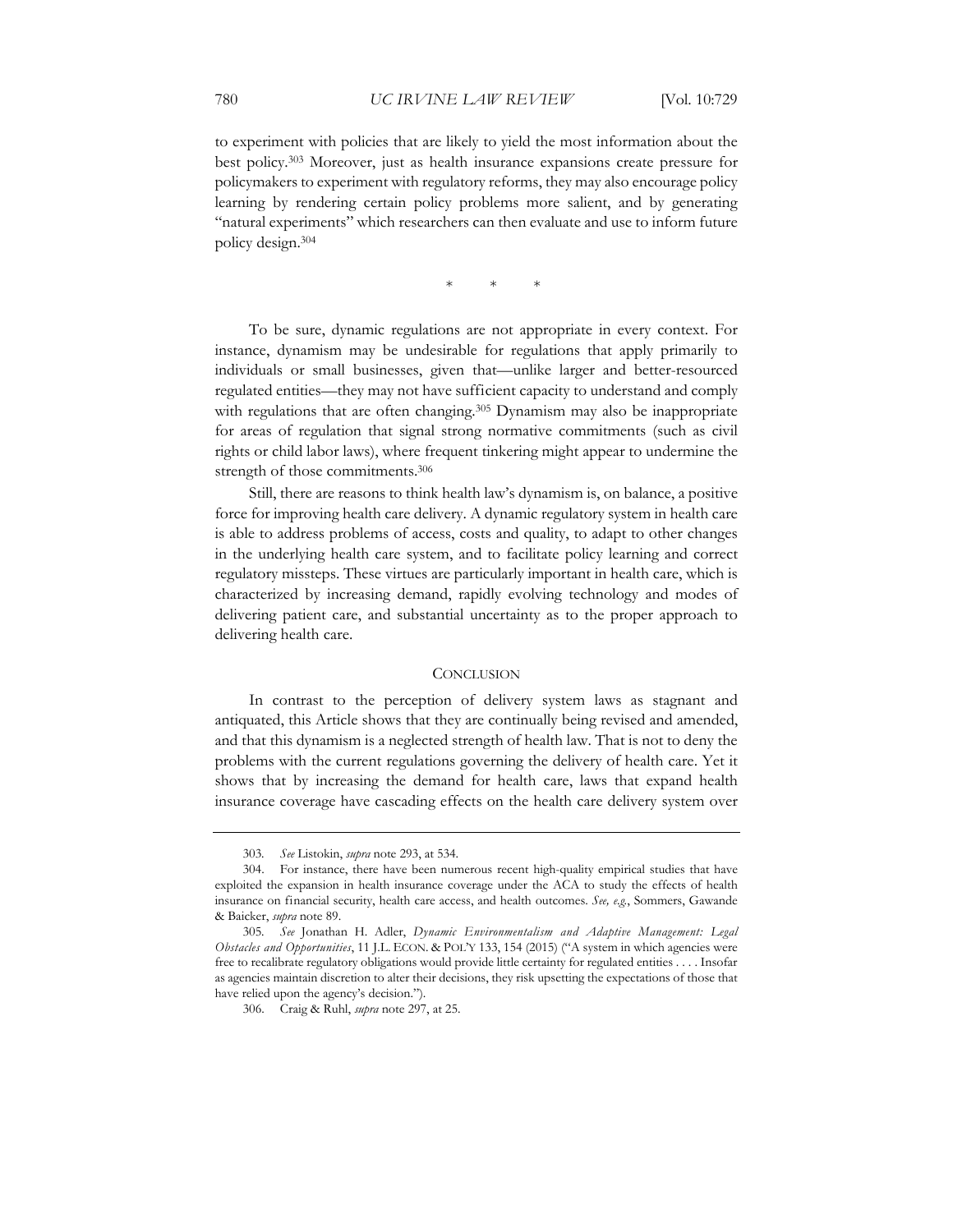to experiment with policies that are likely to yield the most information about the best policy.303 Moreover, just as health insurance expansions create pressure for policymakers to experiment with regulatory reforms, they may also encourage policy learning by rendering certain policy problems more salient, and by generating "natural experiments" which researchers can then evaluate and use to inform future policy design.304

\* \* \*

To be sure, dynamic regulations are not appropriate in every context. For instance, dynamism may be undesirable for regulations that apply primarily to individuals or small businesses, given that—unlike larger and better-resourced regulated entities—they may not have sufficient capacity to understand and comply with regulations that are often changing.<sup>305</sup> Dynamism may also be inappropriate for areas of regulation that signal strong normative commitments (such as civil rights or child labor laws), where frequent tinkering might appear to undermine the strength of those commitments.306

Still, there are reasons to think health law's dynamism is, on balance, a positive force for improving health care delivery. A dynamic regulatory system in health care is able to address problems of access, costs and quality, to adapt to other changes in the underlying health care system, and to facilitate policy learning and correct regulatory missteps. These virtues are particularly important in health care, which is characterized by increasing demand, rapidly evolving technology and modes of delivering patient care, and substantial uncertainty as to the proper approach to delivering health care.

#### **CONCLUSION**

In contrast to the perception of delivery system laws as stagnant and antiquated, this Article shows that they are continually being revised and amended, and that this dynamism is a neglected strength of health law. That is not to deny the problems with the current regulations governing the delivery of health care. Yet it shows that by increasing the demand for health care, laws that expand health insurance coverage have cascading effects on the health care delivery system over

<sup>303</sup>*. See* Listokin, *supra* note 293, at 534.

<sup>304.</sup> For instance, there have been numerous recent high-quality empirical studies that have exploited the expansion in health insurance coverage under the ACA to study the effects of health insurance on financial security, health care access, and health outcomes. *See, e.g.*, Sommers, Gawande & Baicker, *supra* note 89.

<sup>305</sup>*. See* Jonathan H. Adler, *Dynamic Environmentalism and Adaptive Management: Legal Obstacles and Opportunities*, 11 J.L. ECON. & POL'Y 133, 154 (2015) ("A system in which agencies were free to recalibrate regulatory obligations would provide little certainty for regulated entities . . . . Insofar as agencies maintain discretion to alter their decisions, they risk upsetting the expectations of those that have relied upon the agency's decision.").

<sup>306.</sup> Craig & Ruhl, *supra* note 297, at 25.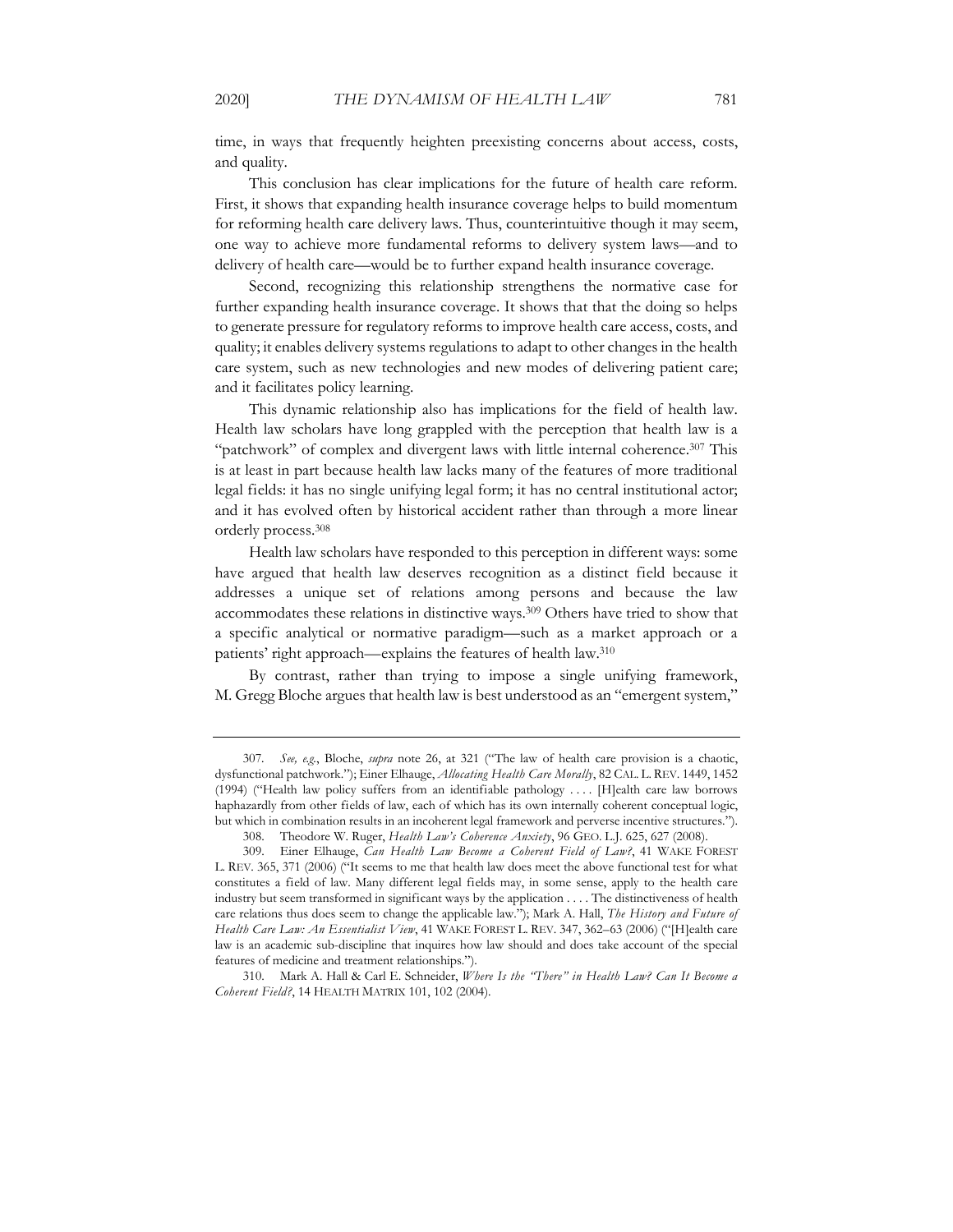time, in ways that frequently heighten preexisting concerns about access, costs, and quality.

This conclusion has clear implications for the future of health care reform. First, it shows that expanding health insurance coverage helps to build momentum for reforming health care delivery laws. Thus, counterintuitive though it may seem, one way to achieve more fundamental reforms to delivery system laws—and to delivery of health care—would be to further expand health insurance coverage.

Second, recognizing this relationship strengthens the normative case for further expanding health insurance coverage. It shows that that the doing so helps to generate pressure for regulatory reforms to improve health care access, costs, and quality; it enables delivery systems regulations to adapt to other changes in the health care system, such as new technologies and new modes of delivering patient care; and it facilitates policy learning.

This dynamic relationship also has implications for the field of health law. Health law scholars have long grappled with the perception that health law is a "patchwork" of complex and divergent laws with little internal coherence.<sup>307</sup> This is at least in part because health law lacks many of the features of more traditional legal fields: it has no single unifying legal form; it has no central institutional actor; and it has evolved often by historical accident rather than through a more linear orderly process.308

Health law scholars have responded to this perception in different ways: some have argued that health law deserves recognition as a distinct field because it addresses a unique set of relations among persons and because the law accommodates these relations in distinctive ways.309 Others have tried to show that a specific analytical or normative paradigm—such as a market approach or a patients' right approach—explains the features of health law.310

By contrast, rather than trying to impose a single unifying framework, M. Gregg Bloche argues that health law is best understood as an "emergent system,"

<sup>307</sup>*. See, e.g.*, Bloche, *supra* note 26, at 321 ("The law of health care provision is a chaotic, dysfunctional patchwork."); Einer Elhauge, *Allocating Health Care Morally*, 82 CAL. L. REV. 1449, 1452 (1994) ("Health law policy suffers from an identifiable pathology . . . . [H]ealth care law borrows haphazardly from other fields of law, each of which has its own internally coherent conceptual logic, but which in combination results in an incoherent legal framework and perverse incentive structures.").

<sup>308.</sup> Theodore W. Ruger, *Health Law's Coherence Anxiety*, 96 GEO. L.J. 625, 627 (2008).

<sup>309.</sup> Einer Elhauge, *Can Health Law Become a Coherent Field of Law?*, 41 WAKE FOREST L. REV. 365, 371 (2006) ("It seems to me that health law does meet the above functional test for what constitutes a field of law. Many different legal fields may, in some sense, apply to the health care industry but seem transformed in significant ways by the application . . . . The distinctiveness of health care relations thus does seem to change the applicable law."); Mark A. Hall, *The History and Future of Health Care Law: An Essentialist View*, 41 WAKE FOREST L. REV. 347, 362–63 (2006) ("[H]ealth care law is an academic sub-discipline that inquires how law should and does take account of the special features of medicine and treatment relationships.").

<sup>310.</sup> Mark A. Hall & Carl E. Schneider, *Where Is the "There" in Health Law? Can It Become a Coherent Field?*, 14 HEALTH MATRIX 101, 102 (2004).